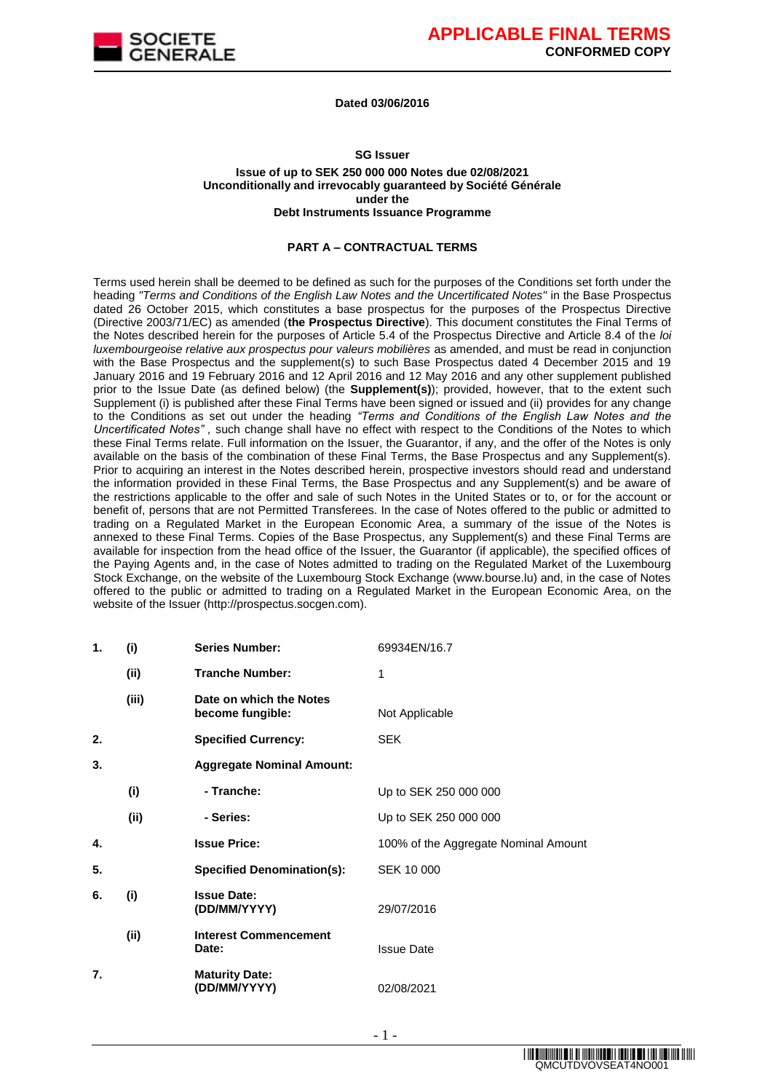

#### **Dated 03/06/2016**

#### **SG Issuer**

#### **Issue of up to SEK 250 000 000 Notes due 02/08/2021 Unconditionally and irrevocably guaranteed by Société Générale under the Debt Instruments Issuance Programme**

#### **PART A – CONTRACTUAL TERMS**

Terms used herein shall be deemed to be defined as such for the purposes of the Conditions set forth under the heading *"Terms and Conditions of the English Law Notes and the Uncertificated Notes"* in the Base Prospectus dated 26 October 2015, which constitutes a base prospectus for the purposes of the Prospectus Directive (Directive 2003/71/EC) as amended (**the Prospectus Directive**). This document constitutes the Final Terms of the Notes described herein for the purposes of Article 5.4 of the Prospectus Directive and Article 8.4 of the *loi luxembourgeoise relative aux prospectus pour valeurs mobilières* as amended, and must be read in conjunction with the Base Prospectus and the supplement(s) to such Base Prospectus dated 4 December 2015 and 19 January 2016 and 19 February 2016 and 12 April 2016 and 12 May 2016 and any other supplement published prior to the Issue Date (as defined below) (the **Supplement(s)**); provided, however, that to the extent such Supplement (i) is published after these Final Terms have been signed or issued and (ii) provides for any change to the Conditions as set out under the heading *"Terms and Conditions of the English Law Notes and the Uncertificated Notes" ,* such change shall have no effect with respect to the Conditions of the Notes to which these Final Terms relate. Full information on the Issuer, the Guarantor, if any, and the offer of the Notes is only available on the basis of the combination of these Final Terms, the Base Prospectus and any Supplement(s). Prior to acquiring an interest in the Notes described herein, prospective investors should read and understand the information provided in these Final Terms, the Base Prospectus and any Supplement(s) and be aware of the restrictions applicable to the offer and sale of such Notes in the United States or to, or for the account or benefit of, persons that are not Permitted Transferees. In the case of Notes offered to the public or admitted to trading on a Regulated Market in the European Economic Area, a summary of the issue of the Notes is annexed to these Final Terms. Copies of the Base Prospectus, any Supplement(s) and these Final Terms are available for inspection from the head office of the Issuer, the Guarantor (if applicable), the specified offices of the Paying Agents and, in the case of Notes admitted to trading on the Regulated Market of the Luxembourg Stock Exchange, on the website of the Luxembourg Stock Exchange (www.bourse.lu) and, in the case of Notes offered to the public or admitted to trading on a Regulated Market in the European Economic Area, on the website of the Issuer (http://prospectus.socgen.com).

| 1. | (i)   | <b>Series Number:</b>                       | 69934EN/16.7                         |
|----|-------|---------------------------------------------|--------------------------------------|
|    | (ii)  | <b>Tranche Number:</b>                      | 1                                    |
|    | (iii) | Date on which the Notes<br>become fungible: | Not Applicable                       |
| 2. |       | <b>Specified Currency:</b>                  | <b>SEK</b>                           |
| 3. |       | <b>Aggregate Nominal Amount:</b>            |                                      |
|    | (i)   | - Tranche:                                  | Up to SEK 250 000 000                |
|    | (ii)  | - Series:                                   | Up to SEK 250 000 000                |
| 4. |       | <b>Issue Price:</b>                         | 100% of the Aggregate Nominal Amount |
| 5. |       | <b>Specified Denomination(s):</b>           | SEK 10 000                           |
| 6. | (i)   | <b>Issue Date:</b><br>(DD/MM/YYYY)          | 29/07/2016                           |
|    | (ii)  | <b>Interest Commencement</b><br>Date:       | <b>Issue Date</b>                    |
| 7. |       | <b>Maturity Date:</b><br>(DD/MM/YYYY)       | 02/08/2021                           |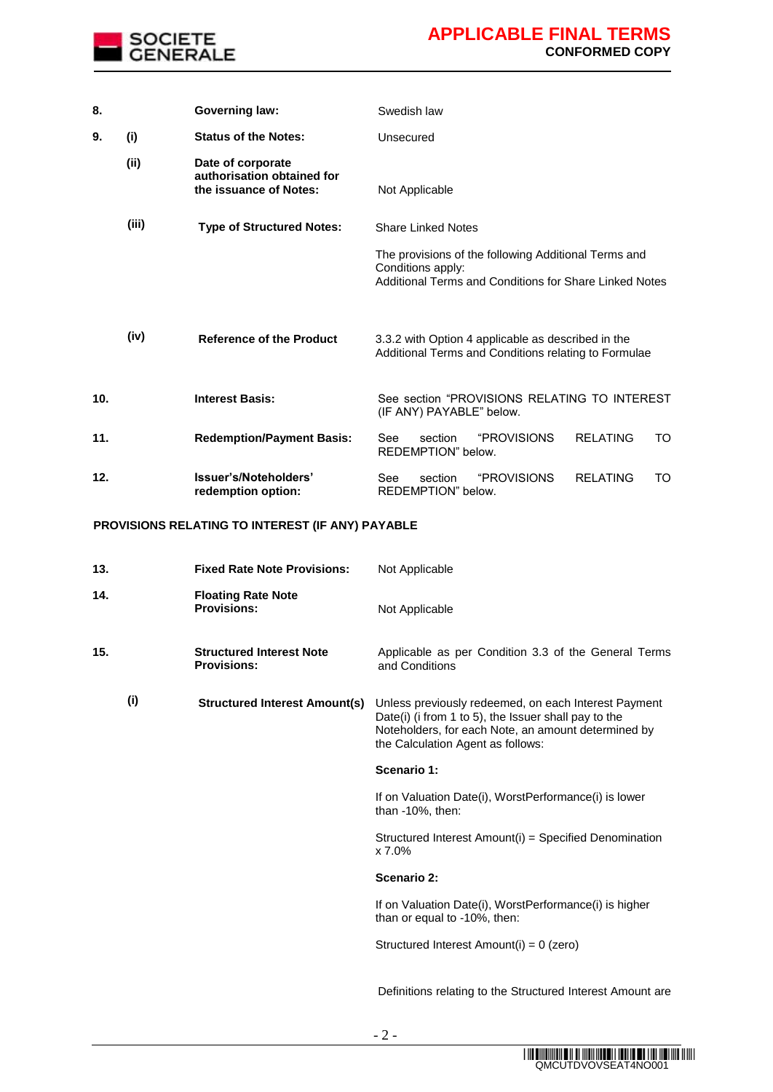

| 8.  |       | <b>Governing law:</b>                                                     | Swedish law                                                                                                                         |
|-----|-------|---------------------------------------------------------------------------|-------------------------------------------------------------------------------------------------------------------------------------|
| 9.  | (i)   | <b>Status of the Notes:</b>                                               | Unsecured                                                                                                                           |
|     | (ii)  | Date of corporate<br>authorisation obtained for<br>the issuance of Notes: | Not Applicable                                                                                                                      |
|     | (iii) | <b>Type of Structured Notes:</b>                                          | <b>Share Linked Notes</b>                                                                                                           |
|     |       |                                                                           | The provisions of the following Additional Terms and<br>Conditions apply:<br>Additional Terms and Conditions for Share Linked Notes |
|     | (iv)  | <b>Reference of the Product</b>                                           | 3.3.2 with Option 4 applicable as described in the<br>Additional Terms and Conditions relating to Formulae                          |
| 10. |       | <b>Interest Basis:</b>                                                    | See section "PROVISIONS RELATING TO INTEREST<br>(IF ANY) PAYABLE" below.                                                            |
| 11. |       | <b>Redemption/Payment Basis:</b>                                          | <i><b>"PROVISIONS</b></i><br><b>RELATING</b><br>See<br>section<br>TO<br>REDEMPTION" below.                                          |
| 12. |       | Issuer's/Noteholders'<br>redemption option:                               | <i><b>"PROVISIONS</b></i><br>See<br>section<br>RFI ATING<br>TO<br>REDEMPTION" below.                                                |

### **PROVISIONS RELATING TO INTEREST (IF ANY) PAYABLE**

| 13. | <b>Fixed Rate Note Provisions:</b>                    | Not Applicable                                                                                                                                                                                           |
|-----|-------------------------------------------------------|----------------------------------------------------------------------------------------------------------------------------------------------------------------------------------------------------------|
| 14. | <b>Floating Rate Note</b><br><b>Provisions:</b>       | Not Applicable                                                                                                                                                                                           |
| 15. | <b>Structured Interest Note</b><br><b>Provisions:</b> | Applicable as per Condition 3.3 of the General Terms<br>and Conditions                                                                                                                                   |
| (i) | <b>Structured Interest Amount(s)</b>                  | Unless previously redeemed, on each Interest Payment<br>Date(i) (i from 1 to 5), the Issuer shall pay to the<br>Noteholders, for each Note, an amount determined by<br>the Calculation Agent as follows: |
|     |                                                       | Scenario 1:                                                                                                                                                                                              |
|     |                                                       | If on Valuation Date(i), WorstPerformance(i) is lower<br>than -10%, then:                                                                                                                                |
|     |                                                       | Structured Interest Amount(i) = Specified Denomination<br>x 7.0%                                                                                                                                         |
|     |                                                       | Scenario 2:                                                                                                                                                                                              |
|     |                                                       | If on Valuation Date(i), WorstPerformance(i) is higher<br>than or equal to -10%, then:                                                                                                                   |
|     |                                                       | Structured Interest Amount(i) = 0 (zero)                                                                                                                                                                 |
|     |                                                       | Definitions relating to the Structured Interest Amount are                                                                                                                                               |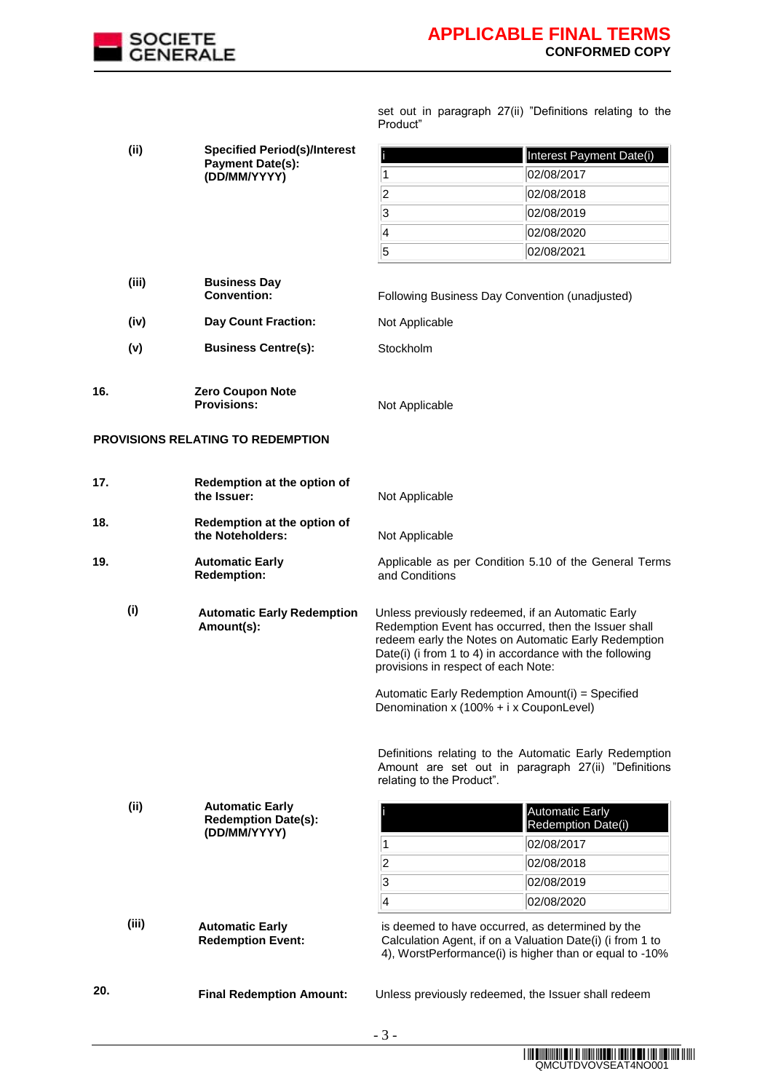

|          |  | set out in paragraph 27(ii) "Definitions relating to the |  |  |
|----------|--|----------------------------------------------------------|--|--|
| Product" |  |                                                          |  |  |

| (i) | <b>Specified Period(s)/Interest</b> |                                                                      | Interest Payment Date(i)                                                                                                                                                                |                                                                                                                                                                          |
|-----|-------------------------------------|----------------------------------------------------------------------|-----------------------------------------------------------------------------------------------------------------------------------------------------------------------------------------|--------------------------------------------------------------------------------------------------------------------------------------------------------------------------|
|     |                                     | <b>Payment Date(s):</b><br>(DD/MM/YYYY)                              | 1                                                                                                                                                                                       | 02/08/2017                                                                                                                                                               |
|     |                                     |                                                                      | $\overline{\mathbf{2}}$                                                                                                                                                                 | 02/08/2018                                                                                                                                                               |
|     |                                     |                                                                      | 3                                                                                                                                                                                       | 02/08/2019                                                                                                                                                               |
|     |                                     |                                                                      | 4                                                                                                                                                                                       | 02/08/2020                                                                                                                                                               |
|     |                                     |                                                                      | 5                                                                                                                                                                                       | 02/08/2021                                                                                                                                                               |
|     |                                     |                                                                      |                                                                                                                                                                                         |                                                                                                                                                                          |
|     | (iii)                               | <b>Business Day</b><br><b>Convention:</b>                            | Following Business Day Convention (unadjusted)                                                                                                                                          |                                                                                                                                                                          |
|     | (iv)                                | <b>Day Count Fraction:</b>                                           | Not Applicable                                                                                                                                                                          |                                                                                                                                                                          |
|     | (v)                                 | <b>Business Centre(s):</b>                                           | Stockholm                                                                                                                                                                               |                                                                                                                                                                          |
| 16. |                                     | Zero Coupon Note<br><b>Provisions:</b>                               | Not Applicable                                                                                                                                                                          |                                                                                                                                                                          |
|     |                                     | PROVISIONS RELATING TO REDEMPTION                                    |                                                                                                                                                                                         |                                                                                                                                                                          |
| 17. |                                     | Redemption at the option of<br>the Issuer:                           | Not Applicable                                                                                                                                                                          |                                                                                                                                                                          |
| 18. |                                     | Redemption at the option of<br>the Noteholders:                      | Not Applicable                                                                                                                                                                          |                                                                                                                                                                          |
| 19. |                                     | <b>Automatic Early</b><br><b>Redemption:</b>                         | and Conditions                                                                                                                                                                          | Applicable as per Condition 5.10 of the General Terms                                                                                                                    |
|     | (i)                                 | <b>Automatic Early Redemption</b><br>Amount(s):                      | Unless previously redeemed, if an Automatic Early<br>provisions in respect of each Note:<br>Automatic Early Redemption Amount(i) = Specified<br>Denomination x (100% + i x CouponLevel) | Redemption Event has occurred, then the Issuer shall<br>redeem early the Notes on Automatic Early Redemption<br>Date(i) (i from 1 to 4) in accordance with the following |
|     |                                     |                                                                      | relating to the Product".                                                                                                                                                               | Definitions relating to the Automatic Early Redemption<br>Amount are set out in paragraph 27(ii) "Definitions                                                            |
|     | (ii)                                | <b>Automatic Early</b><br><b>Redemption Date(s):</b><br>(DD/MM/YYYY) | 1                                                                                                                                                                                       | <b>Automatic Early</b><br>Redemption Date(i)<br>02/08/2017                                                                                                               |
|     |                                     |                                                                      | $\vert$ 2                                                                                                                                                                               | 02/08/2018                                                                                                                                                               |
|     |                                     |                                                                      | 3                                                                                                                                                                                       | 02/08/2019                                                                                                                                                               |
|     |                                     |                                                                      | $\overline{\mathbf{4}}$                                                                                                                                                                 | 02/08/2020                                                                                                                                                               |
|     | (iii)                               | <b>Automatic Early</b><br><b>Redemption Event:</b>                   | is deemed to have occurred, as determined by the                                                                                                                                        | Calculation Agent, if on a Valuation Date(i) (i from 1 to<br>4), WorstPerformance(i) is higher than or equal to -10%                                                     |
| 20. |                                     | <b>Final Redemption Amount:</b>                                      |                                                                                                                                                                                         | Unless previously redeemed, the Issuer shall redeem                                                                                                                      |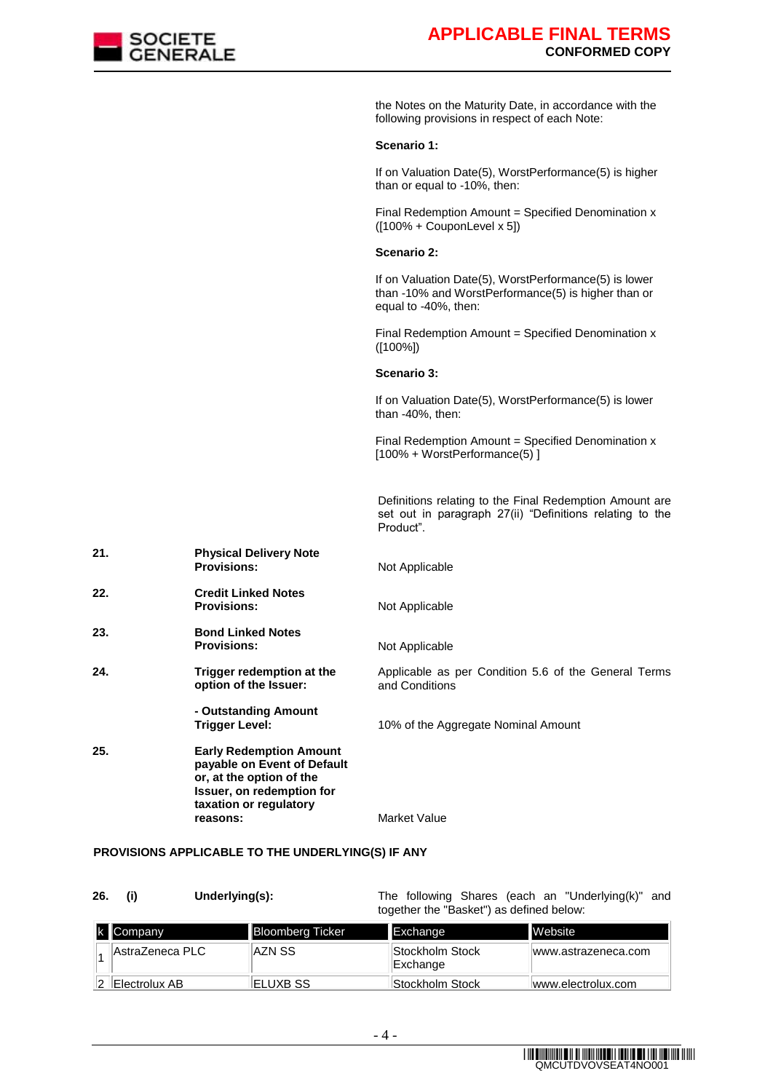

the Notes on the Maturity Date, in accordance with the following provisions in respect of each Note:

#### **Scenario 1:**

If on Valuation Date(5), WorstPerformance(5) is higher than or equal to -10%, then:

Final Redemption Amount = Specified Denomination  $x$  $([100\% + \text{CouponLevel} \times 5])$ 

#### **Scenario 2:**

If on Valuation Date(5), WorstPerformance(5) is lower than -10% and WorstPerformance(5) is higher than or equal to -40%, then:

Final Redemption Amount = Specified Denomination  $x$ ([100%])

#### **Scenario 3:**

If on Valuation Date(5), WorstPerformance(5) is lower than -40%, then:

Final Redemption Amount = Specified Denomination  $x$ [100% + WorstPerformance(5) ]

Definitions relating to the Final Redemption Amount are set out in paragraph 27(ii) "Definitions relating to the Product".

| 21. | <b>Physical Delivery Note</b><br><b>Provisions:</b>                                                                                                          | Not Applicable                                                         |
|-----|--------------------------------------------------------------------------------------------------------------------------------------------------------------|------------------------------------------------------------------------|
| 22. | <b>Credit Linked Notes</b><br><b>Provisions:</b>                                                                                                             | Not Applicable                                                         |
| 23. | <b>Bond Linked Notes</b><br><b>Provisions:</b>                                                                                                               | Not Applicable                                                         |
| 24. | Trigger redemption at the<br>option of the Issuer:                                                                                                           | Applicable as per Condition 5.6 of the General Terms<br>and Conditions |
|     | - Outstanding Amount<br>Trigger Level:                                                                                                                       | 10% of the Aggregate Nominal Amount                                    |
| 25. | <b>Early Redemption Amount</b><br>payable on Event of Default<br>or, at the option of the<br>Issuer, on redemption for<br>taxation or regulatory<br>reasons: | Market Value                                                           |

#### **PROVISIONS APPLICABLE TO THE UNDERLYING(S) IF ANY**

| 26.         | Underlying(s):          |                                          | The following Shares (each an "Underlying(k)" and |  |
|-------------|-------------------------|------------------------------------------|---------------------------------------------------|--|
|             |                         | together the "Basket") as defined below: |                                                   |  |
| $k$ Company | <b>Bloomberg Ticker</b> | Exchange                                 | <b>Mehsite</b>                                    |  |

| k Company       | <b>Bloomberg Ticker</b> | <b>Exchange</b>              | Website             |
|-----------------|-------------------------|------------------------------|---------------------|
| AstraZeneca PLC | ∣AZN SS                 | Stockholm Stock <br>Exchange | www.astrazeneca.com |
| ∥Electrolux AB  | <b>IELUXB SS</b>        | Stockholm Stock              | www.electrolux.com  |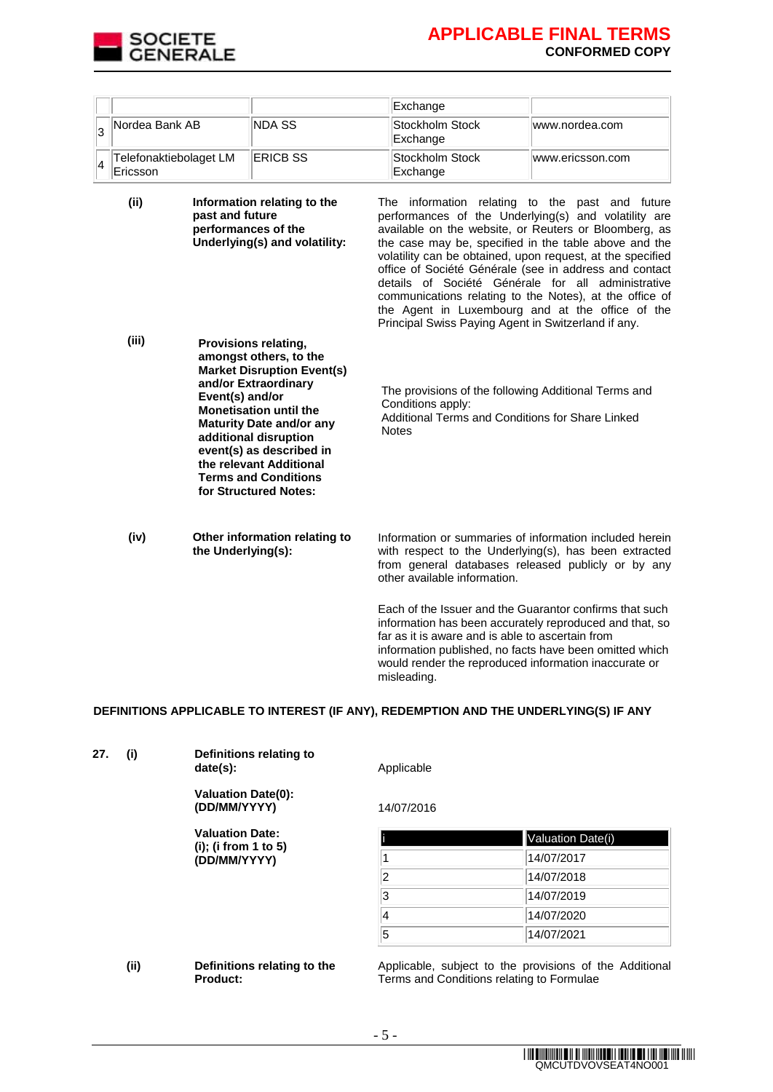

|      |                                    |                                        |                                                                                                                                                                                                                                                                                                                                | Exchange                                                                                                                                                                                                                                                                                                                                                                                                                                                                                                                                                                      |                  |
|------|------------------------------------|----------------------------------------|--------------------------------------------------------------------------------------------------------------------------------------------------------------------------------------------------------------------------------------------------------------------------------------------------------------------------------|-------------------------------------------------------------------------------------------------------------------------------------------------------------------------------------------------------------------------------------------------------------------------------------------------------------------------------------------------------------------------------------------------------------------------------------------------------------------------------------------------------------------------------------------------------------------------------|------------------|
| 3    | Nordea Bank AB                     |                                        | <b>NDA SS</b>                                                                                                                                                                                                                                                                                                                  | Stockholm Stock<br>Exchange                                                                                                                                                                                                                                                                                                                                                                                                                                                                                                                                                   | www.nordea.com   |
| 4    | Telefonaktiebolaget LM<br>Ericsson |                                        | <b>ERICB SS</b>                                                                                                                                                                                                                                                                                                                | Stockholm Stock<br>Exchange                                                                                                                                                                                                                                                                                                                                                                                                                                                                                                                                                   | www.ericsson.com |
| (ii) |                                    | past and future<br>performances of the | Information relating to the<br>Underlying(s) and volatility:                                                                                                                                                                                                                                                                   | The information relating to the past and future<br>performances of the Underlying(s) and volatility are<br>available on the website, or Reuters or Bloomberg, as<br>the case may be, specified in the table above and the<br>volatility can be obtained, upon request, at the specified<br>office of Société Générale (see in address and contact<br>details of Société Générale for all administrative<br>communications relating to the Notes), at the office of<br>the Agent in Luxembourg and at the office of the<br>Principal Swiss Paying Agent in Switzerland if any. |                  |
|      | (iii)<br>Event(s) and/or           |                                        | <b>Provisions relating,</b><br>amongst others, to the<br><b>Market Disruption Event(s)</b><br>and/or Extraordinary<br><b>Monetisation until the</b><br><b>Maturity Date and/or any</b><br>additional disruption<br>event(s) as described in<br>the relevant Additional<br><b>Terms and Conditions</b><br>for Structured Notes: | The provisions of the following Additional Terms and<br>Conditions apply:<br>Additional Terms and Conditions for Share Linked<br><b>Notes</b>                                                                                                                                                                                                                                                                                                                                                                                                                                 |                  |
|      | (iv)                               | the Underlying(s):                     | Other information relating to                                                                                                                                                                                                                                                                                                  | Information or summaries of information included herein<br>with respect to the Underlying(s), has been extracted<br>from general databases released publicly or by any<br>other available information.                                                                                                                                                                                                                                                                                                                                                                        |                  |
|      |                                    |                                        |                                                                                                                                                                                                                                                                                                                                | Each of the Issuer and the Guarantor confirms that such<br>information has been accurately reproduced and that, so<br>far as it is aware and is able to ascertain from<br>information published, no facts have been omitted which<br>would render the reproduced information inaccurate or<br>misleading.                                                                                                                                                                                                                                                                     |                  |

### **DEFINITIONS APPLICABLE TO INTEREST (IF ANY), REDEMPTION AND THE UNDERLYING(S) IF ANY**

| (i) | Definitions relating to<br>date(s):       | Applicable |                   |
|-----|-------------------------------------------|------------|-------------------|
|     | <b>Valuation Date(0):</b><br>(DD/MM/YYYY) | 14/07/2016 |                   |
|     | <b>Valuation Date:</b>                    |            | Valuation Date(i) |
|     | (i); (i from 1 to 5)<br>(DD/MM/YYYY)      |            | 14/07/2017        |
|     |                                           | 2          | 14/07/2018        |
|     |                                           | 3          | 14/07/2019        |
|     |                                           | 14         | 14/07/2020        |
|     |                                           | 5          | 14/07/2021        |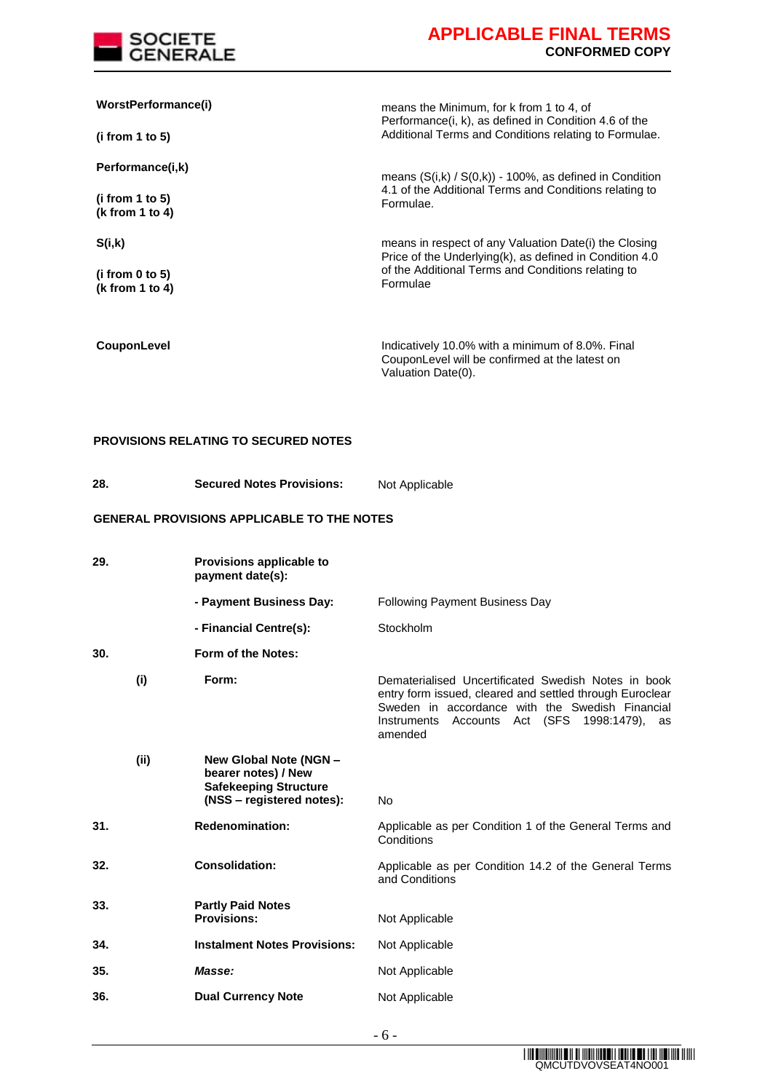

| WorstPerformance(i)<br>(i from 1 to 5)                 | means the Minimum, for k from 1 to 4, of<br>Performance (i, k), as defined in Condition 4.6 of the<br>Additional Terms and Conditions relating to Formulae.                        |  |  |
|--------------------------------------------------------|------------------------------------------------------------------------------------------------------------------------------------------------------------------------------------|--|--|
| Performance(i,k)<br>(i from 1 to 5)<br>(k from 1 to 4) | means $(S(i,k) / S(0,k))$ - 100%, as defined in Condition<br>4.1 of the Additional Terms and Conditions relating to<br>Formulae.                                                   |  |  |
| S(i,k)<br>(i from $0$ to $5$ )<br>( $k$ from 1 to 4)   | means in respect of any Valuation Date(i) the Closing<br>Price of the Underlying(k), as defined in Condition 4.0<br>of the Additional Terms and Conditions relating to<br>Formulae |  |  |
| CouponLevel                                            | Indicatively 10.0% with a minimum of 8.0%. Final<br>CouponLevel will be confirmed at the latest on                                                                                 |  |  |

Valuation Date(0).

### **PROVISIONS RELATING TO SECURED NOTES**

| Not Applicable |
|----------------|
|                |

### **GENERAL PROVISIONS APPLICABLE TO THE NOTES**

| 29.  | Provisions applicable to<br>payment date(s):                                                               |                                                                                                                                                                                                                                     |
|------|------------------------------------------------------------------------------------------------------------|-------------------------------------------------------------------------------------------------------------------------------------------------------------------------------------------------------------------------------------|
|      | - Payment Business Day:                                                                                    | <b>Following Payment Business Day</b>                                                                                                                                                                                               |
|      | - Financial Centre(s):                                                                                     | Stockholm                                                                                                                                                                                                                           |
| 30.  | Form of the Notes:                                                                                         |                                                                                                                                                                                                                                     |
| (i)  | Form:                                                                                                      | Dematerialised Uncertificated Swedish Notes in book<br>entry form issued, cleared and settled through Euroclear<br>Sweden in accordance with the Swedish Financial<br>Accounts Act (SFS 1998:1479),<br>Instruments<br>as<br>amended |
| (ii) | New Global Note (NGN -<br>bearer notes) / New<br><b>Safekeeping Structure</b><br>(NSS – registered notes): | No                                                                                                                                                                                                                                  |
| 31.  | <b>Redenomination:</b>                                                                                     | Applicable as per Condition 1 of the General Terms and<br>Conditions                                                                                                                                                                |
| 32.  | <b>Consolidation:</b>                                                                                      | Applicable as per Condition 14.2 of the General Terms<br>and Conditions                                                                                                                                                             |
| 33.  | <b>Partly Paid Notes</b><br><b>Provisions:</b>                                                             | Not Applicable                                                                                                                                                                                                                      |
| 34.  | <b>Instalment Notes Provisions:</b>                                                                        | Not Applicable                                                                                                                                                                                                                      |
| 35.  | Masse:                                                                                                     | Not Applicable                                                                                                                                                                                                                      |
| 36.  | <b>Dual Currency Note</b>                                                                                  | Not Applicable                                                                                                                                                                                                                      |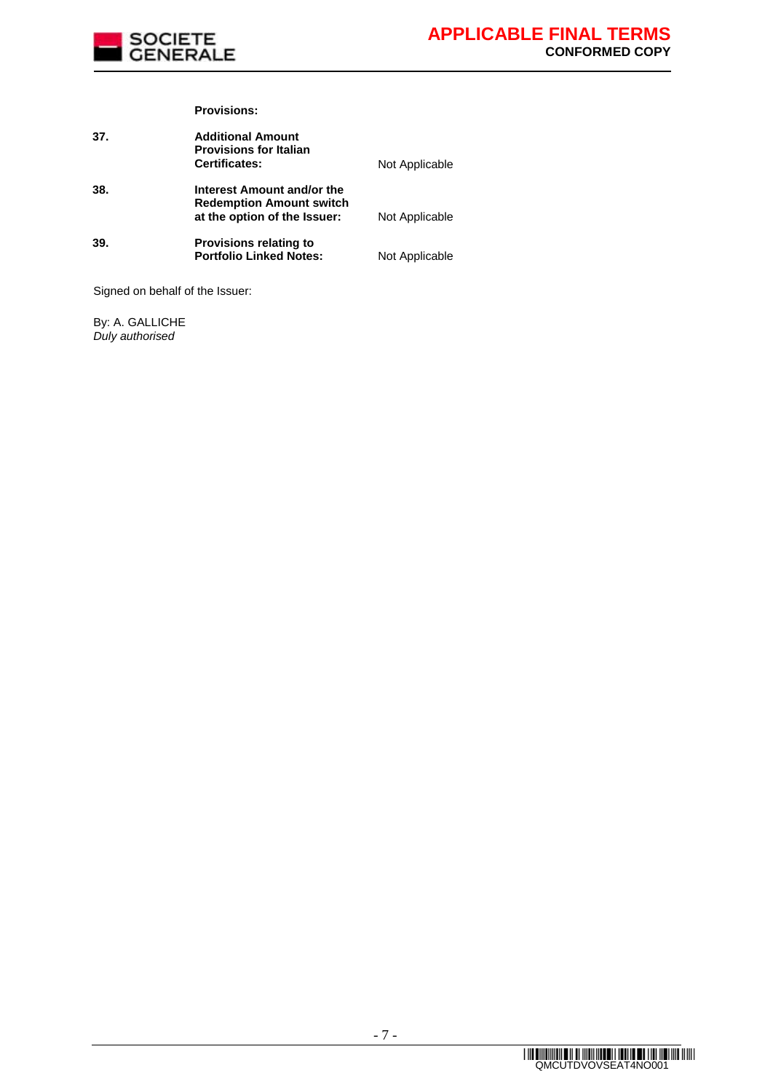

#### **Provisions:**

| 37. | <b>Additional Amount</b><br><b>Provisions for Italian</b><br><b>Certificates:</b>             | Not Applicable |
|-----|-----------------------------------------------------------------------------------------------|----------------|
| 38. | Interest Amount and/or the<br><b>Redemption Amount switch</b><br>at the option of the Issuer: | Not Applicable |
| 39. | <b>Provisions relating to</b><br><b>Portfolio Linked Notes:</b>                               | Not Applicable |

Signed on behalf of the Issuer:

By: A. GALLICHE *Duly authorised*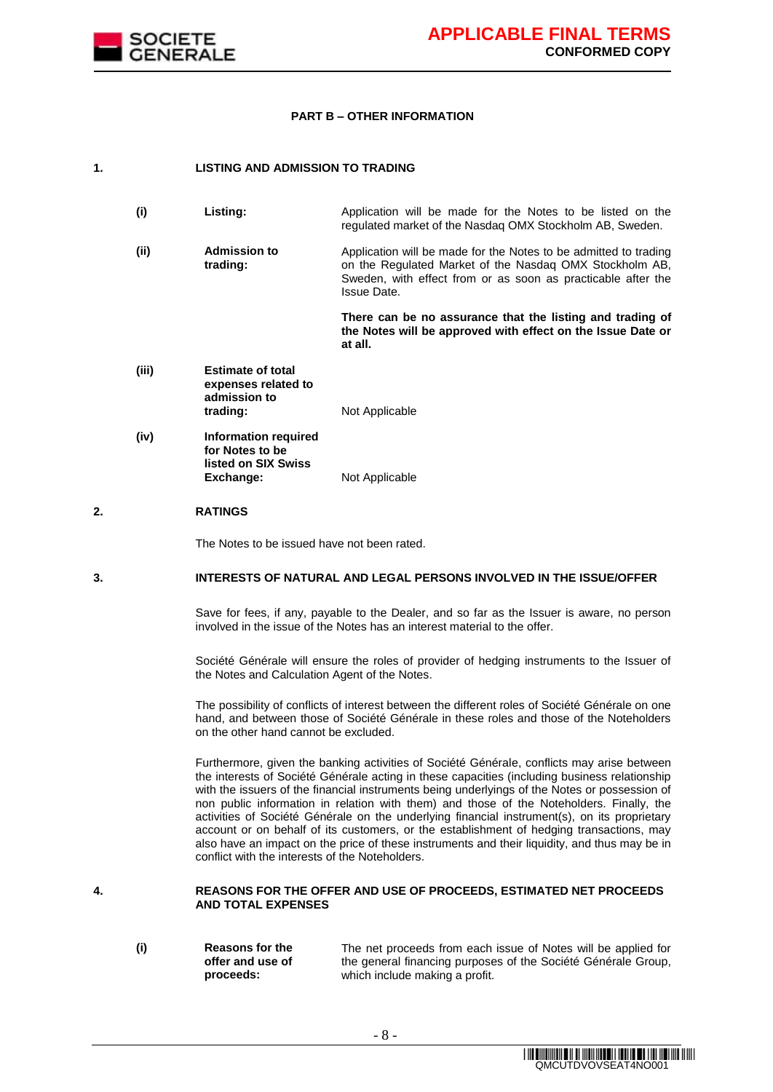

#### **PART B – OTHER INFORMATION**

#### **1. LISTING AND ADMISSION TO TRADING**

| (i)  | Listing:                        | Application will be made for the Notes to be listed on the<br>regulated market of the Nasdag OMX Stockholm AB, Sweden.      |
|------|---------------------------------|-----------------------------------------------------------------------------------------------------------------------------|
| (ii) | <b>Admission to</b><br>trading: | Application will be made for the Notes to be admitted to trading<br>on the Regulated Market of the Nasdag OMX Stockholm AB, |

Issue Date.

**There can be no assurance that the listing and trading of the Notes will be approved with effect on the Issue Date or at all.**

Sweden, with effect from or as soon as practicable after the

- **(iii) Estimate of total expenses related to admission to trading:** Not Applicable
- **(iv) Information required for Notes to be listed on SIX Swiss Not Applicable**

#### **2. RATINGS**

The Notes to be issued have not been rated.

#### **3. INTERESTS OF NATURAL AND LEGAL PERSONS INVOLVED IN THE ISSUE/OFFER**

Save for fees, if any, payable to the Dealer, and so far as the Issuer is aware, no person involved in the issue of the Notes has an interest material to the offer.

Société Générale will ensure the roles of provider of hedging instruments to the Issuer of the Notes and Calculation Agent of the Notes.

The possibility of conflicts of interest between the different roles of Société Générale on one hand, and between those of Société Générale in these roles and those of the Noteholders on the other hand cannot be excluded.

Furthermore, given the banking activities of Société Générale, conflicts may arise between the interests of Société Générale acting in these capacities (including business relationship with the issuers of the financial instruments being underlyings of the Notes or possession of non public information in relation with them) and those of the Noteholders. Finally, the activities of Société Générale on the underlying financial instrument(s), on its proprietary account or on behalf of its customers, or the establishment of hedging transactions, may also have an impact on the price of these instruments and their liquidity, and thus may be in conflict with the interests of the Noteholders.

#### **4. REASONS FOR THE OFFER AND USE OF PROCEEDS, ESTIMATED NET PROCEEDS AND TOTAL EXPENSES**

**(i) Reasons for the offer and use of proceeds:** The net proceeds from each issue of Notes will be applied for the general financing purposes of the Société Générale Group, which include making a profit.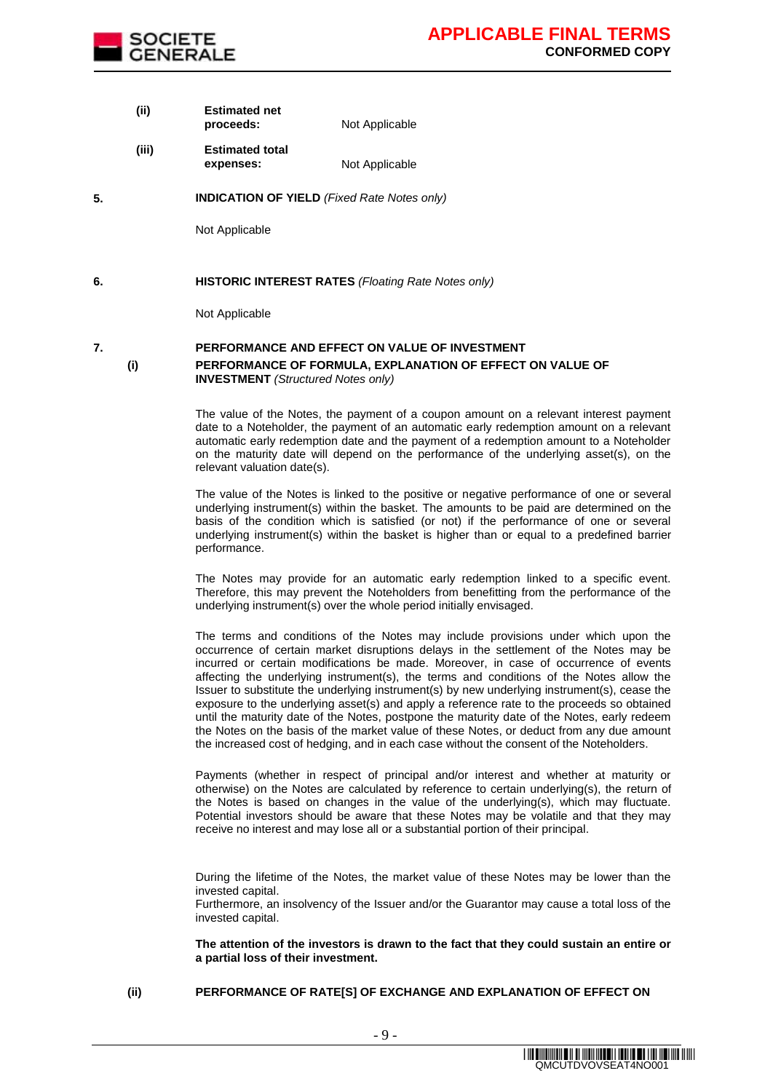

**(ii) Estimated net proceeds:** Not Applicable

- **(iii) Estimated total expenses:** Not Applicable
- **5. INDICATION OF YIELD** *(Fixed Rate Notes only)*

Not Applicable

**6. HISTORIC INTEREST RATES** *(Floating Rate Notes only)*

Not Applicable

### **7. PERFORMANCE AND EFFECT ON VALUE OF INVESTMENT (i) PERFORMANCE OF FORMULA, EXPLANATION OF EFFECT ON VALUE OF INVESTMENT** *(Structured Notes only)*

The value of the Notes, the payment of a coupon amount on a relevant interest payment date to a Noteholder, the payment of an automatic early redemption amount on a relevant automatic early redemption date and the payment of a redemption amount to a Noteholder on the maturity date will depend on the performance of the underlying asset(s), on the relevant valuation date(s).

The value of the Notes is linked to the positive or negative performance of one or several underlying instrument(s) within the basket. The amounts to be paid are determined on the basis of the condition which is satisfied (or not) if the performance of one or several underlying instrument(s) within the basket is higher than or equal to a predefined barrier performance.

The Notes may provide for an automatic early redemption linked to a specific event. Therefore, this may prevent the Noteholders from benefitting from the performance of the underlying instrument(s) over the whole period initially envisaged.

The terms and conditions of the Notes may include provisions under which upon the occurrence of certain market disruptions delays in the settlement of the Notes may be incurred or certain modifications be made. Moreover, in case of occurrence of events affecting the underlying instrument(s), the terms and conditions of the Notes allow the Issuer to substitute the underlying instrument(s) by new underlying instrument(s), cease the exposure to the underlying asset(s) and apply a reference rate to the proceeds so obtained until the maturity date of the Notes, postpone the maturity date of the Notes, early redeem the Notes on the basis of the market value of these Notes, or deduct from any due amount the increased cost of hedging, and in each case without the consent of the Noteholders.

Payments (whether in respect of principal and/or interest and whether at maturity or otherwise) on the Notes are calculated by reference to certain underlying(s), the return of the Notes is based on changes in the value of the underlying(s), which may fluctuate. Potential investors should be aware that these Notes may be volatile and that they may receive no interest and may lose all or a substantial portion of their principal.

During the lifetime of the Notes, the market value of these Notes may be lower than the invested capital.

Furthermore, an insolvency of the Issuer and/or the Guarantor may cause a total loss of the invested capital.

**The attention of the investors is drawn to the fact that they could sustain an entire or a partial loss of their investment.**

**(ii) PERFORMANCE OF RATE[S] OF EXCHANGE AND EXPLANATION OF EFFECT ON**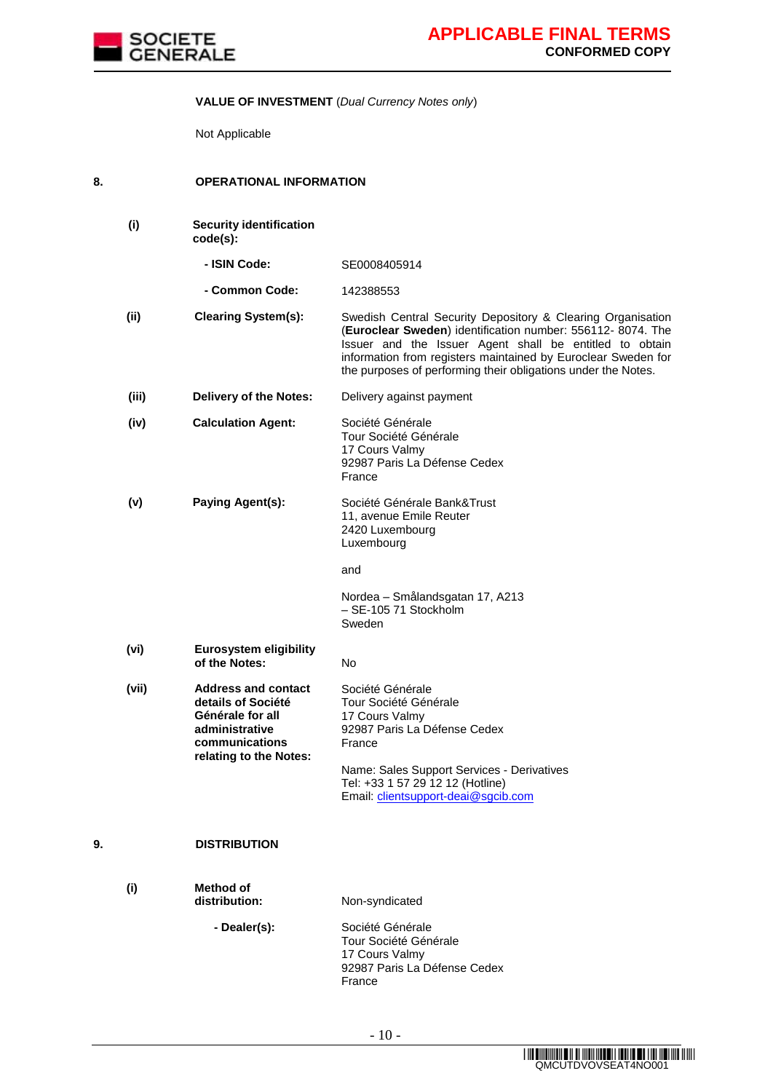

### **VALUE OF INVESTMENT** (*Dual Currency Notes only*)

Not Applicable

| 8. | <b>OPERATIONAL INFORMATION</b> |  |
|----|--------------------------------|--|

|    | (i)   | <b>Security identification</b><br>code(s):                                                                                         |                                                                                                                                                                                                                                                                                                                        |
|----|-------|------------------------------------------------------------------------------------------------------------------------------------|------------------------------------------------------------------------------------------------------------------------------------------------------------------------------------------------------------------------------------------------------------------------------------------------------------------------|
|    |       | - ISIN Code:                                                                                                                       | SE0008405914                                                                                                                                                                                                                                                                                                           |
|    |       | - Common Code:                                                                                                                     | 142388553                                                                                                                                                                                                                                                                                                              |
|    | (ii)  | <b>Clearing System(s):</b>                                                                                                         | Swedish Central Security Depository & Clearing Organisation<br>(Euroclear Sweden) identification number: 556112-8074. The<br>Issuer and the Issuer Agent shall be entitled to obtain<br>information from registers maintained by Euroclear Sweden for<br>the purposes of performing their obligations under the Notes. |
|    | (iii) | <b>Delivery of the Notes:</b>                                                                                                      | Delivery against payment                                                                                                                                                                                                                                                                                               |
|    | (iv)  | <b>Calculation Agent:</b>                                                                                                          | Société Générale<br>Tour Société Générale<br>17 Cours Valmy<br>92987 Paris La Défense Cedex<br>France                                                                                                                                                                                                                  |
|    | (v)   | Paying Agent(s):                                                                                                                   | Société Générale Bank&Trust<br>11, avenue Emile Reuter<br>2420 Luxembourg<br>Luxembourg                                                                                                                                                                                                                                |
|    |       |                                                                                                                                    | and                                                                                                                                                                                                                                                                                                                    |
|    |       |                                                                                                                                    | Nordea - Smålandsgatan 17, A213<br>- SE-105 71 Stockholm<br>Sweden                                                                                                                                                                                                                                                     |
|    | (vi)  | <b>Eurosystem eligibility</b><br>of the Notes:                                                                                     | No                                                                                                                                                                                                                                                                                                                     |
|    | (vii) | <b>Address and contact</b><br>details of Société<br>Générale for all<br>administrative<br>communications<br>relating to the Notes: | Société Générale<br>Tour Société Générale<br>17 Cours Valmy<br>92987 Paris La Défense Cedex<br>France<br>Name: Sales Support Services - Derivatives<br>Tel: +33 1 57 29 12 12 (Hotline)<br>Email: clientsupport-deai@sgcib.com                                                                                         |
| 9. |       | <b>DISTRIBUTION</b>                                                                                                                |                                                                                                                                                                                                                                                                                                                        |
|    | (i)   | <b>Method of</b><br>distribution:                                                                                                  | Non-syndicated                                                                                                                                                                                                                                                                                                         |
|    |       | - Dealer(s):                                                                                                                       | Société Générale<br>Tour Société Générale<br>17 Cours Valmy<br>92987 Paris La Défense Cedex<br>France                                                                                                                                                                                                                  |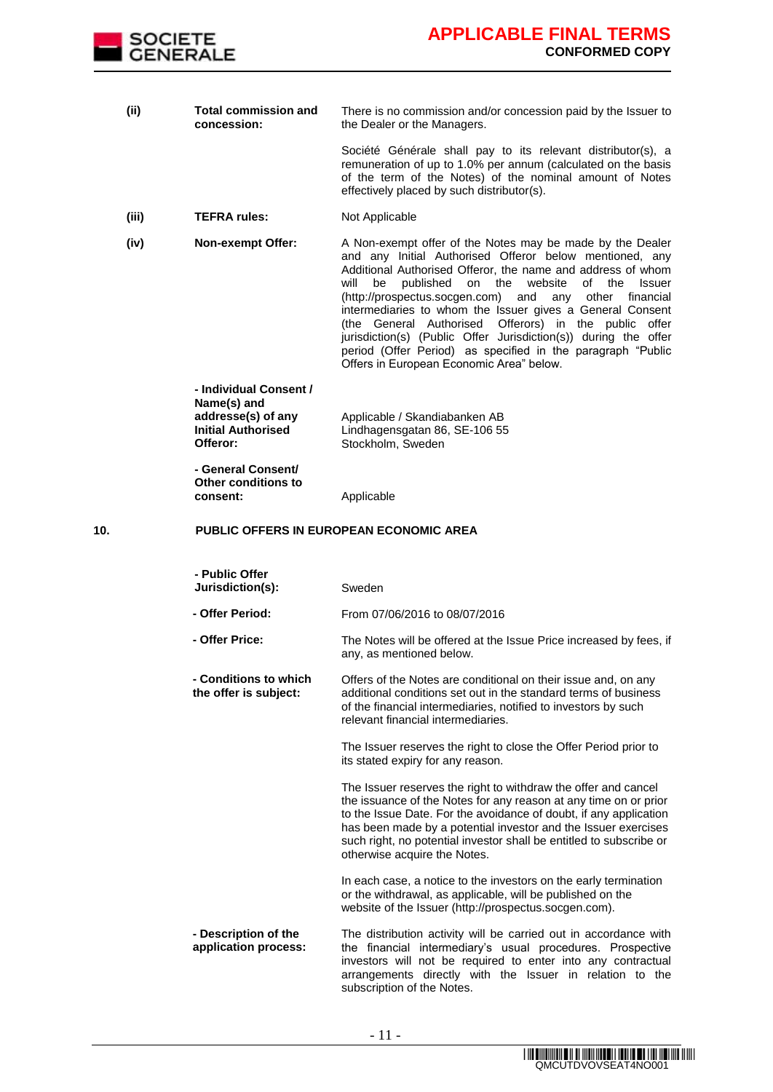

**(ii) Total commission and concession:** There is no commission and/or concession paid by the Issuer to the Dealer or the Managers.

> Société Générale shall pay to its relevant distributor(s), a remuneration of up to 1.0% per annum (calculated on the basis of the term of the Notes) of the nominal amount of Notes effectively placed by such distributor(s).

- **(iii) TEFRA rules:** Not Applicable
- **(iv) Non-exempt Offer:** A Non-exempt offer of the Notes may be made by the Dealer and any Initial Authorised Offeror below mentioned, any Additional Authorised Offeror, the name and address of whom will be published on the website of the Issuer (http://prospectus.socgen.com) and any other financial intermediaries to whom the Issuer gives a General Consent (the General Authorised Offerors) in the public offer jurisdiction(s) (Public Offer Jurisdiction(s)) during the offer period (Offer Period) as specified in the paragraph "Public Offers in European Economic Area" below.

**- Individual Consent / Name(s) and addresse(s) of any Initial Authorised Offeror:** Applicable / Skandiabanken AB Lindhagensgatan 86, SE-106 55 Stockholm, Sweden

**- General Consent/ Other conditions to** 

**consent:** Applicable

#### **10. PUBLIC OFFERS IN EUROPEAN ECONOMIC AREA**

| - Public Offer<br>Jurisdiction(s):             | Sweden                                                                                                                                                                                                                                                                                                                                                                           |  |
|------------------------------------------------|----------------------------------------------------------------------------------------------------------------------------------------------------------------------------------------------------------------------------------------------------------------------------------------------------------------------------------------------------------------------------------|--|
| - Offer Period:                                | From 07/06/2016 to 08/07/2016                                                                                                                                                                                                                                                                                                                                                    |  |
| - Offer Price:                                 | The Notes will be offered at the Issue Price increased by fees, if<br>any, as mentioned below.                                                                                                                                                                                                                                                                                   |  |
| - Conditions to which<br>the offer is subject: | Offers of the Notes are conditional on their issue and, on any<br>additional conditions set out in the standard terms of business<br>of the financial intermediaries, notified to investors by such<br>relevant financial intermediaries.                                                                                                                                        |  |
|                                                | The Issuer reserves the right to close the Offer Period prior to<br>its stated expiry for any reason.                                                                                                                                                                                                                                                                            |  |
|                                                | The Issuer reserves the right to withdraw the offer and cancel<br>the issuance of the Notes for any reason at any time on or prior<br>to the Issue Date. For the avoidance of doubt, if any application<br>has been made by a potential investor and the Issuer exercises<br>such right, no potential investor shall be entitled to subscribe or<br>otherwise acquire the Notes. |  |
|                                                | In each case, a notice to the investors on the early termination<br>or the withdrawal, as applicable, will be published on the<br>website of the Issuer (http://prospectus.socgen.com).                                                                                                                                                                                          |  |
| - Description of the<br>application process:   | The distribution activity will be carried out in accordance with<br>the financial intermediary's usual procedures. Prospective<br>investors will not be required to enter into any contractual<br>arrangements directly with the Issuer in relation to the<br>subscription of the Notes.                                                                                         |  |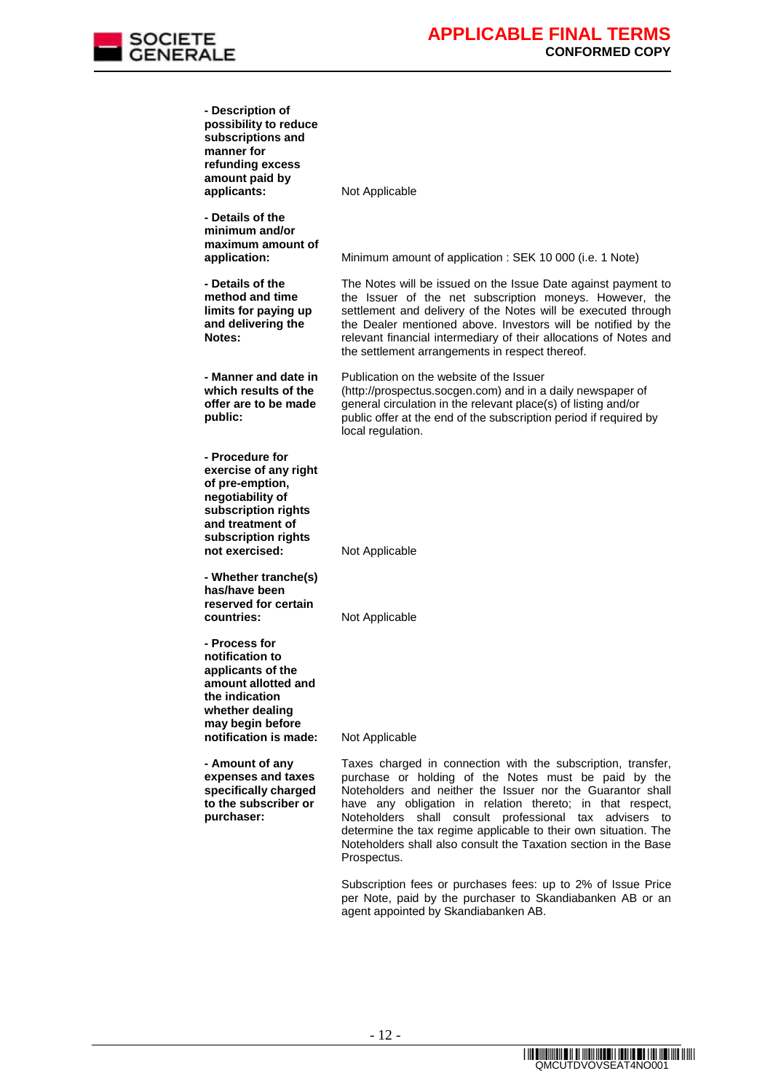

| - Description of<br>possibility to reduce<br>subscriptions and<br>manner for<br>refunding excess                                                                    |                                                                                                                                                                                                                                                                                                                                                                                                   |
|---------------------------------------------------------------------------------------------------------------------------------------------------------------------|---------------------------------------------------------------------------------------------------------------------------------------------------------------------------------------------------------------------------------------------------------------------------------------------------------------------------------------------------------------------------------------------------|
| amount paid by<br>applicants:                                                                                                                                       | Not Applicable                                                                                                                                                                                                                                                                                                                                                                                    |
| - Details of the<br>minimum and/or<br>maximum amount of<br>application:                                                                                             | Minimum amount of application: SEK 10 000 (i.e. 1 Note)                                                                                                                                                                                                                                                                                                                                           |
| - Details of the<br>method and time<br>limits for paying up<br>and delivering the<br>Notes:                                                                         | The Notes will be issued on the Issue Date against payment to<br>the Issuer of the net subscription moneys. However, the<br>settlement and delivery of the Notes will be executed through<br>the Dealer mentioned above. Investors will be notified by the<br>relevant financial intermediary of their allocations of Notes and<br>the settlement arrangements in respect thereof.                |
| - Manner and date in<br>which results of the<br>offer are to be made<br>public:                                                                                     | Publication on the website of the Issuer<br>(http://prospectus.socgen.com) and in a daily newspaper of<br>general circulation in the relevant place(s) of listing and/or<br>public offer at the end of the subscription period if required by<br>local regulation.                                                                                                                                |
| - Procedure for<br>exercise of any right<br>of pre-emption,<br>negotiability of<br>subscription rights<br>and treatment of<br>subscription rights<br>not exercised: | Not Applicable                                                                                                                                                                                                                                                                                                                                                                                    |
| - Whether tranche(s)<br>has/have been<br>reserved for certain<br>countries:                                                                                         | Not Applicable                                                                                                                                                                                                                                                                                                                                                                                    |
| - Process for<br>notification to<br>applicants of the<br>amount allotted and<br>the indication<br>whether dealing<br>may begin before<br>notification is made:      | Not Applicable                                                                                                                                                                                                                                                                                                                                                                                    |
| - Amount of any                                                                                                                                                     | Taxes charged in connection with the subscription, transfer,                                                                                                                                                                                                                                                                                                                                      |
| expenses and taxes<br>specifically charged<br>to the subscriber or<br>purchaser:                                                                                    | purchase or holding of the Notes must be paid by the<br>Noteholders and neither the Issuer nor the Guarantor shall<br>have any obligation in relation thereto; in that respect,<br>Noteholders<br>shall consult professional tax advisers to<br>determine the tax regime applicable to their own situation. The<br>Noteholders shall also consult the Taxation section in the Base<br>Prospectus. |
|                                                                                                                                                                     | Subscription fees or purchases fees: up to 2% of Issue Price                                                                                                                                                                                                                                                                                                                                      |

per Note, paid by the purchaser to Skandiabanken AB or an

agent appointed by Skandiabanken AB.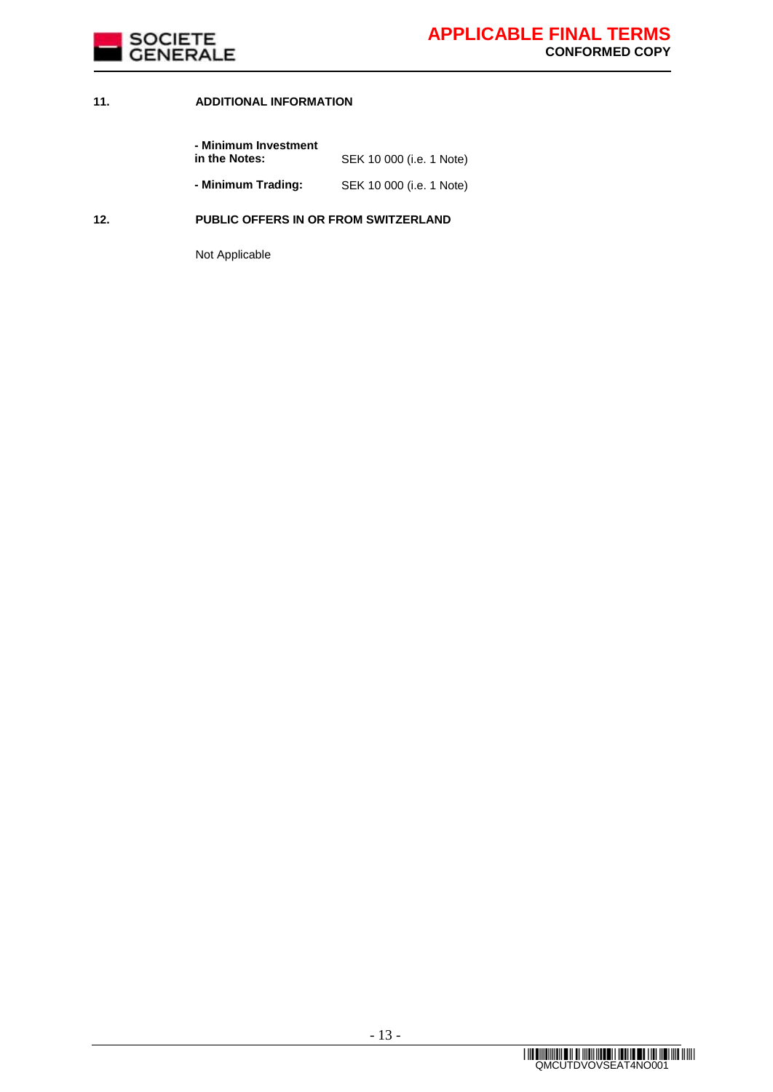

### **11. ADDITIONAL INFORMATION**

| - Minimum Investment<br>in the Notes: | SEK 10 000 (i.e. 1 Note) |
|---------------------------------------|--------------------------|
| - Minimum Trading:                    | SEK 10 000 (i.e. 1 Note) |

### **12. PUBLIC OFFERS IN OR FROM SWITZERLAND**

Not Applicable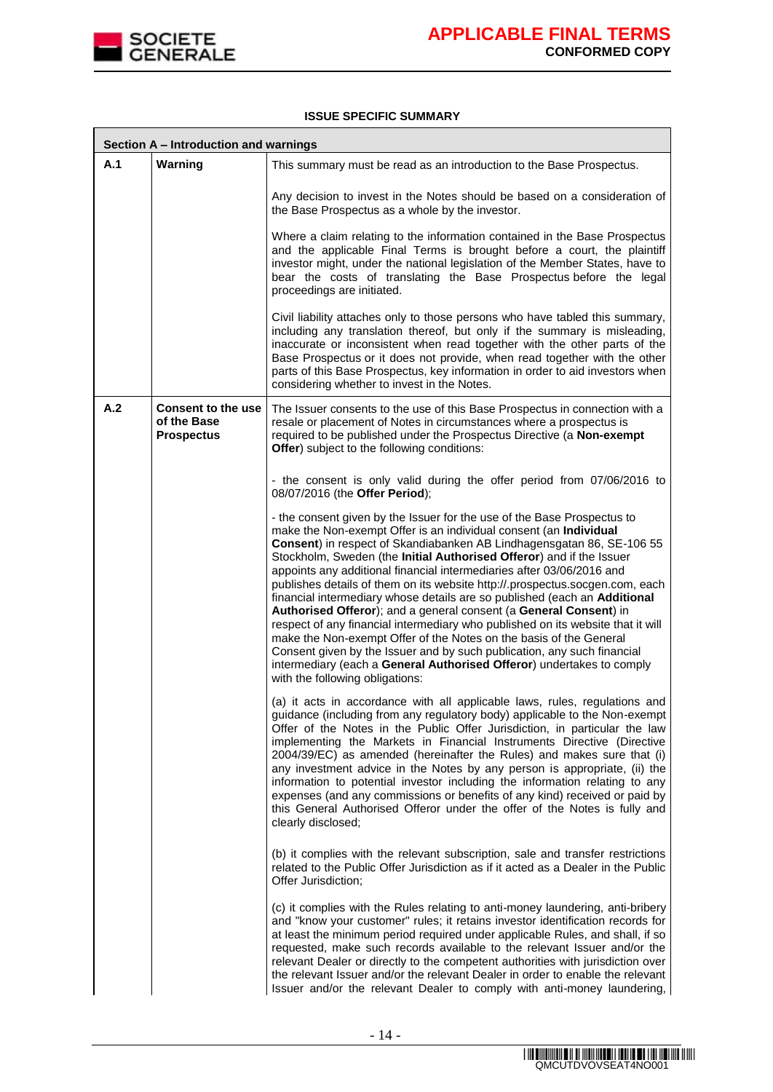

**F** 

#### **ISSUE SPECIFIC SUMMARY**

|     | Section A - Introduction and warnings                         |                                                                                                                                                                                                                                                                                                                                                                                                                                                                                                                                                                                                                                                                                                                                                                                                                                                                                                                                                          |  |  |
|-----|---------------------------------------------------------------|----------------------------------------------------------------------------------------------------------------------------------------------------------------------------------------------------------------------------------------------------------------------------------------------------------------------------------------------------------------------------------------------------------------------------------------------------------------------------------------------------------------------------------------------------------------------------------------------------------------------------------------------------------------------------------------------------------------------------------------------------------------------------------------------------------------------------------------------------------------------------------------------------------------------------------------------------------|--|--|
| A.1 | Warning                                                       | This summary must be read as an introduction to the Base Prospectus.                                                                                                                                                                                                                                                                                                                                                                                                                                                                                                                                                                                                                                                                                                                                                                                                                                                                                     |  |  |
|     |                                                               | Any decision to invest in the Notes should be based on a consideration of<br>the Base Prospectus as a whole by the investor.                                                                                                                                                                                                                                                                                                                                                                                                                                                                                                                                                                                                                                                                                                                                                                                                                             |  |  |
|     |                                                               | Where a claim relating to the information contained in the Base Prospectus<br>and the applicable Final Terms is brought before a court, the plaintiff<br>investor might, under the national legislation of the Member States, have to<br>bear the costs of translating the Base Prospectus before the legal<br>proceedings are initiated.                                                                                                                                                                                                                                                                                                                                                                                                                                                                                                                                                                                                                |  |  |
|     |                                                               | Civil liability attaches only to those persons who have tabled this summary,<br>including any translation thereof, but only if the summary is misleading,<br>inaccurate or inconsistent when read together with the other parts of the<br>Base Prospectus or it does not provide, when read together with the other<br>parts of this Base Prospectus, key information in order to aid investors when<br>considering whether to invest in the Notes.                                                                                                                                                                                                                                                                                                                                                                                                                                                                                                      |  |  |
| A.2 | <b>Consent to the use</b><br>of the Base<br><b>Prospectus</b> | The Issuer consents to the use of this Base Prospectus in connection with a<br>resale or placement of Notes in circumstances where a prospectus is<br>required to be published under the Prospectus Directive (a Non-exempt<br><b>Offer</b> ) subject to the following conditions:                                                                                                                                                                                                                                                                                                                                                                                                                                                                                                                                                                                                                                                                       |  |  |
|     |                                                               | - the consent is only valid during the offer period from 07/06/2016 to<br>08/07/2016 (the Offer Period);                                                                                                                                                                                                                                                                                                                                                                                                                                                                                                                                                                                                                                                                                                                                                                                                                                                 |  |  |
|     |                                                               | - the consent given by the Issuer for the use of the Base Prospectus to<br>make the Non-exempt Offer is an individual consent (an Individual<br>Consent) in respect of Skandiabanken AB Lindhagensgatan 86, SE-106 55<br>Stockholm, Sweden (the Initial Authorised Offeror) and if the Issuer<br>appoints any additional financial intermediaries after 03/06/2016 and<br>publishes details of them on its website http://.prospectus.socgen.com, each<br>financial intermediary whose details are so published (each an Additional<br>Authorised Offeror); and a general consent (a General Consent) in<br>respect of any financial intermediary who published on its website that it will<br>make the Non-exempt Offer of the Notes on the basis of the General<br>Consent given by the Issuer and by such publication, any such financial<br>intermediary (each a General Authorised Offeror) undertakes to comply<br>with the following obligations: |  |  |
|     |                                                               | (a) it acts in accordance with all applicable laws, rules, regulations and<br>guidance (including from any regulatory body) applicable to the Non-exempt<br>Offer of the Notes in the Public Offer Jurisdiction, in particular the law<br>implementing the Markets in Financial Instruments Directive (Directive<br>2004/39/EC) as amended (hereinafter the Rules) and makes sure that (i)<br>any investment advice in the Notes by any person is appropriate, (ii) the<br>information to potential investor including the information relating to any<br>expenses (and any commissions or benefits of any kind) received or paid by<br>this General Authorised Offeror under the offer of the Notes is fully and<br>clearly disclosed;                                                                                                                                                                                                                  |  |  |
|     |                                                               | (b) it complies with the relevant subscription, sale and transfer restrictions<br>related to the Public Offer Jurisdiction as if it acted as a Dealer in the Public<br>Offer Jurisdiction;                                                                                                                                                                                                                                                                                                                                                                                                                                                                                                                                                                                                                                                                                                                                                               |  |  |
|     |                                                               | (c) it complies with the Rules relating to anti-money laundering, anti-bribery<br>and "know your customer" rules; it retains investor identification records for<br>at least the minimum period required under applicable Rules, and shall, if so<br>requested, make such records available to the relevant Issuer and/or the<br>relevant Dealer or directly to the competent authorities with jurisdiction over<br>the relevant Issuer and/or the relevant Dealer in order to enable the relevant<br>Issuer and/or the relevant Dealer to comply with anti-money laundering,                                                                                                                                                                                                                                                                                                                                                                            |  |  |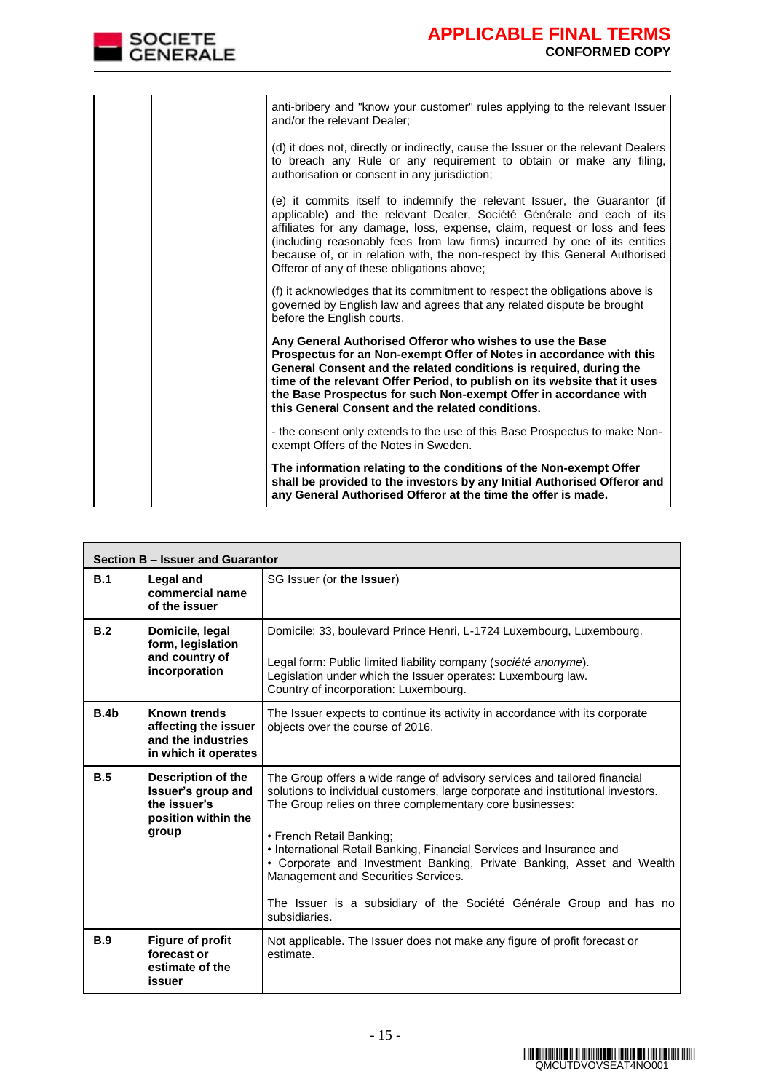| <b>GENERALE</b> | <b>CONFORMED COPY</b>                                                                                                                                                                                                                                                                                                                                                                                                                      |
|-----------------|--------------------------------------------------------------------------------------------------------------------------------------------------------------------------------------------------------------------------------------------------------------------------------------------------------------------------------------------------------------------------------------------------------------------------------------------|
|                 |                                                                                                                                                                                                                                                                                                                                                                                                                                            |
|                 | anti-bribery and "know your customer" rules applying to the relevant Issuer<br>and/or the relevant Dealer;                                                                                                                                                                                                                                                                                                                                 |
|                 | (d) it does not, directly or indirectly, cause the Issuer or the relevant Dealers<br>to breach any Rule or any requirement to obtain or make any filing,<br>authorisation or consent in any jurisdiction;                                                                                                                                                                                                                                  |
|                 | (e) it commits itself to indemnify the relevant Issuer, the Guarantor (if<br>applicable) and the relevant Dealer, Société Générale and each of its<br>affiliates for any damage, loss, expense, claim, request or loss and fees<br>(including reasonably fees from law firms) incurred by one of its entities<br>because of, or in relation with, the non-respect by this General Authorised<br>Offeror of any of these obligations above; |
|                 | (f) it acknowledges that its commitment to respect the obligations above is<br>governed by English law and agrees that any related dispute be brought<br>before the English courts.                                                                                                                                                                                                                                                        |
|                 | Any General Authorised Offeror who wishes to use the Base<br>Prospectus for an Non-exempt Offer of Notes in accordance with this<br>General Consent and the related conditions is required, during the<br>time of the relevant Offer Period, to publish on its website that it uses<br>the Base Prospectus for such Non-exempt Offer in accordance with<br>this General Consent and the related conditions.                                |
|                 | - the consent only extends to the use of this Base Prospectus to make Non-<br>exempt Offers of the Notes in Sweden.                                                                                                                                                                                                                                                                                                                        |
|                 | The information relating to the conditions of the Non-exempt Offer<br>shall be provided to the investors by any Initial Authorised Offeror and<br>any General Authorised Offeror at the time the offer is made.                                                                                                                                                                                                                            |

 $S^{\text{OCIETE}}$ 

**APPLICABLE FINAL TERMS** 

|                  | Section B - Issuer and Guarantor                                                          |                                                                                                                                                                                                                                                                                                                                                                                                                                                                                                                                      |  |  |  |
|------------------|-------------------------------------------------------------------------------------------|--------------------------------------------------------------------------------------------------------------------------------------------------------------------------------------------------------------------------------------------------------------------------------------------------------------------------------------------------------------------------------------------------------------------------------------------------------------------------------------------------------------------------------------|--|--|--|
| B.1              | Legal and<br>commercial name<br>of the issuer                                             | SG Issuer (or the Issuer)                                                                                                                                                                                                                                                                                                                                                                                                                                                                                                            |  |  |  |
| B.2              | Domicile, legal<br>form, legislation<br>and country of<br>incorporation                   | Domicile: 33, boulevard Prince Henri, L-1724 Luxembourg, Luxembourg.<br>Legal form: Public limited liability company (société anonyme).<br>Legislation under which the Issuer operates: Luxembourg law.<br>Country of incorporation: Luxembourg.                                                                                                                                                                                                                                                                                     |  |  |  |
| B.4 <sub>b</sub> | <b>Known trends</b><br>affecting the issuer<br>and the industries<br>in which it operates | The Issuer expects to continue its activity in accordance with its corporate<br>objects over the course of 2016.                                                                                                                                                                                                                                                                                                                                                                                                                     |  |  |  |
| B.5              | Description of the<br>Issuer's group and<br>the issuer's<br>position within the<br>group  | The Group offers a wide range of advisory services and tailored financial<br>solutions to individual customers, large corporate and institutional investors.<br>The Group relies on three complementary core businesses:<br>• French Retail Banking;<br>• International Retail Banking, Financial Services and Insurance and<br>• Corporate and Investment Banking, Private Banking, Asset and Wealth<br>Management and Securities Services.<br>The Issuer is a subsidiary of the Société Générale Group and has no<br>subsidiaries. |  |  |  |
| B.9              | <b>Figure of profit</b><br>forecast or<br>estimate of the<br>issuer                       | Not applicable. The Issuer does not make any figure of profit forecast or<br>estimate.                                                                                                                                                                                                                                                                                                                                                                                                                                               |  |  |  |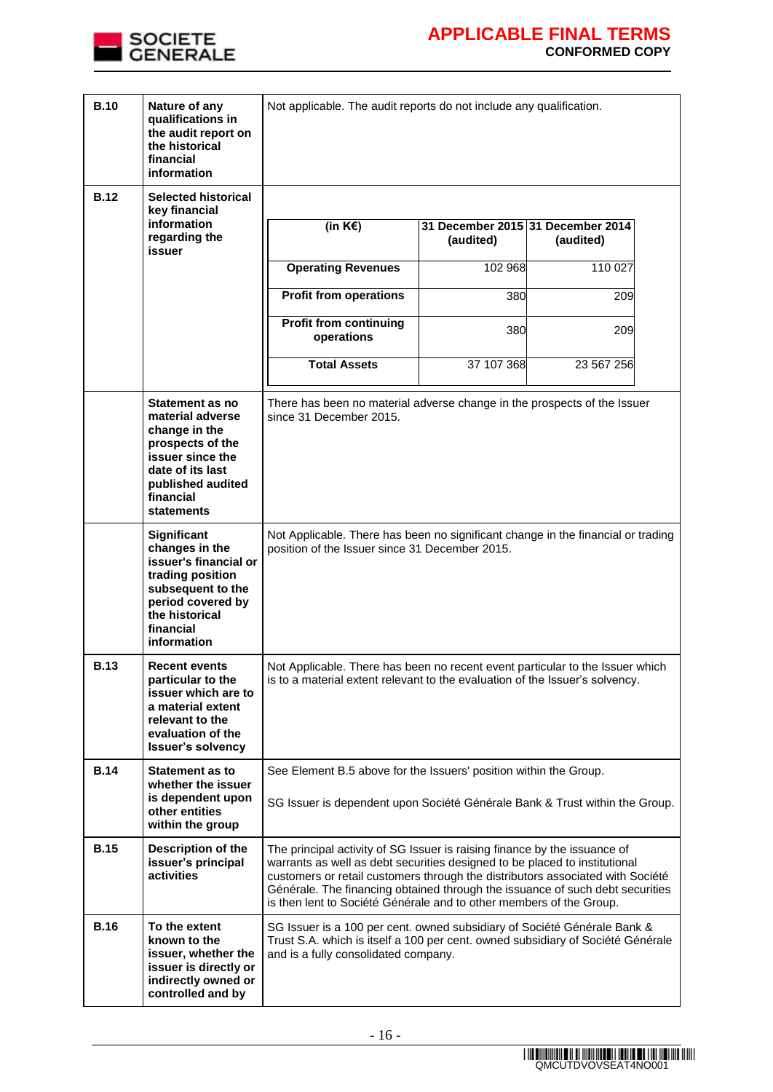

| <b>B.10</b> | Nature of any<br>qualifications in<br>the audit report on<br>the historical<br>financial<br>information                                                                 | Not applicable. The audit reports do not include any qualification.                                                                                                                                                                                                                                                                                                                               |            |                                                |
|-------------|-------------------------------------------------------------------------------------------------------------------------------------------------------------------------|---------------------------------------------------------------------------------------------------------------------------------------------------------------------------------------------------------------------------------------------------------------------------------------------------------------------------------------------------------------------------------------------------|------------|------------------------------------------------|
| <b>B.12</b> | <b>Selected historical</b><br>key financial                                                                                                                             |                                                                                                                                                                                                                                                                                                                                                                                                   |            |                                                |
|             | information<br>regarding the<br>issuer                                                                                                                                  | (in $K \in \mathcal{E}$ )                                                                                                                                                                                                                                                                                                                                                                         | (audited)  | 31 December 2015 31 December 2014<br>(audited) |
|             |                                                                                                                                                                         | <b>Operating Revenues</b>                                                                                                                                                                                                                                                                                                                                                                         | 102 968    | 110 027                                        |
|             |                                                                                                                                                                         | <b>Profit from operations</b>                                                                                                                                                                                                                                                                                                                                                                     | 380        | 209                                            |
|             |                                                                                                                                                                         | <b>Profit from continuing</b><br>operations                                                                                                                                                                                                                                                                                                                                                       | 380        | 209                                            |
|             |                                                                                                                                                                         | <b>Total Assets</b>                                                                                                                                                                                                                                                                                                                                                                               | 37 107 368 | 23 567 256                                     |
|             | Statement as no<br>material adverse<br>change in the<br>prospects of the<br>issuer since the<br>date of its last<br>published audited<br>financial<br><b>statements</b> | There has been no material adverse change in the prospects of the Issuer<br>since 31 December 2015.                                                                                                                                                                                                                                                                                               |            |                                                |
|             | Significant<br>changes in the<br>issuer's financial or<br>trading position<br>subsequent to the<br>period covered by<br>the historical<br>financial<br>information      | Not Applicable. There has been no significant change in the financial or trading<br>position of the Issuer since 31 December 2015.                                                                                                                                                                                                                                                                |            |                                                |
| <b>B.13</b> | <b>Recent events</b><br>particular to the<br>issuer which are to<br>a material extent<br>relevant to the<br>evaluation of the<br><b>Issuer's solvency</b>               | Not Applicable. There has been no recent event particular to the Issuer which<br>is to a material extent relevant to the evaluation of the Issuer's solvency.                                                                                                                                                                                                                                     |            |                                                |
| <b>B.14</b> | <b>Statement as to</b><br>whether the issuer                                                                                                                            | See Element B.5 above for the Issuers' position within the Group.<br>SG Issuer is dependent upon Société Générale Bank & Trust within the Group.                                                                                                                                                                                                                                                  |            |                                                |
|             | is dependent upon<br>other entities<br>within the group                                                                                                                 |                                                                                                                                                                                                                                                                                                                                                                                                   |            |                                                |
| <b>B.15</b> | Description of the<br>issuer's principal<br>activities                                                                                                                  | The principal activity of SG Issuer is raising finance by the issuance of<br>warrants as well as debt securities designed to be placed to institutional<br>customers or retail customers through the distributors associated with Société<br>Générale. The financing obtained through the issuance of such debt securities<br>is then lent to Société Générale and to other members of the Group. |            |                                                |
| <b>B.16</b> | To the extent<br>known to the<br>issuer, whether the<br>issuer is directly or<br>indirectly owned or<br>controlled and by                                               | SG Issuer is a 100 per cent. owned subsidiary of Société Générale Bank &<br>Trust S.A. which is itself a 100 per cent. owned subsidiary of Société Générale<br>and is a fully consolidated company.                                                                                                                                                                                               |            |                                                |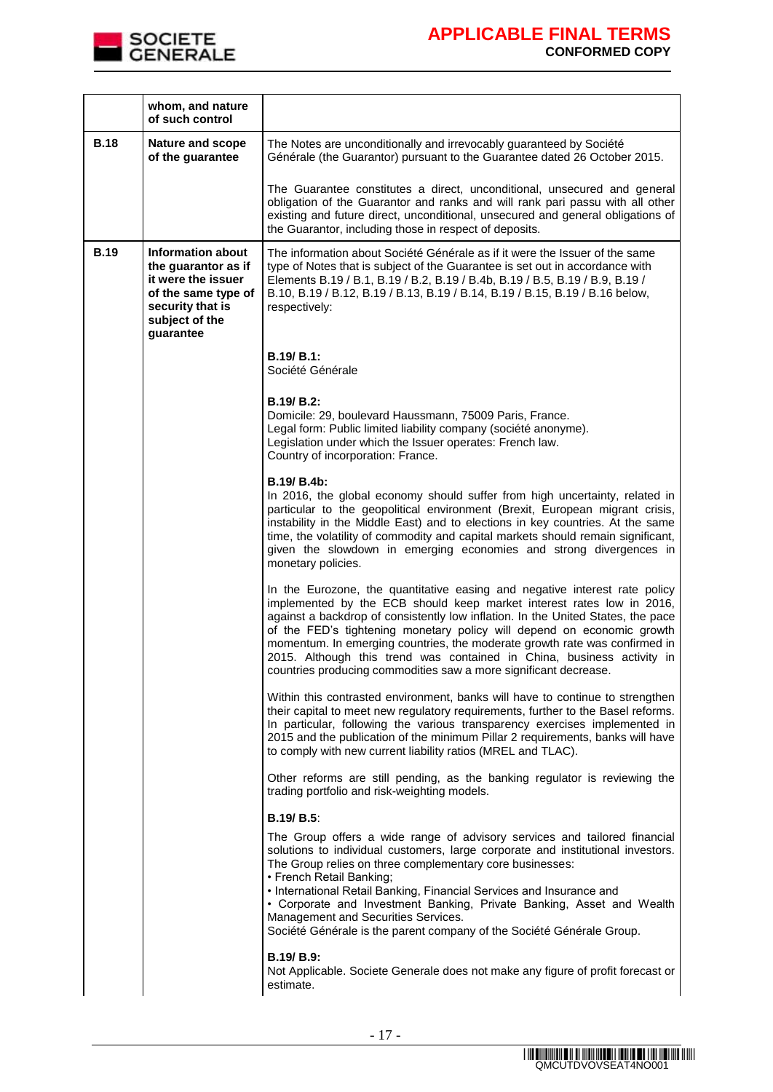

|             | whom, and nature<br>of such control                                                                                                             |                                                                                                                                                                                                                                                                                                                                                                                                                                                                                                                                               |
|-------------|-------------------------------------------------------------------------------------------------------------------------------------------------|-----------------------------------------------------------------------------------------------------------------------------------------------------------------------------------------------------------------------------------------------------------------------------------------------------------------------------------------------------------------------------------------------------------------------------------------------------------------------------------------------------------------------------------------------|
| <b>B.18</b> | <b>Nature and scope</b><br>of the guarantee                                                                                                     | The Notes are unconditionally and irrevocably guaranteed by Société<br>Générale (the Guarantor) pursuant to the Guarantee dated 26 October 2015.                                                                                                                                                                                                                                                                                                                                                                                              |
|             |                                                                                                                                                 | The Guarantee constitutes a direct, unconditional, unsecured and general<br>obligation of the Guarantor and ranks and will rank pari passu with all other<br>existing and future direct, unconditional, unsecured and general obligations of<br>the Guarantor, including those in respect of deposits.                                                                                                                                                                                                                                        |
| <b>B.19</b> | <b>Information about</b><br>the guarantor as if<br>it were the issuer<br>of the same type of<br>security that is<br>subject of the<br>guarantee | The information about Société Générale as if it were the Issuer of the same<br>type of Notes that is subject of the Guarantee is set out in accordance with<br>Elements B.19 / B.1, B.19 / B.2, B.19 / B.4b, B.19 / B.5, B.19 / B.9, B.19 /<br>B.10, B.19 / B.12, B.19 / B.13, B.19 / B.14, B.19 / B.15, B.19 / B.16 below,<br>respectively:                                                                                                                                                                                                  |
|             |                                                                                                                                                 | <b>B.19/ B.1:</b><br>Société Générale                                                                                                                                                                                                                                                                                                                                                                                                                                                                                                         |
|             |                                                                                                                                                 | $B.19/B.2$ :<br>Domicile: 29, boulevard Haussmann, 75009 Paris, France.<br>Legal form: Public limited liability company (société anonyme).<br>Legislation under which the Issuer operates: French law.<br>Country of incorporation: France.                                                                                                                                                                                                                                                                                                   |
|             |                                                                                                                                                 | B.19/ B.4b:<br>In 2016, the global economy should suffer from high uncertainty, related in<br>particular to the geopolitical environment (Brexit, European migrant crisis,<br>instability in the Middle East) and to elections in key countries. At the same<br>time, the volatility of commodity and capital markets should remain significant,<br>given the slowdown in emerging economies and strong divergences in<br>monetary policies.                                                                                                  |
|             |                                                                                                                                                 | In the Eurozone, the quantitative easing and negative interest rate policy<br>implemented by the ECB should keep market interest rates low in 2016,<br>against a backdrop of consistently low inflation. In the United States, the pace<br>of the FED's tightening monetary policy will depend on economic growth<br>momentum. In emerging countries, the moderate growth rate was confirmed in<br>2015. Although this trend was contained in China, business activity in<br>countries producing commodities saw a more significant decrease. |
|             |                                                                                                                                                 | Within this contrasted environment, banks will have to continue to strengthen<br>their capital to meet new regulatory requirements, further to the Basel reforms.<br>In particular, following the various transparency exercises implemented in<br>2015 and the publication of the minimum Pillar 2 requirements, banks will have<br>to comply with new current liability ratios (MREL and TLAC).                                                                                                                                             |
|             |                                                                                                                                                 | Other reforms are still pending, as the banking regulator is reviewing the<br>trading portfolio and risk-weighting models.                                                                                                                                                                                                                                                                                                                                                                                                                    |
|             |                                                                                                                                                 | <b>B.19/ B.5:</b><br>The Group offers a wide range of advisory services and tailored financial                                                                                                                                                                                                                                                                                                                                                                                                                                                |
|             |                                                                                                                                                 | solutions to individual customers, large corporate and institutional investors.<br>The Group relies on three complementary core businesses:<br>• French Retail Banking;<br>• International Retail Banking, Financial Services and Insurance and<br>• Corporate and Investment Banking, Private Banking, Asset and Wealth<br>Management and Securities Services.<br>Société Générale is the parent company of the Société Générale Group.                                                                                                      |
|             |                                                                                                                                                 | B.19/B.9:<br>Not Applicable. Societe Generale does not make any figure of profit forecast or<br>estimate.                                                                                                                                                                                                                                                                                                                                                                                                                                     |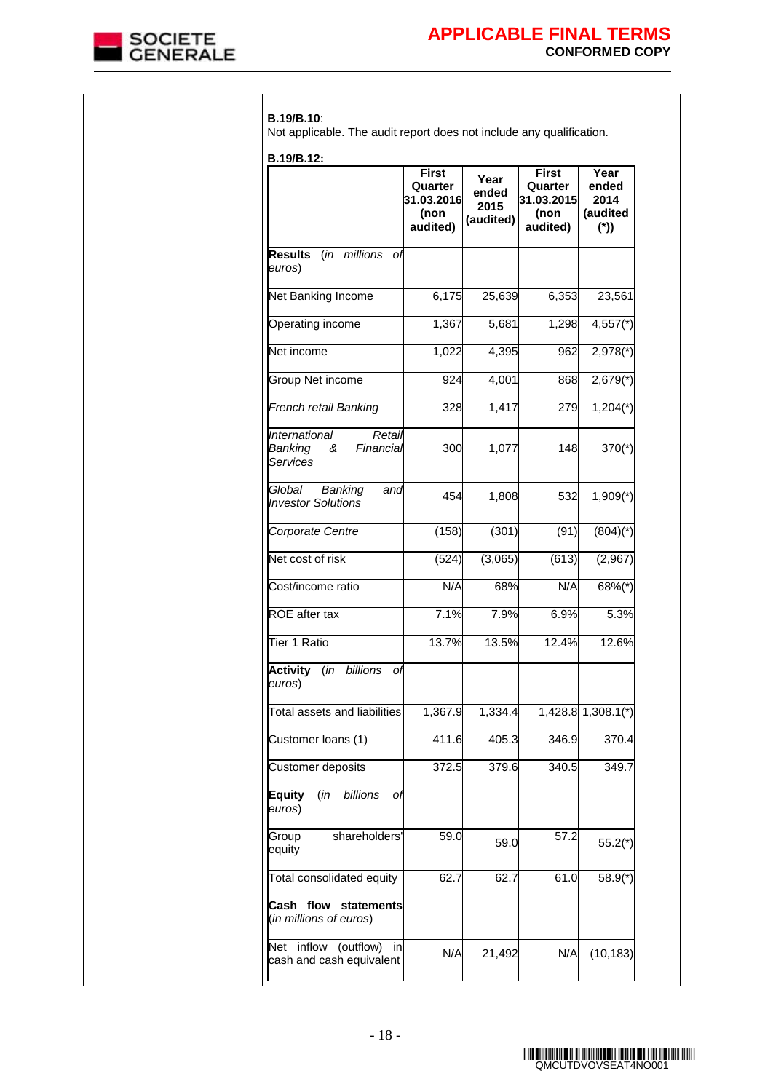

### **B.19/B.10**:

Not applicable. The audit report does not include any qualification.

**B.19/B.12:**

| B.19/B.12:                                                       |                                                    |                                    |                                                           |                                            |
|------------------------------------------------------------------|----------------------------------------------------|------------------------------------|-----------------------------------------------------------|--------------------------------------------|
|                                                                  | First<br>Quarter<br>31.03.2016<br>(non<br>audited) | Year<br>ended<br>2015<br>(audited) | <b>First</b><br>Quarter<br>31.03.2015<br>(non<br>audited) | Year<br>ended<br>2014<br>(audited<br>$(*)$ |
| millions<br><b>Results</b><br>(in<br>Оf<br>euros)                |                                                    |                                    |                                                           |                                            |
| Net Banking Income                                               | 6,175                                              | 25,639                             | 6,353                                                     | 23,561                                     |
| Operating income                                                 | 1,367                                              | 5,681                              | 1,298                                                     | $4,557$ (*)                                |
| Net income                                                       | 1,022                                              | 4,395                              | 962                                                       | $2,978$ <sup>*</sup> )                     |
| Group Net income                                                 | 924                                                | 4,001                              | 868                                                       | $2,679(*)$                                 |
| French retail Banking                                            | 328                                                | 1,417                              | 279                                                       | $1,204$ <sup>*</sup> )                     |
| International<br>Retail<br>Banking<br>&<br>Financial<br>Services | 300                                                | 1,077                              | 148                                                       | $370(*)$                                   |
| Global<br>Banking<br>and<br><b>Investor Solutions</b>            | 454                                                | 1,808                              | 532                                                       | $1,909$ <sup>*</sup> )                     |
| Corporate Centre                                                 | (158)                                              | (301)                              | (91)                                                      | $(804)(*)$                                 |
| Net cost of risk                                                 | (524)                                              | (3,065)                            | (613)                                                     | (2,967)                                    |
| Cost/income ratio                                                | N/A                                                | 68%                                | N/A                                                       | $68\%$ (*)                                 |
| <b>ROE</b> after tax                                             | 7.1%                                               | 7.9%                               | 6.9%                                                      | 5.3%                                       |
| Tier 1 Ratio                                                     | 13.7%                                              | 13.5%                              | 12.4%                                                     | 12.6%                                      |
| (in billions<br><b>Activity</b><br>оf<br>euros)                  |                                                    |                                    |                                                           |                                            |
| Total assets and liabilities                                     | 1,367.9                                            | 1,334.4                            |                                                           | 1,428.8 1,308.1(*)                         |
| Customer loans (1)                                               | 411.6                                              | 405.3                              | 346.9                                                     | 370.4                                      |
| Customer deposits                                                | 372.5                                              | 379.6                              | 340.5                                                     | 349.7                                      |
| (in<br>billions<br><b>Equity</b><br>Оf<br>euros)                 |                                                    |                                    |                                                           |                                            |
| shareholders'<br>Group<br>equity                                 | 59.0                                               | 59.0                               | 57.2                                                      | $55.2(*)$                                  |
| Total consolidated equity                                        | 62.7                                               | 62.7                               | 61.0                                                      | $58.9(*)$                                  |
| Cash<br>flow<br>statements<br>(in millions of euros)             |                                                    |                                    |                                                           |                                            |
| inflow<br>(outflow)<br>Net<br>in<br>cash and cash equivalent     | N/A                                                | 21,492                             | N/A                                                       | (10, 183)                                  |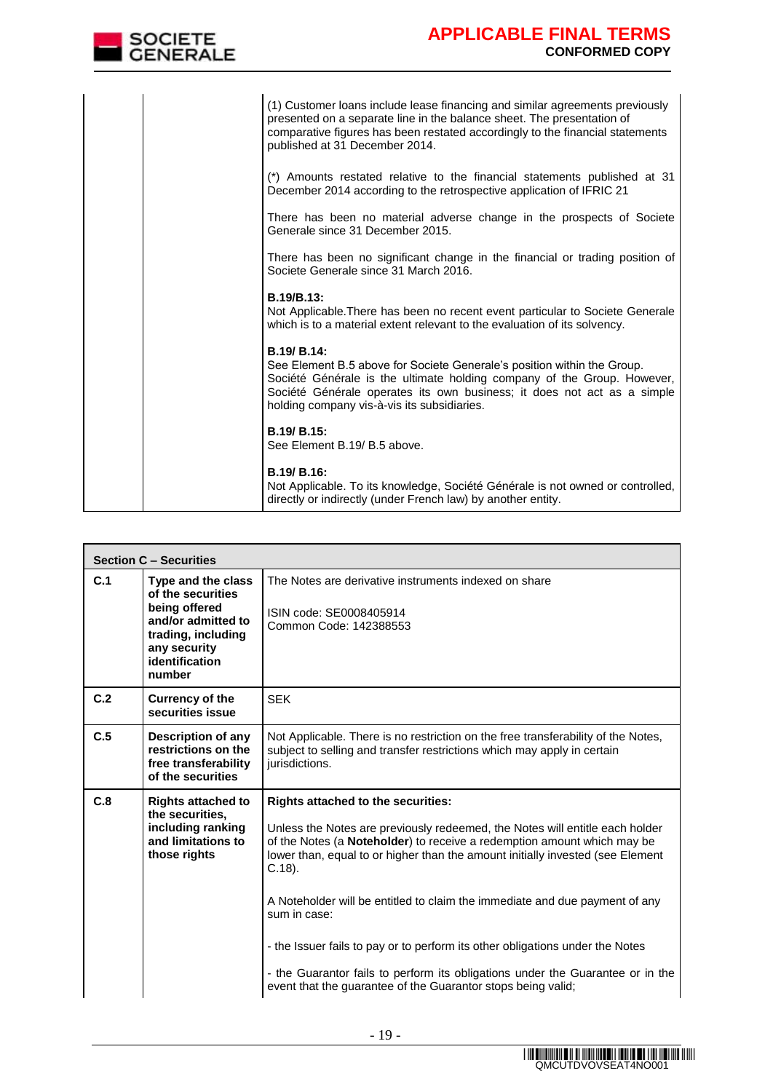

|  | (1) Customer loans include lease financing and similar agreements previously<br>presented on a separate line in the balance sheet. The presentation of<br>comparative figures has been restated accordingly to the financial statements<br>published at 31 December 2014.                   |
|--|---------------------------------------------------------------------------------------------------------------------------------------------------------------------------------------------------------------------------------------------------------------------------------------------|
|  | (*) Amounts restated relative to the financial statements published at 31<br>December 2014 according to the retrospective application of IFRIC 21                                                                                                                                           |
|  | There has been no material adverse change in the prospects of Societe<br>Generale since 31 December 2015.                                                                                                                                                                                   |
|  | There has been no significant change in the financial or trading position of<br>Societe Generale since 31 March 2016.                                                                                                                                                                       |
|  | B.19/B.13:<br>Not Applicable. There has been no recent event particular to Societe Generale<br>which is to a material extent relevant to the evaluation of its solvency.                                                                                                                    |
|  | B.19/ B.14:<br>See Element B.5 above for Societe Generale's position within the Group.<br>Société Générale is the ultimate holding company of the Group. However,<br>Société Générale operates its own business; it does not act as a simple<br>holding company vis-à-vis its subsidiaries. |
|  | B.19/ B.15:<br>See Element B.19/ B.5 above.                                                                                                                                                                                                                                                 |
|  | B.19/ B.16:<br>Not Applicable. To its knowledge, Société Générale is not owned or controlled,<br>directly or indirectly (under French law) by another entity.                                                                                                                               |

|     | <b>Section C - Securities</b>                                                                                                                    |                                                                                                                                                                                                                                                                                                                                                                                                                                                                                                                                                                                                                                       |  |  |
|-----|--------------------------------------------------------------------------------------------------------------------------------------------------|---------------------------------------------------------------------------------------------------------------------------------------------------------------------------------------------------------------------------------------------------------------------------------------------------------------------------------------------------------------------------------------------------------------------------------------------------------------------------------------------------------------------------------------------------------------------------------------------------------------------------------------|--|--|
| C.1 | Type and the class<br>of the securities<br>being offered<br>and/or admitted to<br>trading, including<br>any security<br>identification<br>number | The Notes are derivative instruments indexed on share<br>ISIN code: SE0008405914<br>Common Code: 142388553                                                                                                                                                                                                                                                                                                                                                                                                                                                                                                                            |  |  |
| C.2 | <b>Currency of the</b><br>securities issue                                                                                                       | <b>SEK</b>                                                                                                                                                                                                                                                                                                                                                                                                                                                                                                                                                                                                                            |  |  |
| C.5 | Description of any<br>restrictions on the<br>free transferability<br>of the securities                                                           | Not Applicable. There is no restriction on the free transferability of the Notes,<br>subject to selling and transfer restrictions which may apply in certain<br>jurisdictions.                                                                                                                                                                                                                                                                                                                                                                                                                                                        |  |  |
| C.8 | <b>Rights attached to</b><br>the securities.<br>including ranking<br>and limitations to<br>those rights                                          | <b>Rights attached to the securities:</b><br>Unless the Notes are previously redeemed, the Notes will entitle each holder<br>of the Notes (a Noteholder) to receive a redemption amount which may be<br>lower than, equal to or higher than the amount initially invested (see Element<br>$C.18$ ).<br>A Noteholder will be entitled to claim the immediate and due payment of any<br>sum in case:<br>- the Issuer fails to pay or to perform its other obligations under the Notes<br>- the Guarantor fails to perform its obligations under the Guarantee or in the<br>event that the guarantee of the Guarantor stops being valid; |  |  |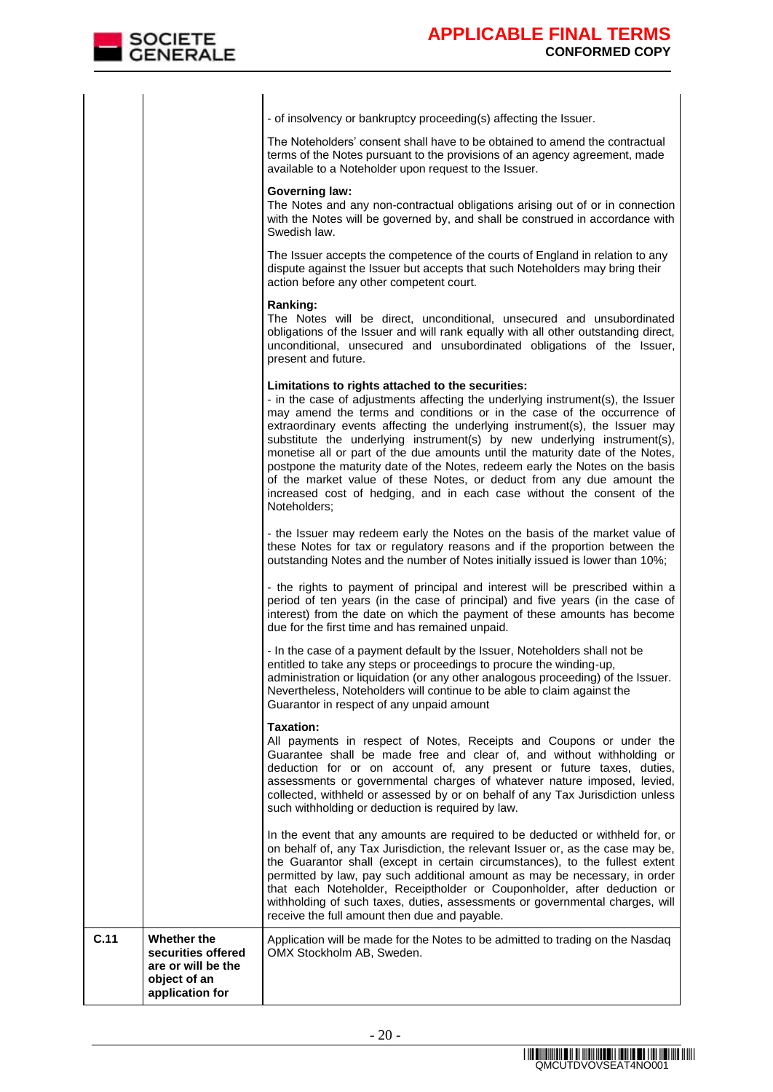| C.11 | Whether the<br>securities offered<br>are or will be the<br>object of an<br>application for | Application will be made for the Notes to be admitted to trading on the Nasdaq<br>OMX Stockholm AB, Sweden.                                                                                                                                                                                                                                                                                                                                                                                                                                                                                                                                                                                                   |
|------|--------------------------------------------------------------------------------------------|---------------------------------------------------------------------------------------------------------------------------------------------------------------------------------------------------------------------------------------------------------------------------------------------------------------------------------------------------------------------------------------------------------------------------------------------------------------------------------------------------------------------------------------------------------------------------------------------------------------------------------------------------------------------------------------------------------------|
|      |                                                                                            | In the event that any amounts are required to be deducted or withheld for, or<br>on behalf of, any Tax Jurisdiction, the relevant Issuer or, as the case may be,<br>the Guarantor shall (except in certain circumstances), to the fullest extent<br>permitted by law, pay such additional amount as may be necessary, in order<br>that each Noteholder, Receiptholder or Couponholder, after deduction or<br>withholding of such taxes, duties, assessments or governmental charges, will<br>receive the full amount then due and payable.                                                                                                                                                                    |
|      |                                                                                            | <b>Taxation:</b><br>All payments in respect of Notes, Receipts and Coupons or under the<br>Guarantee shall be made free and clear of, and without withholding or<br>deduction for or on account of, any present or future taxes, duties,<br>assessments or governmental charges of whatever nature imposed, levied,<br>collected, withheld or assessed by or on behalf of any Tax Jurisdiction unless<br>such withholding or deduction is required by law.                                                                                                                                                                                                                                                    |
|      |                                                                                            | - In the case of a payment default by the Issuer, Noteholders shall not be<br>entitled to take any steps or proceedings to procure the winding-up,<br>administration or liquidation (or any other analogous proceeding) of the Issuer.<br>Nevertheless, Noteholders will continue to be able to claim against the<br>Guarantor in respect of any unpaid amount                                                                                                                                                                                                                                                                                                                                                |
|      |                                                                                            | - the rights to payment of principal and interest will be prescribed within a<br>period of ten years (in the case of principal) and five years (in the case of<br>interest) from the date on which the payment of these amounts has become<br>due for the first time and has remained unpaid.                                                                                                                                                                                                                                                                                                                                                                                                                 |
|      |                                                                                            | - the Issuer may redeem early the Notes on the basis of the market value of<br>these Notes for tax or regulatory reasons and if the proportion between the<br>outstanding Notes and the number of Notes initially issued is lower than 10%;                                                                                                                                                                                                                                                                                                                                                                                                                                                                   |
|      |                                                                                            | Limitations to rights attached to the securities:<br>- in the case of adjustments affecting the underlying instrument(s), the Issuer<br>may amend the terms and conditions or in the case of the occurrence of<br>extraordinary events affecting the underlying instrument(s), the Issuer may<br>substitute the underlying instrument(s) by new underlying instrument(s),<br>monetise all or part of the due amounts until the maturity date of the Notes,<br>postpone the maturity date of the Notes, redeem early the Notes on the basis<br>of the market value of these Notes, or deduct from any due amount the<br>increased cost of hedging, and in each case without the consent of the<br>Noteholders; |
|      |                                                                                            | Ranking:<br>The Notes will be direct, unconditional, unsecured and unsubordinated<br>obligations of the Issuer and will rank equally with all other outstanding direct,<br>unconditional, unsecured and unsubordinated obligations of the Issuer,<br>present and future.                                                                                                                                                                                                                                                                                                                                                                                                                                      |
|      |                                                                                            | The Issuer accepts the competence of the courts of England in relation to any<br>dispute against the Issuer but accepts that such Noteholders may bring their<br>action before any other competent court.                                                                                                                                                                                                                                                                                                                                                                                                                                                                                                     |
|      |                                                                                            | <b>Governing law:</b><br>The Notes and any non-contractual obligations arising out of or in connection<br>with the Notes will be governed by, and shall be construed in accordance with<br>Swedish law.                                                                                                                                                                                                                                                                                                                                                                                                                                                                                                       |
|      |                                                                                            | The Noteholders' consent shall have to be obtained to amend the contractual<br>terms of the Notes pursuant to the provisions of an agency agreement, made<br>available to a Noteholder upon request to the Issuer.                                                                                                                                                                                                                                                                                                                                                                                                                                                                                            |
|      |                                                                                            | - of insolvency or bankruptcy proceeding(s) affecting the Issuer.                                                                                                                                                                                                                                                                                                                                                                                                                                                                                                                                                                                                                                             |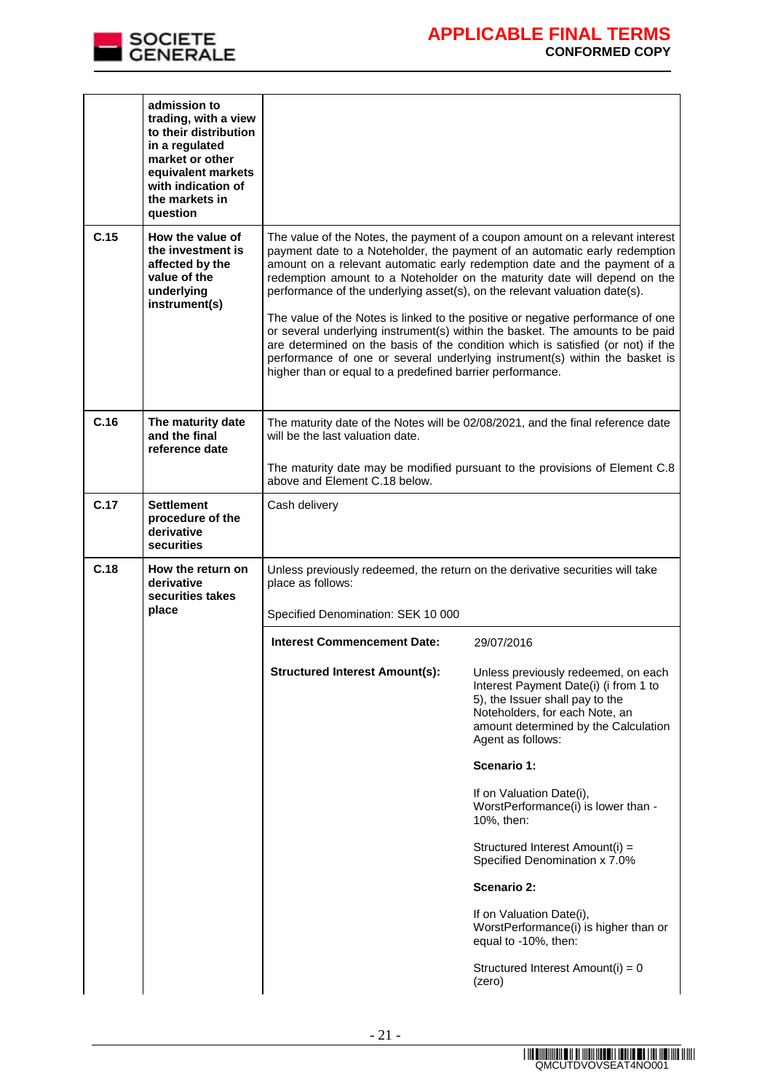

|                                                                                                                                                                                                                  | admission to<br>trading, with a view<br>to their distribution<br>in a regulated<br>market or other<br>equivalent markets<br>with indication of<br>the markets in<br>question |                                                                                                                                                                                                                                                                                                                                                                                                                                                                                                                                                                                                                                                                                                                                                                                                        |                                                                                                                                                                                                                |  |
|------------------------------------------------------------------------------------------------------------------------------------------------------------------------------------------------------------------|------------------------------------------------------------------------------------------------------------------------------------------------------------------------------|--------------------------------------------------------------------------------------------------------------------------------------------------------------------------------------------------------------------------------------------------------------------------------------------------------------------------------------------------------------------------------------------------------------------------------------------------------------------------------------------------------------------------------------------------------------------------------------------------------------------------------------------------------------------------------------------------------------------------------------------------------------------------------------------------------|----------------------------------------------------------------------------------------------------------------------------------------------------------------------------------------------------------------|--|
| C.15                                                                                                                                                                                                             | How the value of<br>the investment is<br>affected by the<br>value of the<br>underlying<br>instrument(s)                                                                      | The value of the Notes, the payment of a coupon amount on a relevant interest<br>payment date to a Noteholder, the payment of an automatic early redemption<br>amount on a relevant automatic early redemption date and the payment of a<br>redemption amount to a Noteholder on the maturity date will depend on the<br>performance of the underlying asset(s), on the relevant valuation date(s).<br>The value of the Notes is linked to the positive or negative performance of one<br>or several underlying instrument(s) within the basket. The amounts to be paid<br>are determined on the basis of the condition which is satisfied (or not) if the<br>performance of one or several underlying instrument(s) within the basket is<br>higher than or equal to a predefined barrier performance. |                                                                                                                                                                                                                |  |
| C.16                                                                                                                                                                                                             | The maturity date<br>and the final<br>reference date                                                                                                                         | will be the last valuation date.<br>above and Element C.18 below.                                                                                                                                                                                                                                                                                                                                                                                                                                                                                                                                                                                                                                                                                                                                      | The maturity date of the Notes will be 02/08/2021, and the final reference date<br>The maturity date may be modified pursuant to the provisions of Element C.8                                                 |  |
| C.17                                                                                                                                                                                                             | <b>Settlement</b><br>procedure of the<br>derivative<br>securities                                                                                                            | Cash delivery                                                                                                                                                                                                                                                                                                                                                                                                                                                                                                                                                                                                                                                                                                                                                                                          |                                                                                                                                                                                                                |  |
| C.18<br>How the return on<br>Unless previously redeemed, the return on the derivative securities will take<br>derivative<br>place as follows:<br>securities takes<br>place<br>Specified Denomination: SEK 10 000 |                                                                                                                                                                              |                                                                                                                                                                                                                                                                                                                                                                                                                                                                                                                                                                                                                                                                                                                                                                                                        |                                                                                                                                                                                                                |  |
|                                                                                                                                                                                                                  |                                                                                                                                                                              | <b>Interest Commencement Date:</b>                                                                                                                                                                                                                                                                                                                                                                                                                                                                                                                                                                                                                                                                                                                                                                     | 29/07/2016                                                                                                                                                                                                     |  |
|                                                                                                                                                                                                                  |                                                                                                                                                                              | <b>Structured Interest Amount(s):</b>                                                                                                                                                                                                                                                                                                                                                                                                                                                                                                                                                                                                                                                                                                                                                                  | Unless previously redeemed, on each<br>Interest Payment Date(i) (i from 1 to<br>5), the Issuer shall pay to the<br>Noteholders, for each Note, an<br>amount determined by the Calculation<br>Agent as follows: |  |
|                                                                                                                                                                                                                  |                                                                                                                                                                              |                                                                                                                                                                                                                                                                                                                                                                                                                                                                                                                                                                                                                                                                                                                                                                                                        | Scenario 1:                                                                                                                                                                                                    |  |
|                                                                                                                                                                                                                  |                                                                                                                                                                              |                                                                                                                                                                                                                                                                                                                                                                                                                                                                                                                                                                                                                                                                                                                                                                                                        | If on Valuation Date(i),<br>WorstPerformance(i) is lower than -<br>10%, then:                                                                                                                                  |  |
|                                                                                                                                                                                                                  |                                                                                                                                                                              |                                                                                                                                                                                                                                                                                                                                                                                                                                                                                                                                                                                                                                                                                                                                                                                                        | Structured Interest Amount(i) =<br>Specified Denomination x 7.0%                                                                                                                                               |  |
|                                                                                                                                                                                                                  |                                                                                                                                                                              |                                                                                                                                                                                                                                                                                                                                                                                                                                                                                                                                                                                                                                                                                                                                                                                                        | Scenario 2:                                                                                                                                                                                                    |  |
|                                                                                                                                                                                                                  |                                                                                                                                                                              |                                                                                                                                                                                                                                                                                                                                                                                                                                                                                                                                                                                                                                                                                                                                                                                                        | If on Valuation Date(i),<br>WorstPerformance(i) is higher than or<br>equal to -10%, then:                                                                                                                      |  |
|                                                                                                                                                                                                                  |                                                                                                                                                                              |                                                                                                                                                                                                                                                                                                                                                                                                                                                                                                                                                                                                                                                                                                                                                                                                        | Structured Interest Amount(i) = 0<br>(zero)                                                                                                                                                                    |  |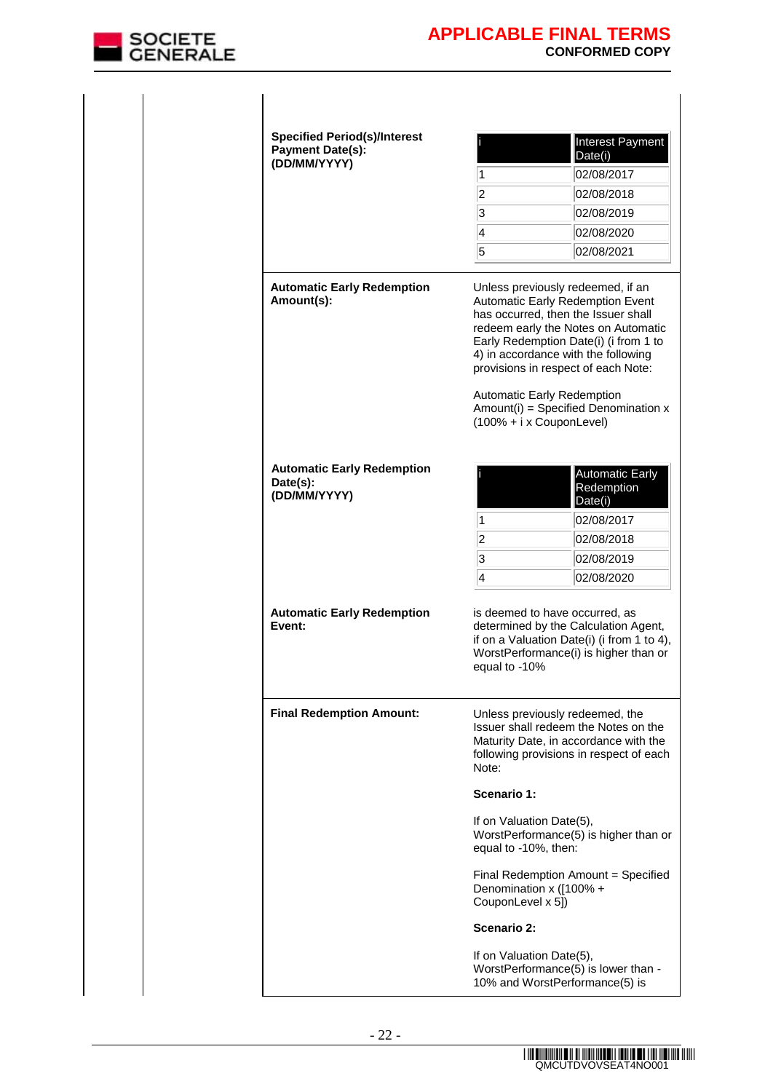

| <b>Specified Period(s)/Interest</b><br><b>Payment Date(s):</b><br>(DD/MM/YYYY) | 1                                                | Interest Payment<br>Date(i)<br>02/08/2017                                                                                                                                                                                                                                                                                                                                                    |
|--------------------------------------------------------------------------------|--------------------------------------------------|----------------------------------------------------------------------------------------------------------------------------------------------------------------------------------------------------------------------------------------------------------------------------------------------------------------------------------------------------------------------------------------------|
|                                                                                | $\overline{2}$                                   | 02/08/2018                                                                                                                                                                                                                                                                                                                                                                                   |
|                                                                                | 3                                                | 02/08/2019                                                                                                                                                                                                                                                                                                                                                                                   |
|                                                                                | 4                                                | 02/08/2020                                                                                                                                                                                                                                                                                                                                                                                   |
|                                                                                | 5                                                | 02/08/2021                                                                                                                                                                                                                                                                                                                                                                                   |
| <b>Automatic Early Redemption</b><br>Amount(s):                                |                                                  | Unless previously redeemed, if an<br>Automatic Early Redemption Event<br>has occurred, then the Issuer shall<br>redeem early the Notes on Automatic<br>Early Redemption Date(i) (i from 1 to<br>4) in accordance with the following<br>provisions in respect of each Note:<br>Automatic Early Redemption<br>$Amount(i) = Specificd Denominator x$<br>$(100\% + i \times \text{CouponLevel})$ |
| <b>Automatic Early Redemption</b><br>Date(s):<br>(DD/MM/YYYY)                  | 1                                                | <b>Automatic Early</b><br>Redemption<br>Date(i)<br>02/08/2017                                                                                                                                                                                                                                                                                                                                |
|                                                                                | $\overline{2}$                                   | 02/08/2018                                                                                                                                                                                                                                                                                                                                                                                   |
|                                                                                | 3                                                | 02/08/2019                                                                                                                                                                                                                                                                                                                                                                                   |
|                                                                                | 4                                                | 02/08/2020                                                                                                                                                                                                                                                                                                                                                                                   |
| <b>Automatic Early Redemption</b><br>Event:                                    | equal to -10%                                    | is deemed to have occurred, as<br>determined by the Calculation Agent,<br>if on a Valuation Date(i) (i from 1 to 4),<br>WorstPerformance(i) is higher than or                                                                                                                                                                                                                                |
| <b>Final Redemption Amount:</b>                                                | Note:                                            | Unless previously redeemed, the<br>Issuer shall redeem the Notes on the<br>Maturity Date, in accordance with the<br>following provisions in respect of each                                                                                                                                                                                                                                  |
|                                                                                | Scenario 1:                                      |                                                                                                                                                                                                                                                                                                                                                                                              |
|                                                                                | If on Valuation Date(5),<br>equal to -10%, then: | WorstPerformance(5) is higher than or                                                                                                                                                                                                                                                                                                                                                        |
|                                                                                | CouponLevel x 5])                                | Final Redemption Amount = Specified<br>Denomination x ([100% +                                                                                                                                                                                                                                                                                                                               |
|                                                                                | Scenario 2:                                      |                                                                                                                                                                                                                                                                                                                                                                                              |
|                                                                                | If on Valuation Date(5),                         | WorstPerformance(5) is lower than -<br>10% and WorstPerformance(5) is                                                                                                                                                                                                                                                                                                                        |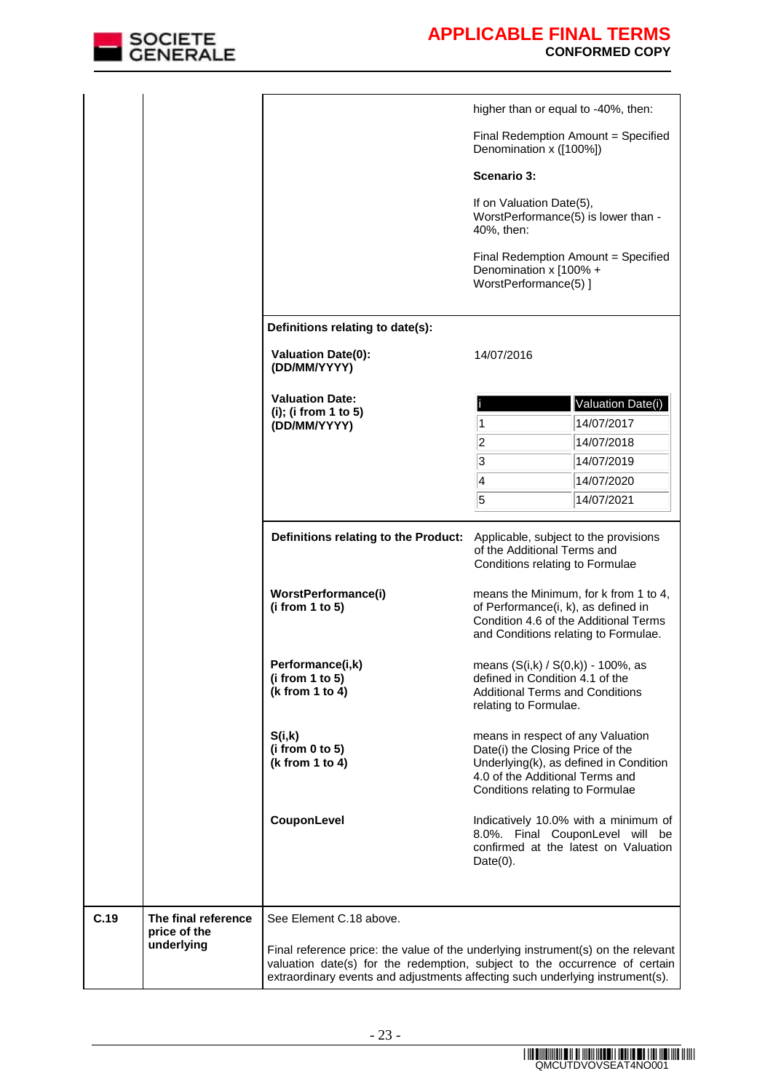

|      |                            |                                                                | higher than or equal to -40%, then:                                                                                                                                                                                                             |
|------|----------------------------|----------------------------------------------------------------|-------------------------------------------------------------------------------------------------------------------------------------------------------------------------------------------------------------------------------------------------|
|      |                            |                                                                | Final Redemption Amount = Specified<br>Denomination x ([100%])                                                                                                                                                                                  |
|      |                            |                                                                | Scenario 3:                                                                                                                                                                                                                                     |
|      |                            |                                                                | If on Valuation Date(5),<br>WorstPerformance(5) is lower than -<br>40%, then:                                                                                                                                                                   |
|      |                            |                                                                | Final Redemption Amount = Specified<br>Denomination x [100% +<br>WorstPerformance(5) ]                                                                                                                                                          |
|      |                            | Definitions relating to date(s):                               |                                                                                                                                                                                                                                                 |
|      |                            | <b>Valuation Date(0):</b><br>(DD/MM/YYYY)                      | 14/07/2016                                                                                                                                                                                                                                      |
|      |                            | <b>Valuation Date:</b><br>(i); (i from 1 to 5)<br>(DD/MM/YYYY) | Valuation Date(i)<br>14/07/2017<br>1                                                                                                                                                                                                            |
|      |                            |                                                                | 2<br>14/07/2018                                                                                                                                                                                                                                 |
|      |                            |                                                                | 3<br>14/07/2019                                                                                                                                                                                                                                 |
|      |                            |                                                                | 4<br>14/07/2020                                                                                                                                                                                                                                 |
|      |                            |                                                                | 5<br>14/07/2021                                                                                                                                                                                                                                 |
|      |                            | Definitions relating to the Product:                           | Applicable, subject to the provisions<br>of the Additional Terms and<br>Conditions relating to Formulae                                                                                                                                         |
|      |                            | WorstPerformance(i)<br>(i from $1$ to $5$ )                    | means the Minimum, for k from 1 to 4,<br>of Performance(i, k), as defined in<br>Condition 4.6 of the Additional Terms<br>and Conditions relating to Formulae.                                                                                   |
|      |                            | Performance(i,k)<br>(i from 1 to 5)<br>(k from 1 to 4)         | means (S(i,k) / S(0,k)) - 100%, as<br>defined in Condition 4.1 of the<br><b>Additional Terms and Conditions</b><br>relating to Formulae.                                                                                                        |
|      |                            | S(i,k)<br>(i from 0 to 5)<br>(k from 1 to 4)                   | means in respect of any Valuation<br>Date(i) the Closing Price of the<br>Underlying(k), as defined in Condition<br>4.0 of the Additional Terms and<br>Conditions relating to Formulae                                                           |
|      |                            | CouponLevel                                                    | Indicatively 10.0% with a minimum of<br>8.0%. Final CouponLevel will be<br>confirmed at the latest on Valuation<br>$Date(0)$ .                                                                                                                  |
| C.19 | The final reference        | See Element C.18 above.                                        |                                                                                                                                                                                                                                                 |
|      | price of the<br>underlying |                                                                | Final reference price: the value of the underlying instrument(s) on the relevant<br>valuation date(s) for the redemption, subject to the occurrence of certain<br>extraordinary events and adjustments affecting such underlying instrument(s). |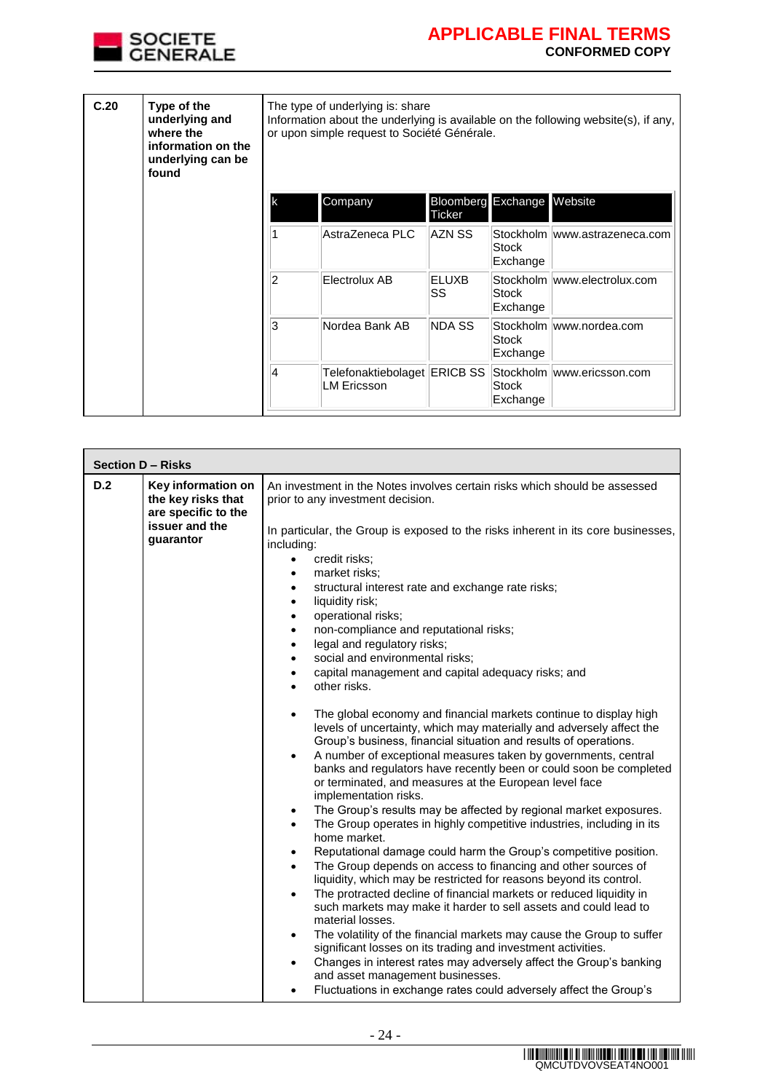

| C.20 | Type of the<br>underlying and<br>where the<br>information on the<br>underlying can be<br>found | The type of underlying is: share<br>Information about the underlying is available on the following website(s), if any,<br>or upon simple request to Société Générale. |                                                    |                                     |                   |                               |
|------|------------------------------------------------------------------------------------------------|-----------------------------------------------------------------------------------------------------------------------------------------------------------------------|----------------------------------------------------|-------------------------------------|-------------------|-------------------------------|
|      |                                                                                                | lk                                                                                                                                                                    | Company                                            | <b>Bloomberg</b> Exchange<br>Ticker |                   | Website                       |
|      |                                                                                                |                                                                                                                                                                       | AstraZeneca PLC                                    | AZN SS                              | Stock<br>Exchange | Stockholm www.astrazeneca.com |
|      |                                                                                                | 2                                                                                                                                                                     | Electrolux AB                                      | ELUXB<br>SS                         | Stock<br>Exchange | Stockholm www.electrolux.com  |
|      |                                                                                                | 3                                                                                                                                                                     | Nordea Bank AB                                     | NDA SS                              | Stock<br>Exchange | Stockholm www.nordea.com      |
|      |                                                                                                | 4                                                                                                                                                                     | Telefonaktiebolaget ERICB SS<br><b>LM Ericsson</b> |                                     | Stock<br>Exchange | Stockholm www.ericsson.com    |

|     | Section D - Risks                                                                              |                                                                                                                                                                                                                                                                                                                                                                                                                                                                                                                                                                                                                                                                                                                                                                                                                                                                                                                                                                                                                                                                                                                                                                                                                                                                                                                                                                                                                                                                                                                                                                                                                                                                                                                                                                                                                                                                                                                                                                        |  |  |  |
|-----|------------------------------------------------------------------------------------------------|------------------------------------------------------------------------------------------------------------------------------------------------------------------------------------------------------------------------------------------------------------------------------------------------------------------------------------------------------------------------------------------------------------------------------------------------------------------------------------------------------------------------------------------------------------------------------------------------------------------------------------------------------------------------------------------------------------------------------------------------------------------------------------------------------------------------------------------------------------------------------------------------------------------------------------------------------------------------------------------------------------------------------------------------------------------------------------------------------------------------------------------------------------------------------------------------------------------------------------------------------------------------------------------------------------------------------------------------------------------------------------------------------------------------------------------------------------------------------------------------------------------------------------------------------------------------------------------------------------------------------------------------------------------------------------------------------------------------------------------------------------------------------------------------------------------------------------------------------------------------------------------------------------------------------------------------------------------------|--|--|--|
| D.2 | Key information on<br>the key risks that<br>are specific to the<br>issuer and the<br>guarantor | An investment in the Notes involves certain risks which should be assessed<br>prior to any investment decision.<br>In particular, the Group is exposed to the risks inherent in its core businesses,<br>including:<br>credit risks:<br>$\bullet$<br>market risks;<br>$\bullet$<br>structural interest rate and exchange rate risks;<br>$\bullet$<br>liquidity risk;<br>$\bullet$<br>operational risks;<br>$\bullet$<br>non-compliance and reputational risks;<br>$\bullet$<br>legal and regulatory risks;<br>٠<br>social and environmental risks;<br>$\bullet$<br>capital management and capital adequacy risks; and<br>$\bullet$<br>other risks.<br>$\bullet$<br>The global economy and financial markets continue to display high<br>$\bullet$<br>levels of uncertainty, which may materially and adversely affect the<br>Group's business, financial situation and results of operations.<br>A number of exceptional measures taken by governments, central<br>$\bullet$<br>banks and regulators have recently been or could soon be completed<br>or terminated, and measures at the European level face<br>implementation risks.<br>The Group's results may be affected by regional market exposures.<br>$\bullet$<br>The Group operates in highly competitive industries, including in its<br>$\bullet$<br>home market.<br>Reputational damage could harm the Group's competitive position.<br>٠<br>The Group depends on access to financing and other sources of<br>$\bullet$<br>liquidity, which may be restricted for reasons beyond its control.<br>The protracted decline of financial markets or reduced liquidity in<br>٠<br>such markets may make it harder to sell assets and could lead to<br>material losses.<br>The volatility of the financial markets may cause the Group to suffer<br>$\bullet$<br>significant losses on its trading and investment activities.<br>Changes in interest rates may adversely affect the Group's banking<br>$\bullet$ |  |  |  |
|     |                                                                                                | and asset management businesses.<br>Fluctuations in exchange rates could adversely affect the Group's<br>$\bullet$                                                                                                                                                                                                                                                                                                                                                                                                                                                                                                                                                                                                                                                                                                                                                                                                                                                                                                                                                                                                                                                                                                                                                                                                                                                                                                                                                                                                                                                                                                                                                                                                                                                                                                                                                                                                                                                     |  |  |  |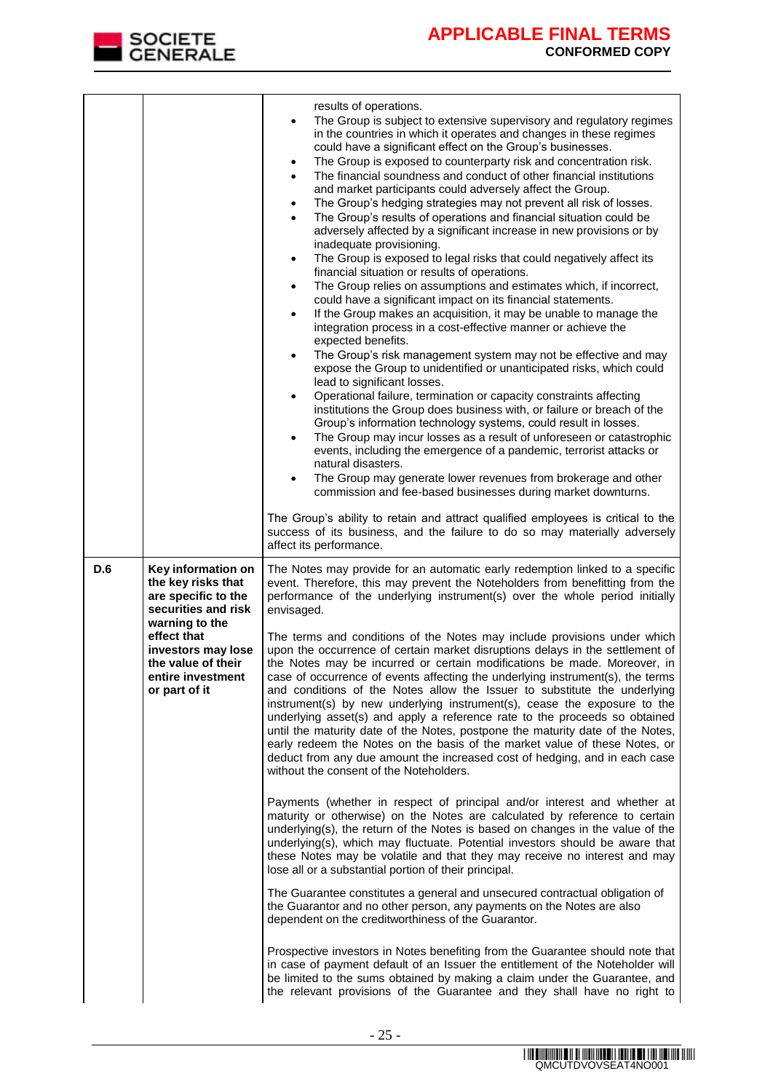

|     |                                                                                                                                                                                                           | results of operations.<br>The Group is subject to extensive supervisory and regulatory regimes<br>٠<br>in the countries in which it operates and changes in these regimes<br>could have a significant effect on the Group's businesses.<br>The Group is exposed to counterparty risk and concentration risk.<br>$\bullet$<br>The financial soundness and conduct of other financial institutions<br>$\bullet$<br>and market participants could adversely affect the Group.<br>The Group's hedging strategies may not prevent all risk of losses.<br>$\bullet$<br>The Group's results of operations and financial situation could be<br>$\bullet$<br>adversely affected by a significant increase in new provisions or by<br>inadequate provisioning.<br>The Group is exposed to legal risks that could negatively affect its<br>$\bullet$<br>financial situation or results of operations.<br>The Group relies on assumptions and estimates which, if incorrect,<br>$\bullet$<br>could have a significant impact on its financial statements.<br>If the Group makes an acquisition, it may be unable to manage the<br>$\bullet$<br>integration process in a cost-effective manner or achieve the<br>expected benefits.<br>The Group's risk management system may not be effective and may<br>$\bullet$<br>expose the Group to unidentified or unanticipated risks, which could<br>lead to significant losses.<br>Operational failure, termination or capacity constraints affecting<br>$\bullet$<br>institutions the Group does business with, or failure or breach of the<br>Group's information technology systems, could result in losses.<br>The Group may incur losses as a result of unforeseen or catastrophic<br>$\bullet$<br>events, including the emergence of a pandemic, terrorist attacks or<br>natural disasters.<br>The Group may generate lower revenues from brokerage and other<br>٠<br>commission and fee-based businesses during market downturns.<br>The Group's ability to retain and attract qualified employees is critical to the<br>success of its business, and the failure to do so may materially adversely<br>affect its performance. |
|-----|-----------------------------------------------------------------------------------------------------------------------------------------------------------------------------------------------------------|---------------------------------------------------------------------------------------------------------------------------------------------------------------------------------------------------------------------------------------------------------------------------------------------------------------------------------------------------------------------------------------------------------------------------------------------------------------------------------------------------------------------------------------------------------------------------------------------------------------------------------------------------------------------------------------------------------------------------------------------------------------------------------------------------------------------------------------------------------------------------------------------------------------------------------------------------------------------------------------------------------------------------------------------------------------------------------------------------------------------------------------------------------------------------------------------------------------------------------------------------------------------------------------------------------------------------------------------------------------------------------------------------------------------------------------------------------------------------------------------------------------------------------------------------------------------------------------------------------------------------------------------------------------------------------------------------------------------------------------------------------------------------------------------------------------------------------------------------------------------------------------------------------------------------------------------------------------------------------------------------------------------------------------------------------------------------------------------------------------------------------------------------------------------|
| D.6 | Key information on<br>the key risks that<br>are specific to the<br>securities and risk<br>warning to the<br>effect that<br>investors may lose<br>the value of their<br>entire investment<br>or part of it | The Notes may provide for an automatic early redemption linked to a specific<br>event. Therefore, this may prevent the Noteholders from benefitting from the<br>performance of the underlying instrument(s) over the whole period initially<br>envisaged.<br>The terms and conditions of the Notes may include provisions under which<br>upon the occurrence of certain market disruptions delays in the settlement of<br>the Notes may be incurred or certain modifications be made. Moreover, in<br>case of occurrence of events affecting the underlying instrument(s), the terms<br>and conditions of the Notes allow the Issuer to substitute the underlying<br>instrument(s) by new underlying instrument(s), cease the exposure to the<br>underlying asset(s) and apply a reference rate to the proceeds so obtained<br>until the maturity date of the Notes, postpone the maturity date of the Notes,<br>early redeem the Notes on the basis of the market value of these Notes, or<br>deduct from any due amount the increased cost of hedging, and in each case<br>without the consent of the Noteholders.<br>Payments (whether in respect of principal and/or interest and whether at<br>maturity or otherwise) on the Notes are calculated by reference to certain<br>underlying(s), the return of the Notes is based on changes in the value of the<br>underlying(s), which may fluctuate. Potential investors should be aware that<br>these Notes may be volatile and that they may receive no interest and may<br>lose all or a substantial portion of their principal.<br>The Guarantee constitutes a general and unsecured contractual obligation of<br>the Guarantor and no other person, any payments on the Notes are also<br>dependent on the creditworthiness of the Guarantor.<br>Prospective investors in Notes benefiting from the Guarantee should note that<br>in case of payment default of an Issuer the entitlement of the Noteholder will<br>be limited to the sums obtained by making a claim under the Guarantee, and<br>the relevant provisions of the Guarantee and they shall have no right to                                  |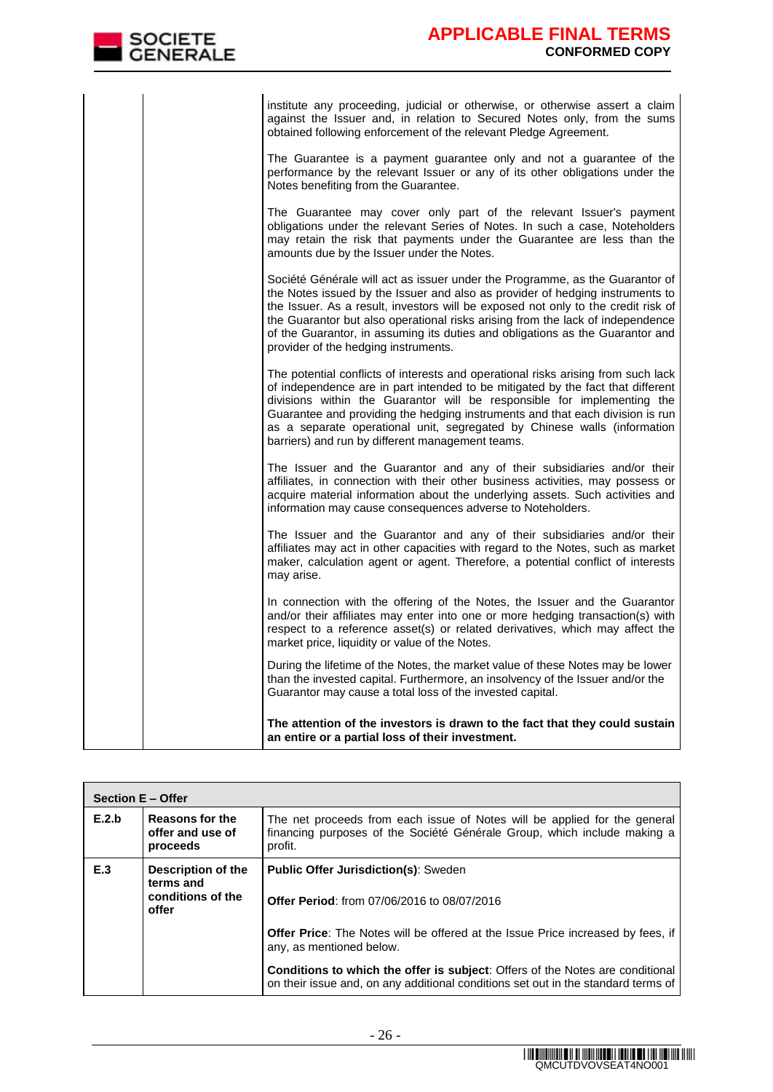| institute any proceeding, judicial or otherwise, or otherwise assert a claim<br>against the Issuer and, in relation to Secured Notes only, from the sums<br>obtained following enforcement of the relevant Pledge Agreement.                                                                                                                                                                                                                                     |
|------------------------------------------------------------------------------------------------------------------------------------------------------------------------------------------------------------------------------------------------------------------------------------------------------------------------------------------------------------------------------------------------------------------------------------------------------------------|
| The Guarantee is a payment guarantee only and not a guarantee of the<br>performance by the relevant Issuer or any of its other obligations under the<br>Notes benefiting from the Guarantee.                                                                                                                                                                                                                                                                     |
| The Guarantee may cover only part of the relevant Issuer's payment<br>obligations under the relevant Series of Notes. In such a case, Noteholders<br>may retain the risk that payments under the Guarantee are less than the<br>amounts due by the Issuer under the Notes.                                                                                                                                                                                       |
| Société Générale will act as issuer under the Programme, as the Guarantor of<br>the Notes issued by the Issuer and also as provider of hedging instruments to<br>the Issuer. As a result, investors will be exposed not only to the credit risk of<br>the Guarantor but also operational risks arising from the lack of independence<br>of the Guarantor, in assuming its duties and obligations as the Guarantor and<br>provider of the hedging instruments.    |
| The potential conflicts of interests and operational risks arising from such lack<br>of independence are in part intended to be mitigated by the fact that different<br>divisions within the Guarantor will be responsible for implementing the<br>Guarantee and providing the hedging instruments and that each division is run<br>as a separate operational unit, segregated by Chinese walls (information<br>barriers) and run by different management teams. |
| The Issuer and the Guarantor and any of their subsidiaries and/or their<br>affiliates, in connection with their other business activities, may possess or<br>acquire material information about the underlying assets. Such activities and<br>information may cause consequences adverse to Noteholders.                                                                                                                                                         |
| The Issuer and the Guarantor and any of their subsidiaries and/or their<br>affiliates may act in other capacities with regard to the Notes, such as market<br>maker, calculation agent or agent. Therefore, a potential conflict of interests<br>may arise.                                                                                                                                                                                                      |
| In connection with the offering of the Notes, the Issuer and the Guarantor<br>and/or their affiliates may enter into one or more hedging transaction(s) with<br>respect to a reference asset(s) or related derivatives, which may affect the<br>market price, liquidity or value of the Notes.                                                                                                                                                                   |
| During the lifetime of the Notes, the market value of these Notes may be lower<br>than the invested capital. Furthermore, an insolvency of the Issuer and/or the<br>Guarantor may cause a total loss of the invested capital.                                                                                                                                                                                                                                    |
| The attention of the investors is drawn to the fact that they could sustain<br>an entire or a partial loss of their investment.                                                                                                                                                                                                                                                                                                                                  |

| <b>Section E - Offer</b> |                                                 |                                                                                                                                                                           |  |
|--------------------------|-------------------------------------------------|---------------------------------------------------------------------------------------------------------------------------------------------------------------------------|--|
| E.2.b                    | Reasons for the<br>offer and use of<br>proceeds | The net proceeds from each issue of Notes will be applied for the general<br>financing purposes of the Société Générale Group, which include making a<br>profit.          |  |
| E.3                      | <b>Description of the</b><br>terms and          | <b>Public Offer Jurisdiction(s): Sweden</b>                                                                                                                               |  |
|                          | conditions of the<br>offer                      | <b>Offer Period:</b> from 07/06/2016 to 08/07/2016                                                                                                                        |  |
|                          |                                                 | <b>Offer Price:</b> The Notes will be offered at the Issue Price increased by fees, if<br>any, as mentioned below.                                                        |  |
|                          |                                                 | <b>Conditions to which the offer is subject:</b> Offers of the Notes are conditional<br>on their issue and, on any additional conditions set out in the standard terms of |  |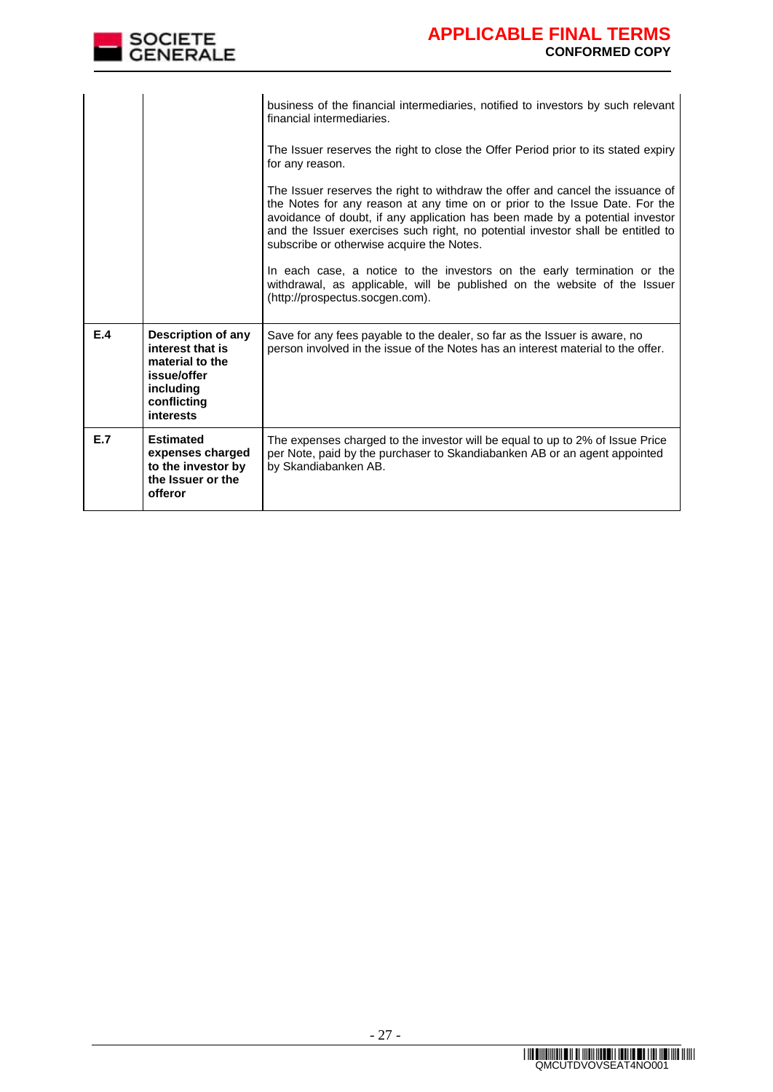

|     |                                                                                                                          | business of the financial intermediaries, notified to investors by such relevant<br>financial intermediaries.                                                                                                                                                                                                                                                                 |
|-----|--------------------------------------------------------------------------------------------------------------------------|-------------------------------------------------------------------------------------------------------------------------------------------------------------------------------------------------------------------------------------------------------------------------------------------------------------------------------------------------------------------------------|
|     |                                                                                                                          | The Issuer reserves the right to close the Offer Period prior to its stated expiry<br>for any reason.                                                                                                                                                                                                                                                                         |
|     |                                                                                                                          | The Issuer reserves the right to withdraw the offer and cancel the issuance of<br>the Notes for any reason at any time on or prior to the Issue Date. For the<br>avoidance of doubt, if any application has been made by a potential investor<br>and the Issuer exercises such right, no potential investor shall be entitled to<br>subscribe or otherwise acquire the Notes. |
|     |                                                                                                                          | In each case, a notice to the investors on the early termination or the<br>withdrawal, as applicable, will be published on the website of the Issuer<br>(http://prospectus.socgen.com).                                                                                                                                                                                       |
| E.4 | <b>Description of any</b><br>interest that is<br>material to the<br>issue/offer<br>including<br>conflicting<br>interests | Save for any fees payable to the dealer, so far as the Issuer is aware, no<br>person involved in the issue of the Notes has an interest material to the offer.                                                                                                                                                                                                                |
| E.7 | <b>Estimated</b><br>expenses charged<br>to the investor by<br>the Issuer or the<br>offeror                               | The expenses charged to the investor will be equal to up to 2% of Issue Price<br>per Note, paid by the purchaser to Skandiabanken AB or an agent appointed<br>by Skandiabanken AB.                                                                                                                                                                                            |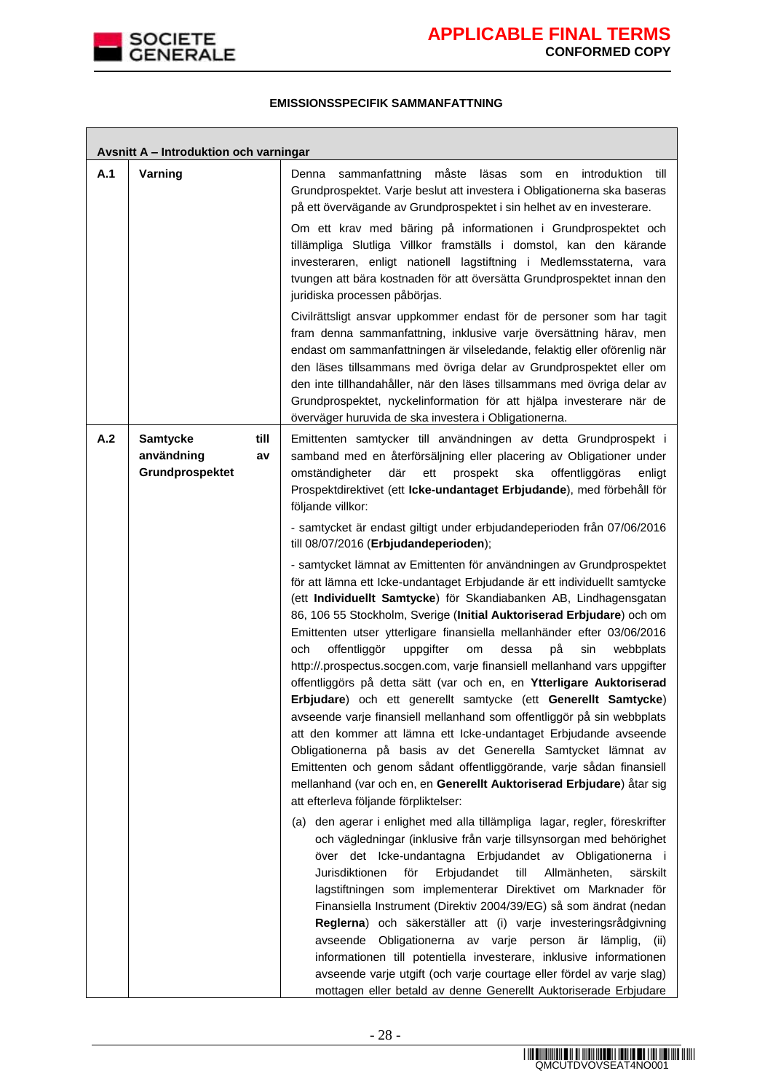

Г

┑

### **EMISSIONSSPECIFIK SAMMANFATTNING**

|     | Avsnitt A - Introduktion och varningar           |            |                                                                                                                                                                                                                                                                                                                                                                                                                                                                                                                                                                                                                                                                                                                                                                                                                                                                                                                                                                                                                                                                                                                                |  |  |
|-----|--------------------------------------------------|------------|--------------------------------------------------------------------------------------------------------------------------------------------------------------------------------------------------------------------------------------------------------------------------------------------------------------------------------------------------------------------------------------------------------------------------------------------------------------------------------------------------------------------------------------------------------------------------------------------------------------------------------------------------------------------------------------------------------------------------------------------------------------------------------------------------------------------------------------------------------------------------------------------------------------------------------------------------------------------------------------------------------------------------------------------------------------------------------------------------------------------------------|--|--|
| A.1 | Varning                                          |            | måste<br>introduktion<br>Denna<br>sammanfattning<br>läsas<br>som<br>en<br>till<br>Grundprospektet. Varje beslut att investera i Obligationerna ska baseras<br>på ett övervägande av Grundprospektet i sin helhet av en investerare.<br>Om ett krav med bäring på informationen i Grundprospektet och<br>tillämpliga Slutliga Villkor framställs i domstol, kan den kärande<br>investeraren, enligt nationell lagstiftning i Medlemsstaterna, vara<br>tvungen att bära kostnaden för att översätta Grundprospektet innan den<br>juridiska processen påbörjas.                                                                                                                                                                                                                                                                                                                                                                                                                                                                                                                                                                   |  |  |
|     |                                                  |            | Civilrättsligt ansvar uppkommer endast för de personer som har tagit<br>fram denna sammanfattning, inklusive varje översättning härav, men<br>endast om sammanfattningen är vilseledande, felaktig eller oförenlig när<br>den läses tillsammans med övriga delar av Grundprospektet eller om<br>den inte tillhandahåller, när den läses tillsammans med övriga delar av<br>Grundprospektet, nyckelinformation för att hjälpa investerare när de<br>överväger huruvida de ska investera i Obligationerna.                                                                                                                                                                                                                                                                                                                                                                                                                                                                                                                                                                                                                       |  |  |
| A.2 | <b>Samtycke</b><br>användning<br>Grundprospektet | till<br>av | Emittenten samtycker till användningen av detta Grundprospekt i<br>samband med en återförsäljning eller placering av Obligationer under<br>där<br>omständigheter<br>ett<br>prospekt<br>ska<br>offentliggöras<br>enligt<br>Prospektdirektivet (ett Icke-undantaget Erbjudande), med förbehåll för<br>följande villkor:<br>- samtycket är endast giltigt under erbjudandeperioden från 07/06/2016                                                                                                                                                                                                                                                                                                                                                                                                                                                                                                                                                                                                                                                                                                                                |  |  |
|     |                                                  |            | till 08/07/2016 (Erbjudandeperioden);<br>- samtycket lämnat av Emittenten för användningen av Grundprospektet<br>för att lämna ett Icke-undantaget Erbjudande är ett individuellt samtycke<br>(ett Individuellt Samtycke) för Skandiabanken AB, Lindhagensgatan<br>86, 106 55 Stockholm, Sverige (Initial Auktoriserad Erbjudare) och om<br>Emittenten utser ytterligare finansiella mellanhänder efter 03/06/2016<br>offentliggör<br>dessa<br>på<br>och<br>uppgifter<br>om<br>sin<br>webbplats<br>http://.prospectus.socgen.com, varje finansiell mellanhand vars uppgifter<br>offentliggörs på detta sätt (var och en, en Ytterligare Auktoriserad<br>Erbjudare) och ett generellt samtycke (ett Generellt Samtycke)<br>avseende varje finansiell mellanhand som offentliggör på sin webbplats<br>att den kommer att lämna ett Icke-undantaget Erbjudande avseende<br>Obligationerna på basis av det Generella Samtycket lämnat av<br>Emittenten och genom sådant offentliggörande, varje sådan finansiell<br>mellanhand (var och en, en Generellt Auktoriserad Erbjudare) åtar sig<br>att efterleva följande förpliktelser: |  |  |
|     |                                                  |            | (a) den agerar i enlighet med alla tillämpliga lagar, regler, föreskrifter<br>och vägledningar (inklusive från varje tillsynsorgan med behörighet<br>över det Icke-undantagna Erbjudandet av Obligationerna i<br>Jurisdiktionen<br>Erbjudandet<br>till<br>Allmänheten,<br>för<br>särskilt<br>lagstiftningen som implementerar Direktivet om Marknader för<br>Finansiella Instrument (Direktiv 2004/39/EG) så som ändrat (nedan<br>Reglerna) och säkerställer att (i) varje investeringsrådgivning<br>avseende Obligationerna av varje person är lämplig,<br>(i)<br>informationen till potentiella investerare, inklusive informationen<br>avseende varje utgift (och varje courtage eller fördel av varje slag)<br>mottagen eller betald av denne Generellt Auktoriserade Erbjudare                                                                                                                                                                                                                                                                                                                                            |  |  |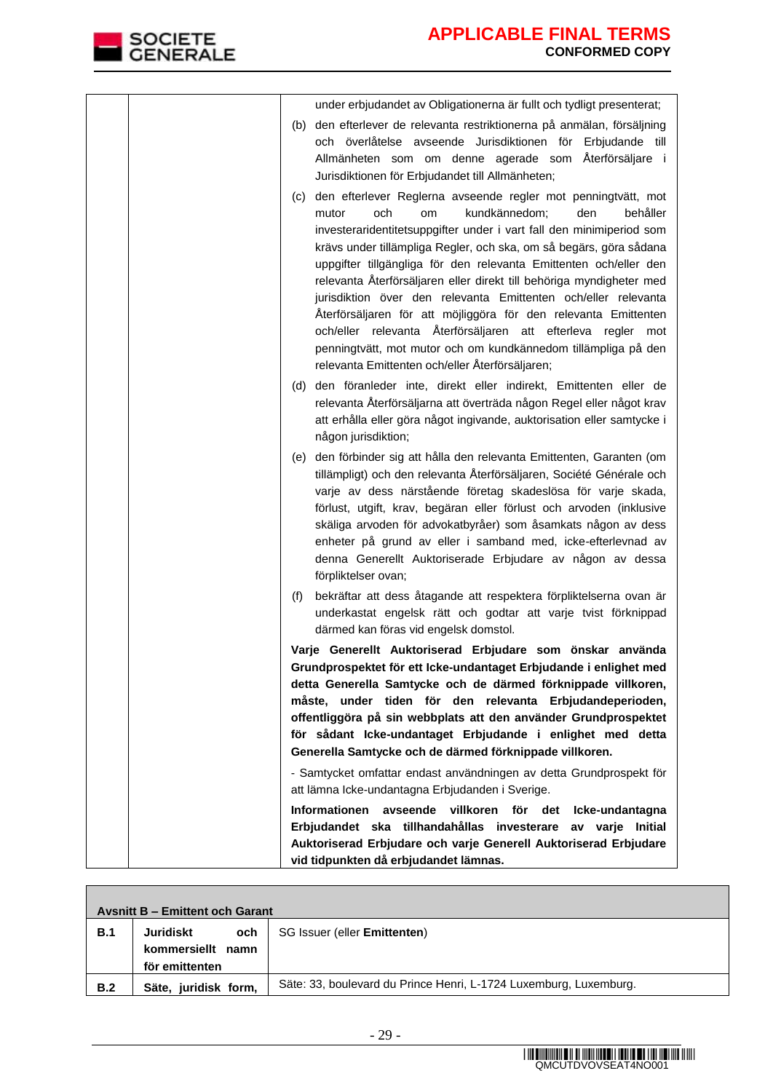

| under erbjudandet av Obligationerna är fullt och tydligt presenterat;                                                                                                                                                                                                                                                                                                                                                                                                                                                                                                                                                                                                                                                                            |
|--------------------------------------------------------------------------------------------------------------------------------------------------------------------------------------------------------------------------------------------------------------------------------------------------------------------------------------------------------------------------------------------------------------------------------------------------------------------------------------------------------------------------------------------------------------------------------------------------------------------------------------------------------------------------------------------------------------------------------------------------|
| (b) den efterlever de relevanta restriktionerna på anmälan, försäljning<br>och överlåtelse avseende Jurisdiktionen för Erbjudande till<br>Allmänheten som om denne agerade som Återförsäljare i<br>Jurisdiktionen för Erbjudandet till Allmänheten;                                                                                                                                                                                                                                                                                                                                                                                                                                                                                              |
| (c) den efterlever Reglerna avseende regler mot penningtvätt, mot<br>och<br>kundkännedom;<br>den<br>behåller<br>mutor<br>om<br>investeraridentitetsuppgifter under i vart fall den minimiperiod som<br>krävs under tillämpliga Regler, och ska, om så begärs, göra sådana<br>uppgifter tillgängliga för den relevanta Emittenten och/eller den<br>relevanta Återförsäljaren eller direkt till behöriga myndigheter med<br>jurisdiktion över den relevanta Emittenten och/eller relevanta<br>Återförsäljaren för att möjliggöra för den relevanta Emittenten<br>och/eller relevanta Återförsäljaren att efterleva regler mot<br>penningtvätt, mot mutor och om kundkännedom tillämpliga på den<br>relevanta Emittenten och/eller Återförsäljaren; |
| (d) den föranleder inte, direkt eller indirekt, Emittenten eller de<br>relevanta Återförsäljarna att överträda någon Regel eller något krav<br>att erhålla eller göra något ingivande, auktorisation eller samtycke i<br>någon jurisdiktion;                                                                                                                                                                                                                                                                                                                                                                                                                                                                                                     |
| (e) den förbinder sig att hålla den relevanta Emittenten, Garanten (om<br>tillämpligt) och den relevanta Återförsäljaren, Société Générale och<br>varje av dess närstående företag skadeslösa för varje skada,<br>förlust, utgift, krav, begäran eller förlust och arvoden (inklusive<br>skäliga arvoden för advokatbyråer) som åsamkats någon av dess<br>enheter på grund av eller i samband med, icke-efterlevnad av<br>denna Generellt Auktoriserade Erbjudare av någon av dessa<br>förpliktelser ovan;                                                                                                                                                                                                                                       |
| bekräftar att dess åtagande att respektera förpliktelserna ovan är<br>(f)<br>underkastat engelsk rätt och godtar att varje tvist förknippad<br>därmed kan föras vid engelsk domstol.                                                                                                                                                                                                                                                                                                                                                                                                                                                                                                                                                             |
| Varje Generellt Auktoriserad Erbjudare som önskar använda<br>Grundprospektet för ett Icke-undantaget Erbjudande i enlighet med<br>detta Generella Samtycke och de därmed förknippade villkoren,<br>måste, under tiden för den relevanta Erbjudandeperioden,<br>offentliggöra på sin webbplats att den använder Grundprospektet<br>för sådant Icke-undantaget Erbjudande i enlighet med detta<br>Generella Samtycke och de därmed förknippade villkoren.                                                                                                                                                                                                                                                                                          |
| - Samtycket omfattar endast användningen av detta Grundprospekt för<br>att lämna Icke-undantagna Erbjudanden i Sverige.                                                                                                                                                                                                                                                                                                                                                                                                                                                                                                                                                                                                                          |
| Informationen avseende villkoren för<br>det<br>Icke-undantagna<br>Erbjudandet ska tillhandahållas investerare av varje Initial<br>Auktoriserad Erbjudare och varje Generell Auktoriserad Erbjudare<br>vid tidpunkten då erbjudandet lämnas.                                                                                                                                                                                                                                                                                                                                                                                                                                                                                                      |

| <b>Avsnitt B - Emittent och Garant</b> |                      |                                                                   |  |  |
|----------------------------------------|----------------------|-------------------------------------------------------------------|--|--|
| B.1                                    | Juridiskt<br>och     | SG Issuer (eller <b>Emittenten)</b>                               |  |  |
|                                        | kommersiellt namn    |                                                                   |  |  |
|                                        | för emittenten       |                                                                   |  |  |
| B.2                                    | Säte, juridisk form, | Säte: 33, boulevard du Prince Henri, L-1724 Luxemburg, Luxemburg. |  |  |
|                                        |                      |                                                                   |  |  |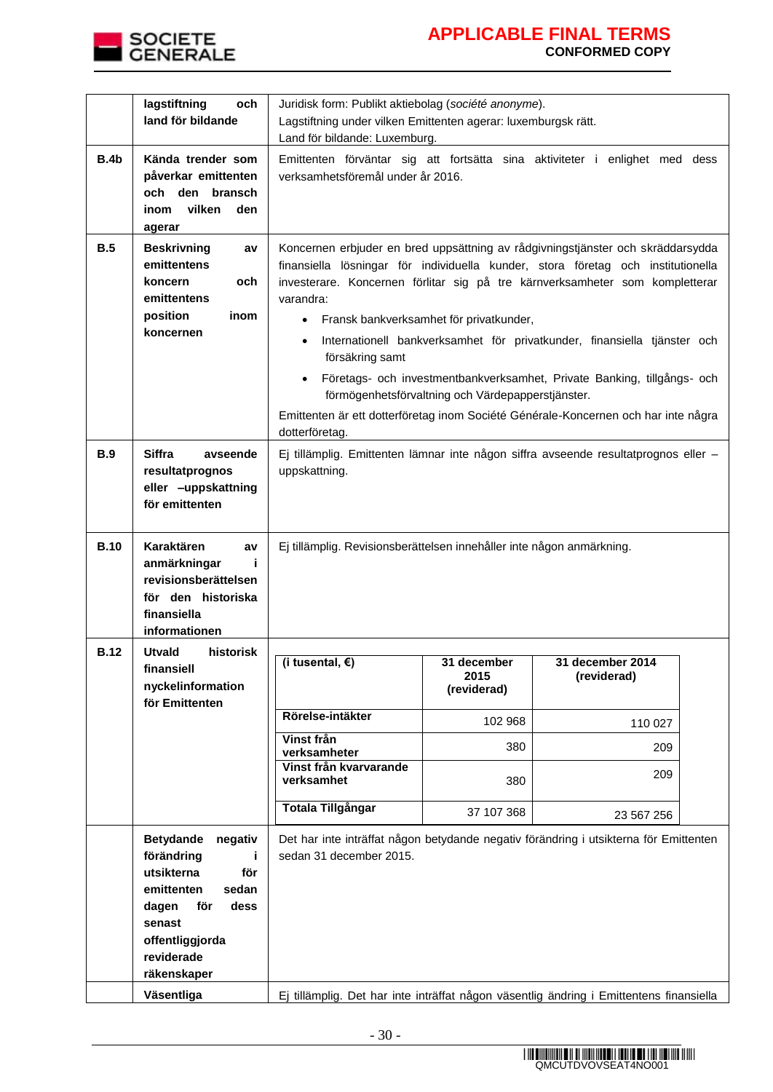

|             | lagstiftning<br>och<br>land för bildande                                                                                                                                      | Juridisk form: Publikt aktiebolag (société anonyme).<br>Lagstiftning under vilken Emittenten agerar: luxemburgsk rätt.<br>Land för bildande: Luxemburg.                                                                                                                                                                                                                                                                            |                                                                                              |                                                                                                                                                     |  |
|-------------|-------------------------------------------------------------------------------------------------------------------------------------------------------------------------------|------------------------------------------------------------------------------------------------------------------------------------------------------------------------------------------------------------------------------------------------------------------------------------------------------------------------------------------------------------------------------------------------------------------------------------|----------------------------------------------------------------------------------------------|-----------------------------------------------------------------------------------------------------------------------------------------------------|--|
| B.4b        | Kända trender som<br>påverkar emittenten<br>och den bransch<br>vilken<br>den<br>inom<br>agerar                                                                                | Emittenten förväntar sig att fortsätta sina aktiviteter i enlighet med dess<br>verksamhetsföremål under år 2016.                                                                                                                                                                                                                                                                                                                   |                                                                                              |                                                                                                                                                     |  |
| B.5         | <b>Beskrivning</b><br>av<br>emittentens<br>och<br>koncern<br>emittentens<br>position<br>inom<br>koncernen                                                                     | Koncernen erbjuder en bred uppsättning av rådgivningstjänster och skräddarsydda<br>finansiella lösningar för individuella kunder, stora företag och institutionella<br>investerare. Koncernen förlitar sig på tre kärnverksamheter som kompletterar<br>varandra:<br>$\bullet$<br>$\bullet$<br>försäkring samt<br>$\bullet$<br>Emittenten är ett dotterföretag inom Société Générale-Koncernen och har inte några<br>dotterföretag. | Fransk bankverksamhet för privatkunder,<br>förmögenhetsförvaltning och Värdepapperstjänster. | Internationell bankverksamhet för privatkunder, finansiella tjänster och<br>Företags- och investmentbankverksamhet, Private Banking, tillgångs- och |  |
| <b>B.9</b>  | <b>Siffra</b><br>avseende<br>resultatprognos<br>eller -uppskattning<br>för emittenten                                                                                         | Ej tillämplig. Emittenten lämnar inte någon siffra avseende resultatprognos eller -<br>uppskattning.                                                                                                                                                                                                                                                                                                                               |                                                                                              |                                                                                                                                                     |  |
| <b>B.10</b> | Karaktären<br>av<br>anmärkningar<br>j.<br>revisionsberättelsen<br>för den historiska<br>finansiella<br>informationen                                                          | Ej tillämplig. Revisionsberättelsen innehåller inte någon anmärkning.                                                                                                                                                                                                                                                                                                                                                              |                                                                                              |                                                                                                                                                     |  |
| <b>B.12</b> | <b>Utvald</b><br>historisk<br>finansiell<br>nyckelinformation<br>för Emittenten                                                                                               | $\overline{I}$ (i tusental, $\epsilon$ )                                                                                                                                                                                                                                                                                                                                                                                           | 31 december<br>2015<br>(reviderad)                                                           | 31 december 2014<br>(reviderad)                                                                                                                     |  |
|             |                                                                                                                                                                               | Rörelse-intäkter                                                                                                                                                                                                                                                                                                                                                                                                                   | 102 968                                                                                      | 110 027                                                                                                                                             |  |
|             |                                                                                                                                                                               | Vinst från<br>verksamheter                                                                                                                                                                                                                                                                                                                                                                                                         | 380                                                                                          | 209                                                                                                                                                 |  |
|             |                                                                                                                                                                               | Vinst från kvarvarande<br>verksamhet                                                                                                                                                                                                                                                                                                                                                                                               | 380                                                                                          | 209                                                                                                                                                 |  |
|             |                                                                                                                                                                               | <b>Totala Tillgångar</b>                                                                                                                                                                                                                                                                                                                                                                                                           | 37 107 368                                                                                   | 23 567 256                                                                                                                                          |  |
|             | <b>Betydande</b><br>negativ<br>förändring<br>j.<br>för<br>utsikterna<br>emittenten<br>sedan<br>dagen<br>för<br>dess<br>senast<br>offentliggjorda<br>reviderade<br>räkenskaper | Det har inte inträffat någon betydande negativ förändring i utsikterna för Emittenten<br>sedan 31 december 2015.                                                                                                                                                                                                                                                                                                                   |                                                                                              |                                                                                                                                                     |  |
|             | Väsentliga                                                                                                                                                                    | Ej tillämplig. Det har inte inträffat någon väsentlig ändring i Emittentens finansiella                                                                                                                                                                                                                                                                                                                                            |                                                                                              |                                                                                                                                                     |  |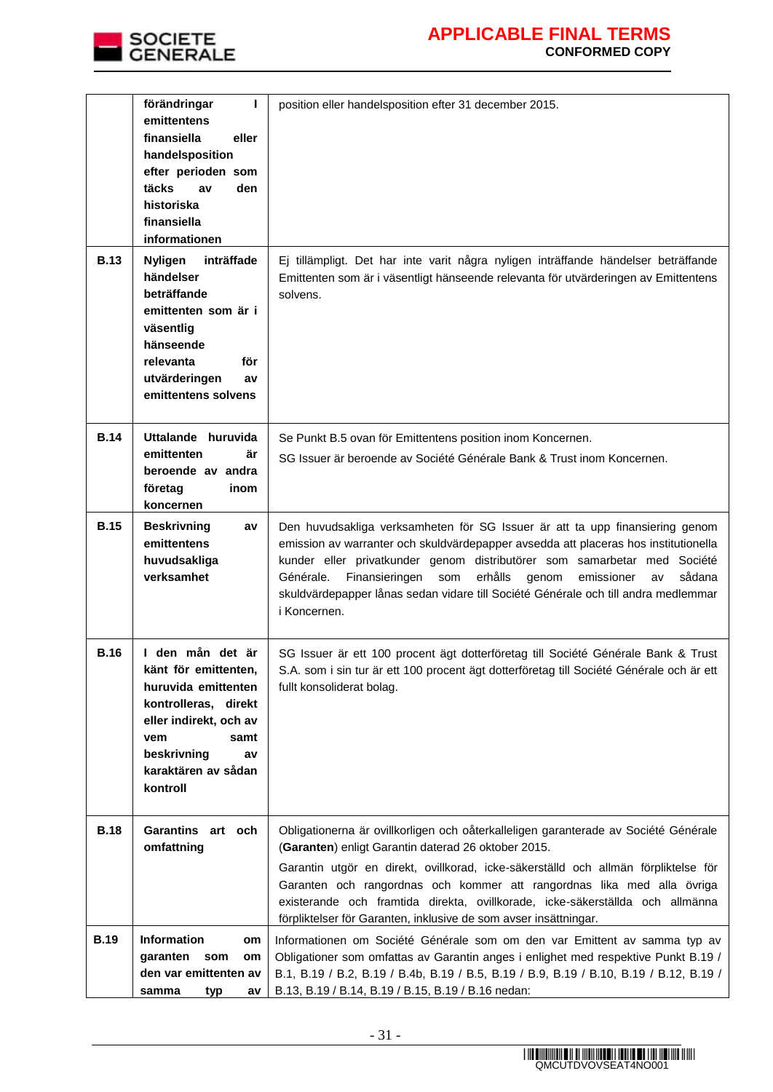

| <b>B.13</b> | $\mathbf{L}$<br>förändringar<br>emittentens<br>finansiella<br>eller<br>handelsposition<br>efter perioden som<br>täcks<br>den<br>av<br>historiska<br>finansiella<br>informationen<br><b>Nyligen</b><br>inträffade | position eller handelsposition efter 31 december 2015.<br>Ej tillämpligt. Det har inte varit några nyligen inträffande händelser beträffande                                                                                                                                                                                                                                                                                                                    |
|-------------|------------------------------------------------------------------------------------------------------------------------------------------------------------------------------------------------------------------|-----------------------------------------------------------------------------------------------------------------------------------------------------------------------------------------------------------------------------------------------------------------------------------------------------------------------------------------------------------------------------------------------------------------------------------------------------------------|
|             | händelser<br>beträffande<br>emittenten som är i<br>väsentlig<br>hänseende<br>relevanta<br>för<br>utvärderingen<br>av<br>emittentens solvens                                                                      | Emittenten som är i väsentligt hänseende relevanta för utvärderingen av Emittentens<br>solvens.                                                                                                                                                                                                                                                                                                                                                                 |
| <b>B.14</b> | Uttalande huruvida<br>emittenten<br>är<br>beroende av andra<br>företag<br>inom<br>koncernen                                                                                                                      | Se Punkt B.5 ovan för Emittentens position inom Koncernen.<br>SG Issuer är beroende av Société Générale Bank & Trust inom Koncernen.                                                                                                                                                                                                                                                                                                                            |
| <b>B.15</b> | <b>Beskrivning</b><br>av<br>emittentens<br>huvudsakliga<br>verksamhet                                                                                                                                            | Den huvudsakliga verksamheten för SG Issuer är att ta upp finansiering genom<br>emission av warranter och skuldvärdepapper avsedda att placeras hos institutionella<br>kunder eller privatkunder genom distributörer som samarbetar med Société<br>Générale.<br>Finansieringen<br>erhålls<br>som<br>genom<br>emissioner<br>sådana<br>av<br>skuldvärdepapper lånas sedan vidare till Société Générale och till andra medlemmar<br>i Koncernen.                   |
| <b>B.16</b> | I den mån det är<br>känt för emittenten,<br>huruvida emittenten<br>kontrolleras, direkt<br>eller indirekt, och av<br>samt<br>vem<br>beskrivning<br>av<br>karaktären av sådan<br>kontroll                         | SG Issuer är ett 100 procent ägt dotterföretag till Société Générale Bank & Trust<br>S.A. som i sin tur är ett 100 procent ägt dotterföretag till Société Générale och är ett<br>fullt konsoliderat bolag.                                                                                                                                                                                                                                                      |
| <b>B.18</b> | Garantins art och<br>omfattning                                                                                                                                                                                  | Obligationerna är ovillkorligen och oåterkalleligen garanterade av Société Générale<br>(Garanten) enligt Garantin daterad 26 oktober 2015.<br>Garantin utgör en direkt, ovillkorad, icke-säkerställd och allmän förpliktelse för<br>Garanten och rangordnas och kommer att rangordnas lika med alla övriga<br>existerande och framtida direkta, ovillkorade, icke-säkerställda och allmänna<br>förpliktelser för Garanten, inklusive de som avser insättningar. |
| <b>B.19</b> | <b>Information</b><br>om<br>garanten<br>som<br>om<br>den var emittenten av<br>samma<br>typ<br>av                                                                                                                 | Informationen om Société Générale som om den var Emittent av samma typ av<br>Obligationer som omfattas av Garantin anges i enlighet med respektive Punkt B.19 /<br>B.1, B.19 / B.2, B.19 / B.4b, B.19 / B.5, B.19 / B.9, B.19 / B.10, B.19 / B.12, B.19 /<br>B.13, B.19 / B.14, B.19 / B.15, B.19 / B.16 nedan:                                                                                                                                                 |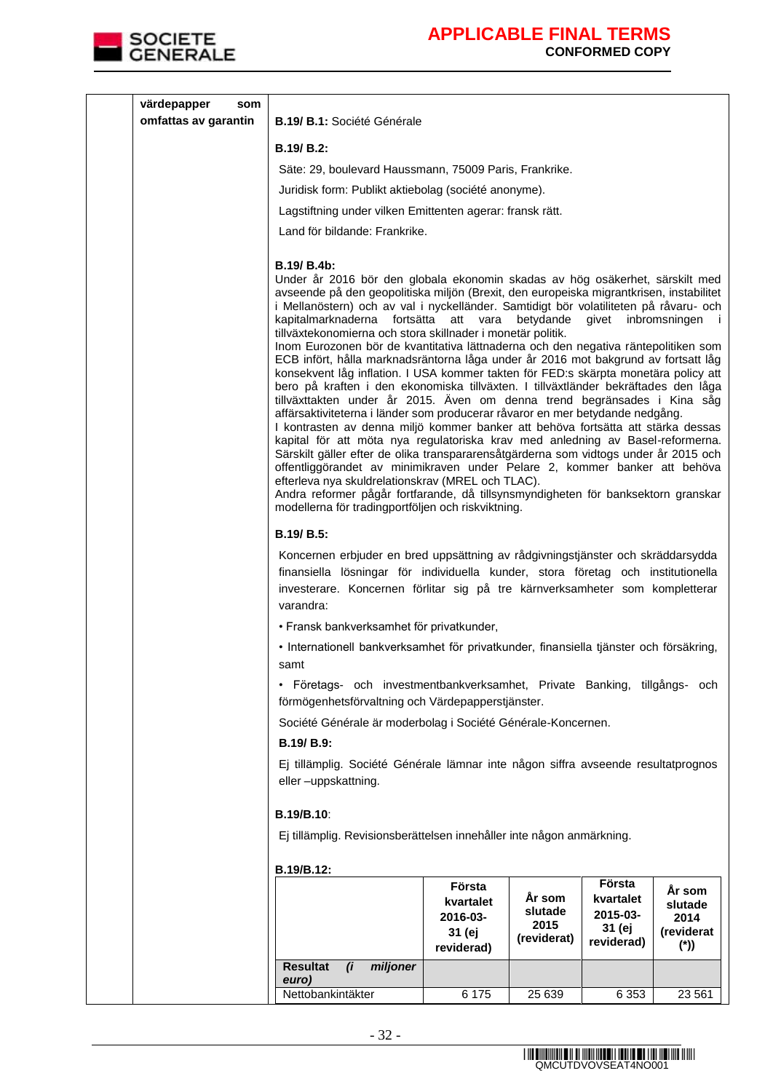

| värdepapper<br>som   |                                                                                                                                                                                                                                                                                                                                                                                                                                                                                                                                                                                                                                                                                                                                                                                                                                                                                                                                                                                                                                                                                                                                                                                                                                                                                                                                                                                                     |                                                         |                                          |                                               |                                                  |
|----------------------|-----------------------------------------------------------------------------------------------------------------------------------------------------------------------------------------------------------------------------------------------------------------------------------------------------------------------------------------------------------------------------------------------------------------------------------------------------------------------------------------------------------------------------------------------------------------------------------------------------------------------------------------------------------------------------------------------------------------------------------------------------------------------------------------------------------------------------------------------------------------------------------------------------------------------------------------------------------------------------------------------------------------------------------------------------------------------------------------------------------------------------------------------------------------------------------------------------------------------------------------------------------------------------------------------------------------------------------------------------------------------------------------------------|---------------------------------------------------------|------------------------------------------|-----------------------------------------------|--------------------------------------------------|
| omfattas av garantin | B.19/ B.1: Société Générale                                                                                                                                                                                                                                                                                                                                                                                                                                                                                                                                                                                                                                                                                                                                                                                                                                                                                                                                                                                                                                                                                                                                                                                                                                                                                                                                                                         |                                                         |                                          |                                               |                                                  |
|                      | <b>B.19/ B.2:</b>                                                                                                                                                                                                                                                                                                                                                                                                                                                                                                                                                                                                                                                                                                                                                                                                                                                                                                                                                                                                                                                                                                                                                                                                                                                                                                                                                                                   |                                                         |                                          |                                               |                                                  |
|                      | Säte: 29, boulevard Haussmann, 75009 Paris, Frankrike.                                                                                                                                                                                                                                                                                                                                                                                                                                                                                                                                                                                                                                                                                                                                                                                                                                                                                                                                                                                                                                                                                                                                                                                                                                                                                                                                              |                                                         |                                          |                                               |                                                  |
|                      | Juridisk form: Publikt aktiebolag (société anonyme).                                                                                                                                                                                                                                                                                                                                                                                                                                                                                                                                                                                                                                                                                                                                                                                                                                                                                                                                                                                                                                                                                                                                                                                                                                                                                                                                                |                                                         |                                          |                                               |                                                  |
|                      | Lagstiftning under vilken Emittenten agerar: fransk rätt.                                                                                                                                                                                                                                                                                                                                                                                                                                                                                                                                                                                                                                                                                                                                                                                                                                                                                                                                                                                                                                                                                                                                                                                                                                                                                                                                           |                                                         |                                          |                                               |                                                  |
|                      | Land för bildande: Frankrike.                                                                                                                                                                                                                                                                                                                                                                                                                                                                                                                                                                                                                                                                                                                                                                                                                                                                                                                                                                                                                                                                                                                                                                                                                                                                                                                                                                       |                                                         |                                          |                                               |                                                  |
|                      | B.19/ B.4b:<br>Under år 2016 bör den globala ekonomin skadas av hög osäkerhet, särskilt med<br>avseende på den geopolitiska miljön (Brexit, den europeiska migrantkrisen, instabilitet<br>i Mellanöstern) och av val i nyckelländer. Samtidigt bör volatiliteten på råvaru- och<br>kapitalmarknaderna fortsätta att vara<br>tillväxtekonomierna och stora skillnader i monetär politik.<br>Inom Eurozonen bör de kvantitativa lättnaderna och den negativa räntepolitiken som<br>ECB infört, hålla marknadsräntorna låga under år 2016 mot bakgrund av fortsatt låg<br>konsekvent låg inflation. I USA kommer takten för FED:s skärpta monetära policy att<br>bero på kraften i den ekonomiska tillväxten. I tillväxtländer bekräftades den låga<br>tillväxttakten under år 2015. Även om denna trend begränsades i Kina såg<br>affärsaktiviteterna i länder som producerar råvaror en mer betydande nedgång.<br>I kontrasten av denna miljö kommer banker att behöva fortsätta att stärka dessas<br>kapital för att möta nya regulatoriska krav med anledning av Basel-reformerna.<br>Särskilt gäller efter de olika transpararensåtgärderna som vidtogs under år 2015 och<br>offentliggörandet av minimikraven under Pelare 2, kommer banker att behöva<br>efterleva nya skuldrelationskrav (MREL och TLAC).<br>Andra reformer pågår fortfarande, då tillsynsmyndigheten för banksektorn granskar |                                                         | betydande                                | givet                                         | inbromsningen i                                  |
|                      | modellerna för tradingportföljen och riskviktning.                                                                                                                                                                                                                                                                                                                                                                                                                                                                                                                                                                                                                                                                                                                                                                                                                                                                                                                                                                                                                                                                                                                                                                                                                                                                                                                                                  |                                                         |                                          |                                               |                                                  |
|                      | B.19/ B.5:                                                                                                                                                                                                                                                                                                                                                                                                                                                                                                                                                                                                                                                                                                                                                                                                                                                                                                                                                                                                                                                                                                                                                                                                                                                                                                                                                                                          |                                                         |                                          |                                               |                                                  |
|                      | Koncernen erbjuder en bred uppsättning av rådgivningstjänster och skräddarsydda<br>finansiella lösningar för individuella kunder, stora företag och institutionella<br>investerare. Koncernen förlitar sig på tre kärnverksamheter som kompletterar<br>varandra:                                                                                                                                                                                                                                                                                                                                                                                                                                                                                                                                                                                                                                                                                                                                                                                                                                                                                                                                                                                                                                                                                                                                    |                                                         |                                          |                                               |                                                  |
|                      | · Fransk bankverksamhet för privatkunder,                                                                                                                                                                                                                                                                                                                                                                                                                                                                                                                                                                                                                                                                                                                                                                                                                                                                                                                                                                                                                                                                                                                                                                                                                                                                                                                                                           |                                                         |                                          |                                               |                                                  |
|                      | · Internationell bankverksamhet för privatkunder, finansiella tjänster och försäkring,<br>samt                                                                                                                                                                                                                                                                                                                                                                                                                                                                                                                                                                                                                                                                                                                                                                                                                                                                                                                                                                                                                                                                                                                                                                                                                                                                                                      |                                                         |                                          |                                               |                                                  |
|                      | · Företags- och investmentbankverksamhet, Private Banking, tillgångs- och<br>förmögenhetsförvaltning och Värdepapperstjänster.                                                                                                                                                                                                                                                                                                                                                                                                                                                                                                                                                                                                                                                                                                                                                                                                                                                                                                                                                                                                                                                                                                                                                                                                                                                                      |                                                         |                                          |                                               |                                                  |
|                      | Société Générale är moderbolag i Société Générale-Koncernen.                                                                                                                                                                                                                                                                                                                                                                                                                                                                                                                                                                                                                                                                                                                                                                                                                                                                                                                                                                                                                                                                                                                                                                                                                                                                                                                                        |                                                         |                                          |                                               |                                                  |
|                      | B.19/ B.9:                                                                                                                                                                                                                                                                                                                                                                                                                                                                                                                                                                                                                                                                                                                                                                                                                                                                                                                                                                                                                                                                                                                                                                                                                                                                                                                                                                                          |                                                         |                                          |                                               |                                                  |
|                      | Ej tillämplig. Société Générale lämnar inte någon siffra avseende resultatprognos<br>eller-uppskattning.                                                                                                                                                                                                                                                                                                                                                                                                                                                                                                                                                                                                                                                                                                                                                                                                                                                                                                                                                                                                                                                                                                                                                                                                                                                                                            |                                                         |                                          |                                               |                                                  |
|                      | B.19/B.10:                                                                                                                                                                                                                                                                                                                                                                                                                                                                                                                                                                                                                                                                                                                                                                                                                                                                                                                                                                                                                                                                                                                                                                                                                                                                                                                                                                                          |                                                         |                                          |                                               |                                                  |
|                      | Ej tillämplig. Revisionsberättelsen innehåller inte någon anmärkning.                                                                                                                                                                                                                                                                                                                                                                                                                                                                                                                                                                                                                                                                                                                                                                                                                                                                                                                                                                                                                                                                                                                                                                                                                                                                                                                               |                                                         |                                          |                                               |                                                  |
|                      |                                                                                                                                                                                                                                                                                                                                                                                                                                                                                                                                                                                                                                                                                                                                                                                                                                                                                                                                                                                                                                                                                                                                                                                                                                                                                                                                                                                                     |                                                         |                                          |                                               |                                                  |
|                      | B.19/B.12:                                                                                                                                                                                                                                                                                                                                                                                                                                                                                                                                                                                                                                                                                                                                                                                                                                                                                                                                                                                                                                                                                                                                                                                                                                                                                                                                                                                          |                                                         |                                          | Första                                        |                                                  |
|                      |                                                                                                                                                                                                                                                                                                                                                                                                                                                                                                                                                                                                                                                                                                                                                                                                                                                                                                                                                                                                                                                                                                                                                                                                                                                                                                                                                                                                     | Första<br>kvartalet<br>2016-03-<br>31 (ej<br>reviderad) | Ar som<br>slutade<br>2015<br>(reviderat) | kvartalet<br>2015-03-<br>31 (ej<br>reviderad) | Ar som<br>slutade<br>2014<br>(reviderat<br>$(*)$ |
|                      | miljoner<br><b>Resultat</b><br>$\mathbf{r}$                                                                                                                                                                                                                                                                                                                                                                                                                                                                                                                                                                                                                                                                                                                                                                                                                                                                                                                                                                                                                                                                                                                                                                                                                                                                                                                                                         |                                                         |                                          |                                               |                                                  |
|                      | euro)<br>Nettobankintäkter                                                                                                                                                                                                                                                                                                                                                                                                                                                                                                                                                                                                                                                                                                                                                                                                                                                                                                                                                                                                                                                                                                                                                                                                                                                                                                                                                                          | 6 175                                                   | 25 639                                   | 6 3 5 3                                       | 23 561                                           |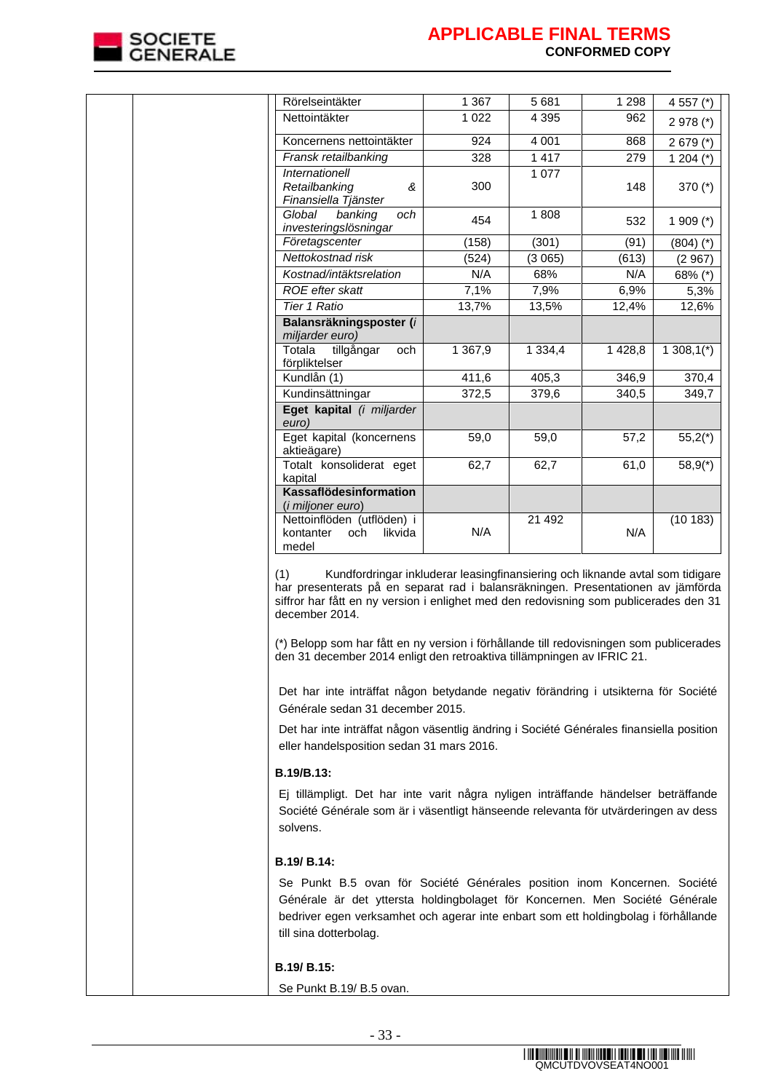

| Rörelseintäkter                                                            | 1 367      | 5681        | 1 2 9 8 | 4 557 (*)     |
|----------------------------------------------------------------------------|------------|-------------|---------|---------------|
| Nettointäkter                                                              | 1 0 2 2    | 4 3 9 5     | 962     | $2978$ (*)    |
| Koncernens nettointäkter                                                   | 924        | 4 0 0 1     | 868     | $2679$ (*)    |
| Fransk retailbanking                                                       | 328        | 1 4 1 7     | 279     | 1 204 $(*)$   |
| <i><b>Internationell</b></i><br>Retailbanking<br>ጼ<br>Finansiella Tjänster | 300        | 1 0 7 7     | 148     | 370 $(*)$     |
| Global<br>banking<br>och<br>investeringslösningar                          | 454        | 1808        | 532     | 1 909 $(*)$   |
| Företagscenter                                                             | (158)      | (301)       | (91)    | $(804)$ $(*)$ |
| Nettokostnad risk                                                          | (524)      | (3065)      | (613)   | (2967)        |
| Kostnad/intäktsrelation                                                    | N/A        | 68%         | N/A     | 68% (*)       |
| <b>ROE</b> efter skatt                                                     | 7,1%       | 7,9%        | 6,9%    | 5,3%          |
| Tier 1 Ratio                                                               | 13,7%      | 13,5%       | 12,4%   | 12,6%         |
| Balansräkningsposter (i<br>miljarder euro)                                 |            |             |         |               |
| Totala<br>tillgångar<br>och<br>förpliktelser                               | 1 3 6 7, 9 | 1 3 3 4 , 4 | 1428,8  | $1308,1(*)$   |
| Kundlån (1)                                                                | 411,6      | 405,3       | 346,9   | 370,4         |
| Kundinsättningar                                                           | 372,5      | 379,6       | 340,5   | 349,7         |
| Eget kapital (i miljarder<br>euro)                                         |            |             |         |               |
| Eget kapital (koncernens<br>aktieägare)                                    | 59,0       | 59,0        | 57,2    | $55,2(*)$     |
| Totalt konsoliderat eget<br>kapital                                        | 62,7       | 62,7        | 61,0    | $58,9(*)$     |
| <b>Kassaflödesinformation</b><br>(i miljoner euro)                         |            |             |         |               |
| Nettoinflöden (utflöden) i<br>kontanter<br>likvida<br>och<br>medel         | N/A        | 21 4 9 2    | N/A     | (10183)       |

(1) Kundfordringar inkluderar leasingfinansiering och liknande avtal som tidigare har presenterats på en separat rad i balansräkningen. Presentationen av jämförda siffror har fått en ny version i enlighet med den redovisning som publicerades den 31 december 2014.

(\*) Belopp som har fått en ny version i förhållande till redovisningen som publicerades den 31 december 2014 enligt den retroaktiva tillämpningen av IFRIC 21.

Det har inte inträffat någon betydande negativ förändring i utsikterna för Société Générale sedan 31 december 2015.

Det har inte inträffat någon väsentlig ändring i Société Générales finansiella position eller handelsposition sedan 31 mars 2016.

### **B.19/B.13:**

Ej tillämpligt. Det har inte varit några nyligen inträffande händelser beträffande Société Générale som är i väsentligt hänseende relevanta för utvärderingen av dess solvens.

### **B.19/ B.14:**

Se Punkt B.5 ovan för Société Générales position inom Koncernen. Société Générale är det yttersta holdingbolaget för Koncernen. Men Société Générale bedriver egen verksamhet och agerar inte enbart som ett holdingbolag i förhållande till sina dotterbolag.

#### **B.19/ B.15:**

Se Punkt B.19/ B.5 ovan.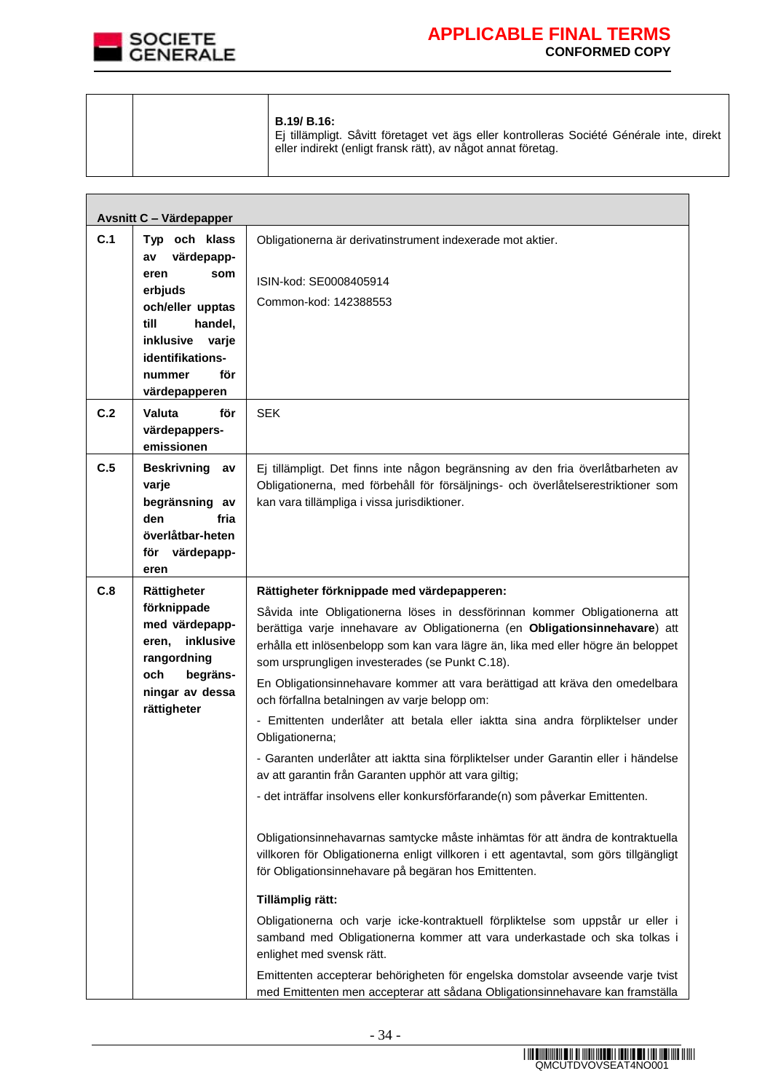

 $\overline{\phantom{a}}$ 

# **APPLICABLE FINAL TERMS CONFORMED COPY**

 $\overline{\phantom{0}}$ 

|  | <b>B.19/ B.16:</b><br>Ei tillämpligt. Såvitt företaget vet ägs eller kontrolleras Société Générale inte, direkt<br>eller indirekt (enligt fransk rätt), av något annat företag. |
|--|---------------------------------------------------------------------------------------------------------------------------------------------------------------------------------|
|  |                                                                                                                                                                                 |

|     | <b>Avsnitt C - Värdepapper</b>                                                                                                                                                 |                                                                                                                                                                                                                                                                                                                                                                                                                                                                                                                                                                                                                                                                                                                                                                                                                                                                                                                                                                                                                                                                                                                                                                                                                                                                                                                                                                                                                                             |
|-----|--------------------------------------------------------------------------------------------------------------------------------------------------------------------------------|---------------------------------------------------------------------------------------------------------------------------------------------------------------------------------------------------------------------------------------------------------------------------------------------------------------------------------------------------------------------------------------------------------------------------------------------------------------------------------------------------------------------------------------------------------------------------------------------------------------------------------------------------------------------------------------------------------------------------------------------------------------------------------------------------------------------------------------------------------------------------------------------------------------------------------------------------------------------------------------------------------------------------------------------------------------------------------------------------------------------------------------------------------------------------------------------------------------------------------------------------------------------------------------------------------------------------------------------------------------------------------------------------------------------------------------------|
| C.1 | Typ och klass<br>värdepapp-<br>av<br>eren<br>som<br>erbjuds<br>och/eller upptas<br>till<br>handel,<br>inklusive<br>varje<br>identifikations-<br>för<br>nummer<br>värdepapperen | Obligationerna är derivatinstrument indexerade mot aktier.<br>ISIN-kod: SE0008405914<br>Common-kod: 142388553                                                                                                                                                                                                                                                                                                                                                                                                                                                                                                                                                                                                                                                                                                                                                                                                                                                                                                                                                                                                                                                                                                                                                                                                                                                                                                                               |
| C.2 | Valuta<br>för<br>värdepappers-<br>emissionen                                                                                                                                   | <b>SEK</b>                                                                                                                                                                                                                                                                                                                                                                                                                                                                                                                                                                                                                                                                                                                                                                                                                                                                                                                                                                                                                                                                                                                                                                                                                                                                                                                                                                                                                                  |
| C.5 | <b>Beskrivning</b><br>av<br>varje<br>begränsning av<br>den<br>fria<br>överlåtbar-heten<br>för<br>värdepapp-<br>eren                                                            | Ej tillämpligt. Det finns inte någon begränsning av den fria överlåtbarheten av<br>Obligationerna, med förbehåll för försäljnings- och överlåtelserestriktioner som<br>kan vara tillämpliga i vissa jurisdiktioner.                                                                                                                                                                                                                                                                                                                                                                                                                                                                                                                                                                                                                                                                                                                                                                                                                                                                                                                                                                                                                                                                                                                                                                                                                         |
| C.8 | Rättigheter<br>förknippade<br>med värdepapp-<br>inklusive<br>eren,<br>rangordning<br>begräns-<br>och<br>ningar av dessa<br>rättigheter                                         | Rättigheter förknippade med värdepapperen:<br>Såvida inte Obligationerna löses in dessförinnan kommer Obligationerna att<br>berättiga varje innehavare av Obligationerna (en Obligationsinnehavare) att<br>erhålla ett inlösenbelopp som kan vara lägre än, lika med eller högre än beloppet<br>som ursprungligen investerades (se Punkt C.18).<br>En Obligationsinnehavare kommer att vara berättigad att kräva den omedelbara<br>och förfallna betalningen av varje belopp om:<br>- Emittenten underlåter att betala eller iaktta sina andra förpliktelser under<br>Obligationerna;<br>- Garanten underlåter att iaktta sina förpliktelser under Garantin eller i händelse<br>av att garantin från Garanten upphör att vara giltig;<br>- det inträffar insolvens eller konkursförfarande(n) som påverkar Emittenten.<br>Obligationsinnehavarnas samtycke måste inhämtas för att ändra de kontraktuella<br>villkoren för Obligationerna enligt villkoren i ett agentavtal, som görs tillgängligt<br>för Obligationsinnehavare på begäran hos Emittenten.<br>Tillämplig rätt:<br>Obligationerna och varje icke-kontraktuell förpliktelse som uppstår ur eller i<br>samband med Obligationerna kommer att vara underkastade och ska tolkas i<br>enlighet med svensk rätt.<br>Emittenten accepterar behörigheten för engelska domstolar avseende varje tvist<br>med Emittenten men accepterar att sådana Obligationsinnehavare kan framställa |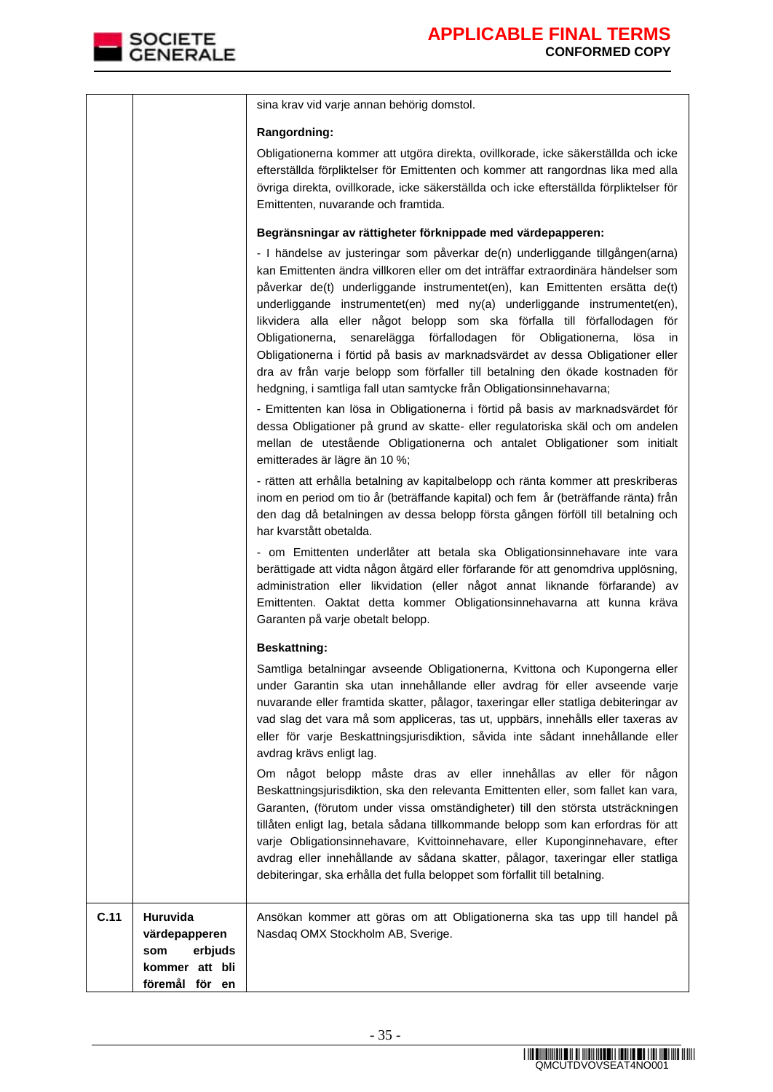

|                                                                                         | sina krav vid varje annan behörig domstol.                                                                                                                                                                                                                                                                                                                                                                                                                                                                                                                                                                                                                                                                                                                                                                                                                                                                                                                                                                                                            |
|-----------------------------------------------------------------------------------------|-------------------------------------------------------------------------------------------------------------------------------------------------------------------------------------------------------------------------------------------------------------------------------------------------------------------------------------------------------------------------------------------------------------------------------------------------------------------------------------------------------------------------------------------------------------------------------------------------------------------------------------------------------------------------------------------------------------------------------------------------------------------------------------------------------------------------------------------------------------------------------------------------------------------------------------------------------------------------------------------------------------------------------------------------------|
|                                                                                         | Rangordning:                                                                                                                                                                                                                                                                                                                                                                                                                                                                                                                                                                                                                                                                                                                                                                                                                                                                                                                                                                                                                                          |
|                                                                                         | Obligationerna kommer att utgöra direkta, ovillkorade, icke säkerställda och icke<br>efterställda förpliktelser för Emittenten och kommer att rangordnas lika med alla<br>övriga direkta, ovillkorade, icke säkerställda och icke efterställda förpliktelser för<br>Emittenten, nuvarande och framtida.                                                                                                                                                                                                                                                                                                                                                                                                                                                                                                                                                                                                                                                                                                                                               |
|                                                                                         | Begränsningar av rättigheter förknippade med värdepapperen:<br>- I händelse av justeringar som påverkar de(n) underliggande tillgången(arna)<br>kan Emittenten ändra villkoren eller om det inträffar extraordinära händelser som<br>påverkar de(t) underliggande instrumentet(en), kan Emittenten ersätta de(t)<br>underliggande instrumentet(en) med ny(a) underliggande instrumentet(en),<br>likvidera alla eller något belopp som ska förfalla till förfallodagen för<br>Obligationerna, senarelägga förfallodagen för Obligationerna,<br>lösa<br>ın<br>Obligationerna i förtid på basis av marknadsvärdet av dessa Obligationer eller<br>dra av från varje belopp som förfaller till betalning den ökade kostnaden för<br>hedgning, i samtliga fall utan samtycke från Obligationsinnehavarna;<br>- Emittenten kan lösa in Obligationerna i förtid på basis av marknadsvärdet för<br>dessa Obligationer på grund av skatte- eller regulatoriska skäl och om andelen<br>mellan de utestående Obligationerna och antalet Obligationer som initialt |
|                                                                                         | emitterades är lägre än 10 %;<br>- rätten att erhålla betalning av kapitalbelopp och ränta kommer att preskriberas<br>inom en period om tio år (beträffande kapital) och fem år (beträffande ränta) från<br>den dag då betalningen av dessa belopp första gången förföll till betalning och<br>har kvarstått obetalda.<br>- om Emittenten underlåter att betala ska Obligationsinnehavare inte vara                                                                                                                                                                                                                                                                                                                                                                                                                                                                                                                                                                                                                                                   |
|                                                                                         | berättigade att vidta någon åtgärd eller förfarande för att genomdriva upplösning,<br>administration eller likvidation (eller något annat liknande förfarande) av<br>Emittenten. Oaktat detta kommer Obligationsinnehavarna att kunna kräva<br>Garanten på varje obetalt belopp.                                                                                                                                                                                                                                                                                                                                                                                                                                                                                                                                                                                                                                                                                                                                                                      |
|                                                                                         | <b>Beskattning:</b>                                                                                                                                                                                                                                                                                                                                                                                                                                                                                                                                                                                                                                                                                                                                                                                                                                                                                                                                                                                                                                   |
|                                                                                         | Samtliga betalningar avseende Obligationerna, Kvittona och Kupongerna eller<br>under Garantin ska utan innehållande eller avdrag för eller avseende varje<br>nuvarande eller framtida skatter, pålagor, taxeringar eller statliga debiteringar av<br>vad slag det vara må som appliceras, tas ut, uppbärs, innehålls eller taxeras av<br>eller för varje Beskattningsjurisdiktion, såvida inte sådant innehållande eller<br>avdrag krävs enligt lag.                                                                                                                                                                                                                                                                                                                                                                                                                                                                                                                                                                                                  |
|                                                                                         | Om något belopp måste dras av eller innehållas av eller för någon<br>Beskattningsjurisdiktion, ska den relevanta Emittenten eller, som fallet kan vara,<br>Garanten, (förutom under vissa omständigheter) till den största utsträckningen<br>tillåten enligt lag, betala sådana tillkommande belopp som kan erfordras för att<br>varje Obligationsinnehavare, Kvittoinnehavare, eller Kuponginnehavare, efter<br>avdrag eller innehållande av sådana skatter, pålagor, taxeringar eller statliga<br>debiteringar, ska erhålla det fulla beloppet som förfallit till betalning.                                                                                                                                                                                                                                                                                                                                                                                                                                                                        |
| C.11<br>Huruvida<br>värdepapperen<br>erbjuds<br>som<br>kommer att bli<br>föremål för en | Ansökan kommer att göras om att Obligationerna ska tas upp till handel på<br>Nasdaq OMX Stockholm AB, Sverige.                                                                                                                                                                                                                                                                                                                                                                                                                                                                                                                                                                                                                                                                                                                                                                                                                                                                                                                                        |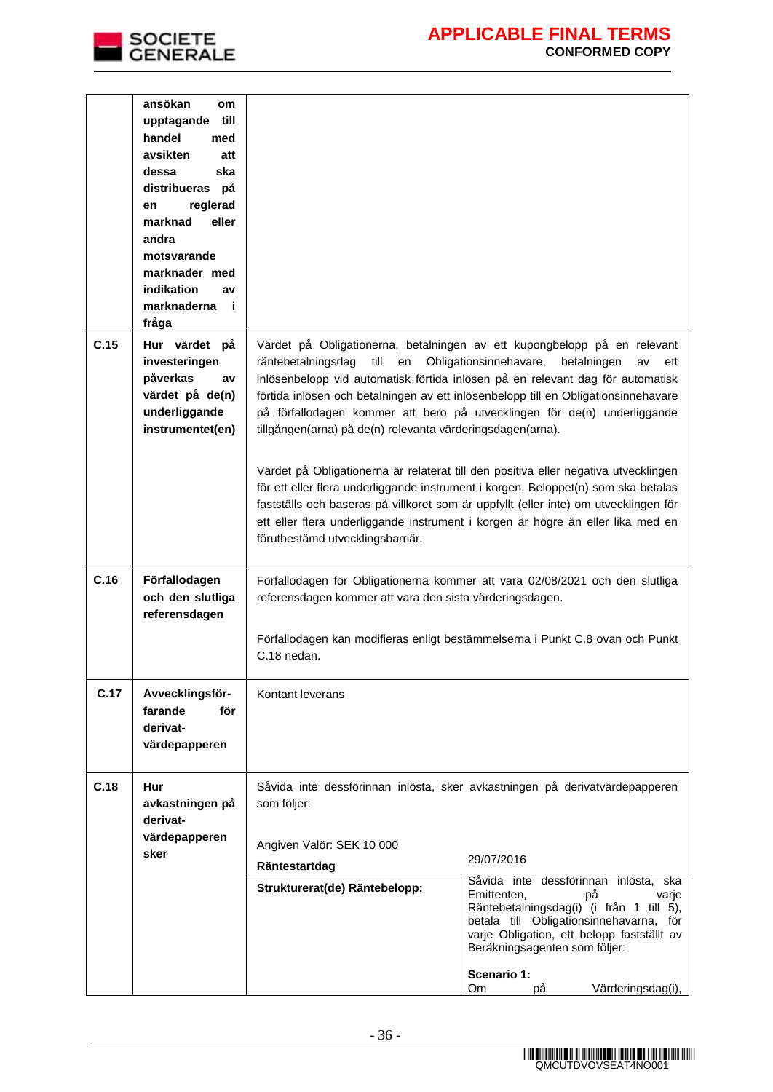

|      | ansökan<br><b>om</b><br>till<br>upptagande<br>handel<br>med<br>avsikten<br>att<br>ska<br>dessa<br>distribueras på<br>reglerad<br>en<br>marknad<br>eller<br>andra<br>motsvarande<br>marknader med<br>indikation<br>av<br>marknaderna<br>- i<br>fråga |                                                                                                                                                                                                                                                                                                                                                                                                                                                                                                                                                                                                                                                                                                                                                                                                                                                                                  |  |
|------|-----------------------------------------------------------------------------------------------------------------------------------------------------------------------------------------------------------------------------------------------------|----------------------------------------------------------------------------------------------------------------------------------------------------------------------------------------------------------------------------------------------------------------------------------------------------------------------------------------------------------------------------------------------------------------------------------------------------------------------------------------------------------------------------------------------------------------------------------------------------------------------------------------------------------------------------------------------------------------------------------------------------------------------------------------------------------------------------------------------------------------------------------|--|
| C.15 | Hur värdet på<br>investeringen<br>påverkas<br>av<br>värdet på de(n)<br>underliggande<br>instrumentet(en)                                                                                                                                            | Värdet på Obligationerna, betalningen av ett kupongbelopp på en relevant<br>räntebetalningsdag<br>till<br>Obligationsinnehavare,<br>en<br>betalningen<br>av<br>ett<br>inlösenbelopp vid automatisk förtida inlösen på en relevant dag för automatisk<br>förtida inlösen och betalningen av ett inlösenbelopp till en Obligationsinnehavare<br>på förfallodagen kommer att bero på utvecklingen för de(n) underliggande<br>tillgången(arna) på de(n) relevanta värderingsdagen(arna).<br>Värdet på Obligationerna är relaterat till den positiva eller negativa utvecklingen<br>för ett eller flera underliggande instrument i korgen. Beloppet(n) som ska betalas<br>fastställs och baseras på villkoret som är uppfyllt (eller inte) om utvecklingen för<br>ett eller flera underliggande instrument i korgen är högre än eller lika med en<br>förutbestämd utvecklingsbarriär. |  |
| C.16 | Förfallodagen<br>och den slutliga<br>referensdagen                                                                                                                                                                                                  | Förfallodagen för Obligationerna kommer att vara 02/08/2021 och den slutliga<br>referensdagen kommer att vara den sista värderingsdagen.<br>Förfallodagen kan modifieras enligt bestämmelserna i Punkt C.8 ovan och Punkt<br>C.18 nedan.                                                                                                                                                                                                                                                                                                                                                                                                                                                                                                                                                                                                                                         |  |
| C.17 | Avvecklingsför-<br>farande<br>för<br>derivat-<br>värdepapperen                                                                                                                                                                                      | Kontant leverans                                                                                                                                                                                                                                                                                                                                                                                                                                                                                                                                                                                                                                                                                                                                                                                                                                                                 |  |
| C.18 | Hur<br>avkastningen på<br>derivat-<br>värdepapperen<br>sker                                                                                                                                                                                         | Såvida inte dessförinnan inlösta, sker avkastningen på derivatvärdepapperen<br>som följer:<br>Angiven Valör: SEK 10 000<br>29/07/2016<br>Räntestartdag<br>Såvida inte dessförinnan inlösta, ska<br>Strukturerat(de) Räntebelopp:<br>Emittenten,<br>рå<br>varje<br>Räntebetalningsdag(i) (i från 1 till 5),<br>betala till Obligationsinnehavarna, för<br>varje Obligation, ett belopp fastställt av<br>Beräkningsagenten som följer:<br>Scenario 1:<br>Värderingsdag(i),<br>Om<br>рå                                                                                                                                                                                                                                                                                                                                                                                             |  |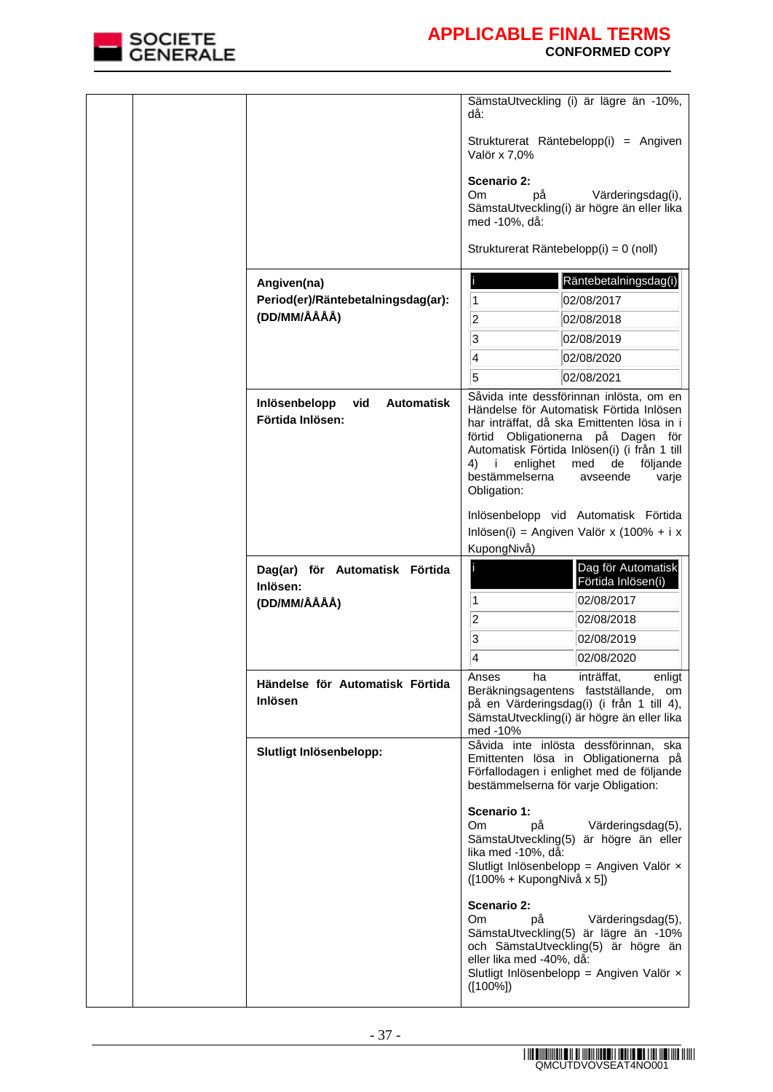

|  |                                                               | SämstaUtveckling (i) är lägre än -10%,<br>då:                                                                                                                                                                                                                                                                             |
|--|---------------------------------------------------------------|---------------------------------------------------------------------------------------------------------------------------------------------------------------------------------------------------------------------------------------------------------------------------------------------------------------------------|
|  |                                                               | Strukturerat Räntebelopp(i) = Angiven<br>Valör x 7,0%                                                                                                                                                                                                                                                                     |
|  |                                                               | Scenario 2:<br>Om.<br>Värderingsdag(i),<br>рå<br>SämstaUtveckling(i) är högre än eller lika<br>med -10%, då:                                                                                                                                                                                                              |
|  |                                                               | Strukturerat Räntebelopp(i) = 0 (noll)                                                                                                                                                                                                                                                                                    |
|  | Angiven(na)                                                   | Räntebetalningsdag(i)                                                                                                                                                                                                                                                                                                     |
|  | Period(er)/Räntebetalningsdag(ar):                            | $\vert$ 1<br>02/08/2017                                                                                                                                                                                                                                                                                                   |
|  | (DD/MM/ÅÅÅÅ)                                                  | 2 <br>02/08/2018                                                                                                                                                                                                                                                                                                          |
|  |                                                               | $\overline{3}$<br>02/08/2019                                                                                                                                                                                                                                                                                              |
|  |                                                               | 4<br>02/08/2020                                                                                                                                                                                                                                                                                                           |
|  |                                                               | 5<br>02/08/2021                                                                                                                                                                                                                                                                                                           |
|  | Inlösenbelopp<br><b>Automatisk</b><br>vid<br>Förtida Inlösen: | Såvida inte dessförinnan inlösta, om en<br>Händelse för Automatisk Förtida Inlösen<br>har inträffat, då ska Emittenten lösa in i<br>förtid Obligationerna på Dagen för<br>Automatisk Förtida Inlösen(i) (i från 1 till<br>enlighet<br>4) i<br>med<br>de<br>följande<br>bestämmelserna<br>avseende<br>varje<br>Obligation: |
|  |                                                               | Inlösenbelopp vid Automatisk Förtida                                                                                                                                                                                                                                                                                      |
|  |                                                               | Inlösen(i) = Angiven Valör x (100% + i x                                                                                                                                                                                                                                                                                  |
|  |                                                               | KupongNivå)<br>Dag för Automatisk                                                                                                                                                                                                                                                                                         |
|  | Dag(ar) för Automatisk Förtida<br>Inlösen:                    | Förtida Inlösen(i)                                                                                                                                                                                                                                                                                                        |
|  | (DD/MM/ÅÅÅÅ)                                                  | 1<br>02/08/2017                                                                                                                                                                                                                                                                                                           |
|  |                                                               | 2<br>02/08/2018                                                                                                                                                                                                                                                                                                           |
|  |                                                               | 3<br>02/08/2019                                                                                                                                                                                                                                                                                                           |
|  |                                                               | 4<br>02/08/2020                                                                                                                                                                                                                                                                                                           |
|  | Händelse för Automatisk Förtida<br>Inlösen                    | inträffat,<br>Anses<br>ha<br>enligt<br>Beräkningsagentens fastställande, om<br>på en Värderingsdag(i) (i från 1 till 4),<br>SämstaUtveckling(i) är högre än eller lika<br>med -10%                                                                                                                                        |
|  | Slutligt Inlösenbelopp:                                       | Såvida inte inlösta dessförinnan, ska<br>Emittenten lösa in Obligationerna på<br>Förfallodagen i enlighet med de följande<br>bestämmelserna för varje Obligation:                                                                                                                                                         |
|  |                                                               | Scenario 1:<br>Om<br>рå<br>Värderingsdag(5),<br>SämstaUtveckling(5)<br>är högre än eller<br>lika med -10%, då:<br>Slutligt Inlösenbelopp = Angiven Valör x<br>([100% + KupongNivå x 5])                                                                                                                                   |
|  |                                                               | Scenario 2:<br>Om<br>рå<br>Värderingsdag(5),<br>SämstaUtveckling(5) är lägre än -10%<br>och SämstaUtveckling(5) är högre än<br>eller lika med -40%, då:<br>Slutligt Inlösenbelopp = Angiven Valör x<br>$([100\%])$                                                                                                        |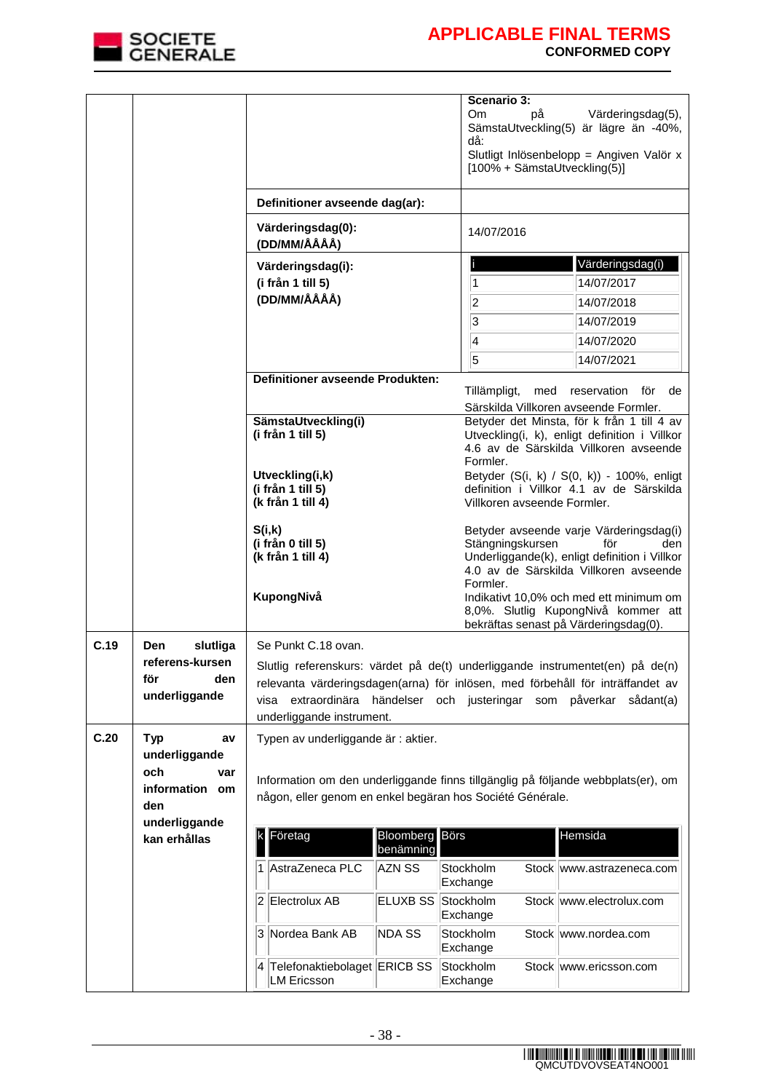

|      |                                                                       |                                                                                                                                                                                                                                                                                                           |                        | Scenario 3:<br>Om.<br>рå<br>då:                                   | Värderingsdag(5),<br>SämstaUtveckling(5) är lägre än -40%,<br>Slutligt Inlösenbelopp = Angiven Valör x<br>[100% + SämstaUtveckling(5)]           |
|------|-----------------------------------------------------------------------|-----------------------------------------------------------------------------------------------------------------------------------------------------------------------------------------------------------------------------------------------------------------------------------------------------------|------------------------|-------------------------------------------------------------------|--------------------------------------------------------------------------------------------------------------------------------------------------|
|      |                                                                       | Definitioner avseende dag(ar):                                                                                                                                                                                                                                                                            |                        |                                                                   |                                                                                                                                                  |
|      |                                                                       | Värderingsdag(0):<br>(DD/MM/ÅÅÅÅ)                                                                                                                                                                                                                                                                         |                        | 14/07/2016                                                        |                                                                                                                                                  |
|      |                                                                       | Värderingsdag(i):<br>(i från 1 till 5)<br>(DD/MM/ÅÅÅÅ)                                                                                                                                                                                                                                                    |                        | $\vert$ 1<br>$ 2\rangle$<br>3<br>$\overline{4}$<br>$\overline{5}$ | Värderingsdag(i)<br>14/07/2017<br>14/07/2018<br>14/07/2019<br>14/07/2020<br>14/07/2021                                                           |
|      |                                                                       | <b>Definitioner avseende Produkten:</b>                                                                                                                                                                                                                                                                   |                        | Tillämpligt,                                                      | reservation för<br>med<br>de                                                                                                                     |
|      |                                                                       |                                                                                                                                                                                                                                                                                                           |                        |                                                                   | Särskilda Villkoren avseende Formler.                                                                                                            |
|      |                                                                       | SämstaUtveckling(i)<br>(i från 1 till 5)                                                                                                                                                                                                                                                                  |                        | Formler.                                                          | Betyder det Minsta, för k från 1 till 4 av<br>Utveckling(i, k), enligt definition i Villkor<br>4.6 av de Särskilda Villkoren avseende            |
|      |                                                                       | Utveckling(i,k)<br>(i från 1 till 5)<br>(k från 1 till 4)                                                                                                                                                                                                                                                 |                        | Villkoren avseende Formler.                                       | Betyder (S(i, k) / S(0, k)) - 100%, enligt<br>definition i Villkor 4.1 av de Särskilda                                                           |
|      |                                                                       | S(i,k)<br>(i från 0 till 5)<br>(k från 1 till 4)                                                                                                                                                                                                                                                          |                        | Stängningskursen<br>Formler.                                      | Betyder avseende varje Värderingsdag(i)<br>för<br>den<br>Underliggande(k), enligt definition i Villkor<br>4.0 av de Särskilda Villkoren avseende |
|      |                                                                       | KupongNivå                                                                                                                                                                                                                                                                                                |                        |                                                                   | Indikativt 10,0% och med ett minimum om<br>8,0%. Slutlig KupongNivå kommer att<br>bekräftas senast på Värderingsdag(0).                          |
| C.19 | slutliga<br>Den<br>referens-kursen<br>för<br>den<br>underliggande     | Se Punkt C.18 ovan.<br>Slutlig referenskurs: värdet på de(t) underliggande instrumentet(en) på de(n)<br>relevanta värderingsdagen(arna) för inlösen, med förbehåll för inträffandet av<br>extraordinära<br>händelser<br>och justeringar<br>som påverkar<br>visa<br>sådant(a)<br>underliggande instrument. |                        |                                                                   |                                                                                                                                                  |
| C.20 | <b>Typ</b><br>av                                                      | Typen av underliggande är : aktier.                                                                                                                                                                                                                                                                       |                        |                                                                   |                                                                                                                                                  |
|      | underliggande<br>och<br>var<br>information om<br>den<br>underliggande | någon, eller genom en enkel begäran hos Société Générale.                                                                                                                                                                                                                                                 |                        |                                                                   | Information om den underliggande finns tillgänglig på följande webbplats(er), om                                                                 |
|      | kan erhållas                                                          | Företag<br>k                                                                                                                                                                                                                                                                                              | Bloomberg<br>benämning | Börs                                                              | Hemsida                                                                                                                                          |
|      |                                                                       | 1<br>AstraZeneca PLC                                                                                                                                                                                                                                                                                      | AZN SS                 | Stockholm<br>Exchange                                             | Stock www.astrazeneca.com                                                                                                                        |
|      |                                                                       | $\overline{\mathbf{c}}$<br>Electrolux AB                                                                                                                                                                                                                                                                  | <b>ELUXB SS</b>        | Stockholm<br>Exchange                                             | Stock www.electrolux.com                                                                                                                         |
|      |                                                                       | 3 Nordea Bank AB                                                                                                                                                                                                                                                                                          | <b>NDA SS</b>          | Stockholm<br>Exchange                                             | Stock www.nordea.com                                                                                                                             |
|      |                                                                       | Telefonaktiebolaget ERICB SS<br>4<br><b>LM Ericsson</b>                                                                                                                                                                                                                                                   |                        | Stockholm<br>Exchange                                             | Stock www.ericsson.com                                                                                                                           |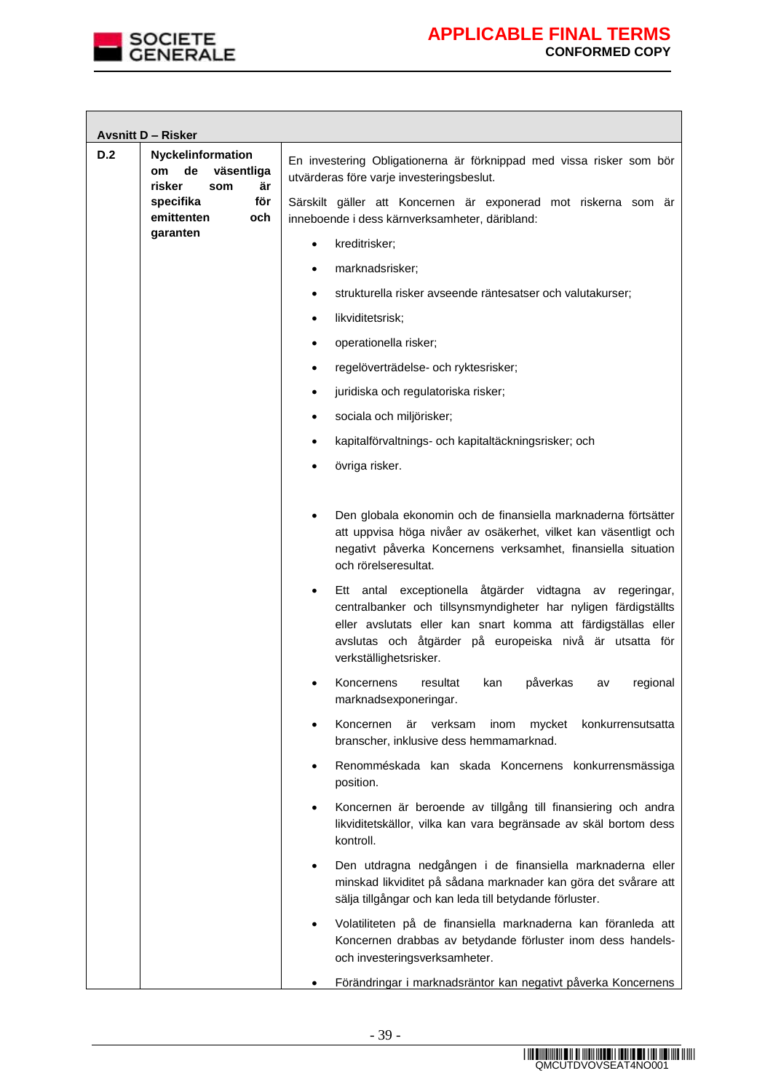

|     | <b>Avsnitt D - Risker</b>                                    |                                                                                                                                                                                                                                                                                                   |
|-----|--------------------------------------------------------------|---------------------------------------------------------------------------------------------------------------------------------------------------------------------------------------------------------------------------------------------------------------------------------------------------|
| D.2 | Nyckelinformation<br>de<br>väsentliga<br>om                  | En investering Obligationerna är förknippad med vissa risker som bör<br>utvärderas före varje investeringsbeslut.                                                                                                                                                                                 |
|     | risker<br>är<br>som<br>för<br>specifika<br>emittenten<br>och | Särskilt gäller att Koncernen är exponerad mot riskerna som är<br>inneboende i dess kärnverksamheter, däribland:                                                                                                                                                                                  |
|     | garanten                                                     | kreditrisker;<br>$\bullet$                                                                                                                                                                                                                                                                        |
|     |                                                              | marknadsrisker;<br>٠                                                                                                                                                                                                                                                                              |
|     |                                                              | strukturella risker avseende räntesatser och valutakurser;                                                                                                                                                                                                                                        |
|     |                                                              | likviditetsrisk;<br>٠                                                                                                                                                                                                                                                                             |
|     |                                                              | operationella risker;<br>٠                                                                                                                                                                                                                                                                        |
|     |                                                              | regelöverträdelse- och ryktesrisker;<br>$\bullet$                                                                                                                                                                                                                                                 |
|     |                                                              | juridiska och regulatoriska risker;                                                                                                                                                                                                                                                               |
|     |                                                              | sociala och miljörisker;<br>$\bullet$                                                                                                                                                                                                                                                             |
|     |                                                              | kapitalförvaltnings- och kapitaltäckningsrisker; och<br>٠                                                                                                                                                                                                                                         |
|     |                                                              | övriga risker.                                                                                                                                                                                                                                                                                    |
|     |                                                              | Den globala ekonomin och de finansiella marknaderna förtsätter<br>att uppvisa höga nivåer av osäkerhet, vilket kan väsentligt och<br>negativt påverka Koncernens verksamhet, finansiella situation<br>och rörelseresultat.                                                                        |
|     |                                                              | Ett antal exceptionella åtgärder vidtagna av<br>regeringar,<br>$\bullet$<br>centralbanker och tillsynsmyndigheter har nyligen färdigställts<br>eller avslutats eller kan snart komma att färdigställas eller<br>avslutas och åtgärder på europeiska nivå är utsatta för<br>verkställighetsrisker. |
|     |                                                              | påverkas<br>Koncernens<br>resultat<br>kan<br>regional<br>a٧<br>marknadsexponeringar.                                                                                                                                                                                                              |
|     |                                                              | Koncernen<br>är<br>verksam<br>inom<br>mycket<br>konkurrensutsatta<br>$\bullet$<br>branscher, inklusive dess hemmamarknad.                                                                                                                                                                         |
|     |                                                              | Renomméskada kan skada Koncernens konkurrensmässiga<br>$\bullet$<br>position.                                                                                                                                                                                                                     |
|     |                                                              | Koncernen är beroende av tillgång till finansiering och andra<br>$\bullet$<br>likviditetskällor, vilka kan vara begränsade av skäl bortom dess<br>kontroll.                                                                                                                                       |
|     |                                                              | Den utdragna nedgången i de finansiella marknaderna eller<br>٠<br>minskad likviditet på sådana marknader kan göra det svårare att<br>sälja tillgångar och kan leda till betydande förluster.                                                                                                      |
|     |                                                              | Volatiliteten på de finansiella marknaderna kan föranleda att<br>$\bullet$<br>Koncernen drabbas av betydande förluster inom dess handels-<br>och investeringsverksamheter.                                                                                                                        |
|     |                                                              | Förändringar i marknadsräntor kan negativt påverka Koncernens                                                                                                                                                                                                                                     |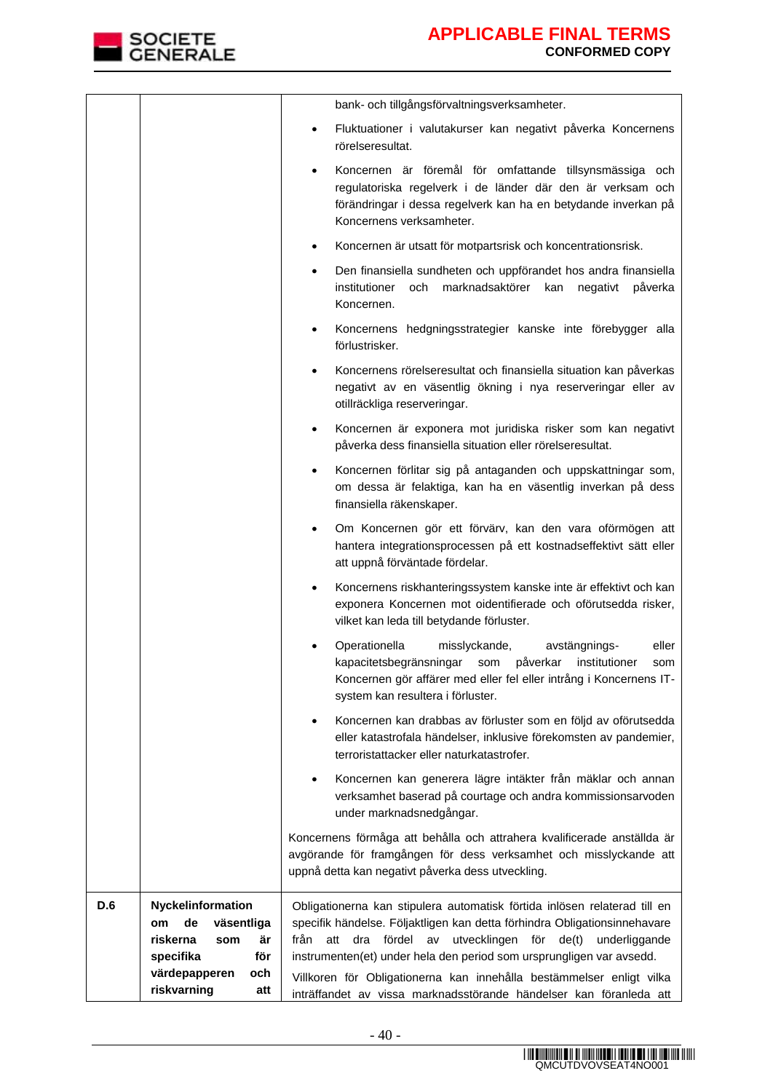

|     |                                                                                                                                               | bank- och tillgångsförvaltningsverksamheter.                                                                                                                                                                                                                                                                                                                                                                                                                        |
|-----|-----------------------------------------------------------------------------------------------------------------------------------------------|---------------------------------------------------------------------------------------------------------------------------------------------------------------------------------------------------------------------------------------------------------------------------------------------------------------------------------------------------------------------------------------------------------------------------------------------------------------------|
|     |                                                                                                                                               | Fluktuationer i valutakurser kan negativt påverka Koncernens<br>$\bullet$<br>rörelseresultat.                                                                                                                                                                                                                                                                                                                                                                       |
|     |                                                                                                                                               | Koncernen är föremål för omfattande tillsynsmässiga och<br>regulatoriska regelverk i de länder där den är verksam och<br>förändringar i dessa regelverk kan ha en betydande inverkan på<br>Koncernens verksamheter.                                                                                                                                                                                                                                                 |
|     |                                                                                                                                               | Koncernen är utsatt för motpartsrisk och koncentrationsrisk.                                                                                                                                                                                                                                                                                                                                                                                                        |
|     |                                                                                                                                               | Den finansiella sundheten och uppförandet hos andra finansiella<br>institutioner<br>marknadsaktörer<br>och<br>kan<br>negativt<br>påverka<br>Koncernen.                                                                                                                                                                                                                                                                                                              |
|     |                                                                                                                                               | Koncernens hedgningsstrategier kanske inte förebygger alla<br>$\bullet$<br>förlustrisker.                                                                                                                                                                                                                                                                                                                                                                           |
|     |                                                                                                                                               | Koncernens rörelseresultat och finansiella situation kan påverkas<br>negativt av en väsentlig ökning i nya reserveringar eller av<br>otillräckliga reserveringar.                                                                                                                                                                                                                                                                                                   |
|     |                                                                                                                                               | Koncernen är exponera mot juridiska risker som kan negativt<br>$\bullet$<br>påverka dess finansiella situation eller rörelseresultat.                                                                                                                                                                                                                                                                                                                               |
|     |                                                                                                                                               | Koncernen förlitar sig på antaganden och uppskattningar som,<br>$\bullet$<br>om dessa är felaktiga, kan ha en väsentlig inverkan på dess<br>finansiella räkenskaper.                                                                                                                                                                                                                                                                                                |
|     |                                                                                                                                               | Om Koncernen gör ett förvärv, kan den vara oförmögen att<br>$\bullet$<br>hantera integrationsprocessen på ett kostnadseffektivt sätt eller<br>att uppnå förväntade fördelar.                                                                                                                                                                                                                                                                                        |
|     |                                                                                                                                               | Koncernens riskhanteringssystem kanske inte är effektivt och kan<br>exponera Koncernen mot oidentifierade och oförutsedda risker,<br>vilket kan leda till betydande förluster.                                                                                                                                                                                                                                                                                      |
|     |                                                                                                                                               | Operationella<br>misslyckande,<br>eller<br>avstängnings-<br>påverkar<br>kapacitetsbegränsningar<br>institutioner<br>som<br>som<br>Koncernen gör affärer med eller fel eller intrång i Koncernens IT-<br>system kan resultera i förluster.                                                                                                                                                                                                                           |
|     |                                                                                                                                               | Koncernen kan drabbas av förluster som en följd av oförutsedda<br>٠<br>eller katastrofala händelser, inklusive förekomsten av pandemier,<br>terroristattacker eller naturkatastrofer.                                                                                                                                                                                                                                                                               |
|     |                                                                                                                                               | Koncernen kan generera lägre intäkter från mäklar och annan<br>٠<br>verksamhet baserad på courtage och andra kommissionsarvoden<br>under marknadsnedgångar.                                                                                                                                                                                                                                                                                                         |
|     |                                                                                                                                               | Koncernens förmåga att behålla och attrahera kvalificerade anställda är<br>avgörande för framgången för dess verksamhet och misslyckande att<br>uppnå detta kan negativt påverka dess utveckling.                                                                                                                                                                                                                                                                   |
| D.6 | Nyckelinformation<br>de<br>väsentliga<br><b>om</b><br>är<br>riskerna<br>som<br>för<br>specifika<br>värdepapperen<br>och<br>riskvarning<br>att | Obligationerna kan stipulera automatisk förtida inlösen relaterad till en<br>specifik händelse. Följaktligen kan detta förhindra Obligationsinnehavare<br>från<br>fördel<br>av<br>utvecklingen<br>för<br>de(t)<br>att<br>dra<br>underliggande<br>instrumenten(et) under hela den period som ursprungligen var avsedd.<br>Villkoren för Obligationerna kan innehålla bestämmelser enligt vilka<br>inträffandet av vissa marknadsstörande händelser kan föranleda att |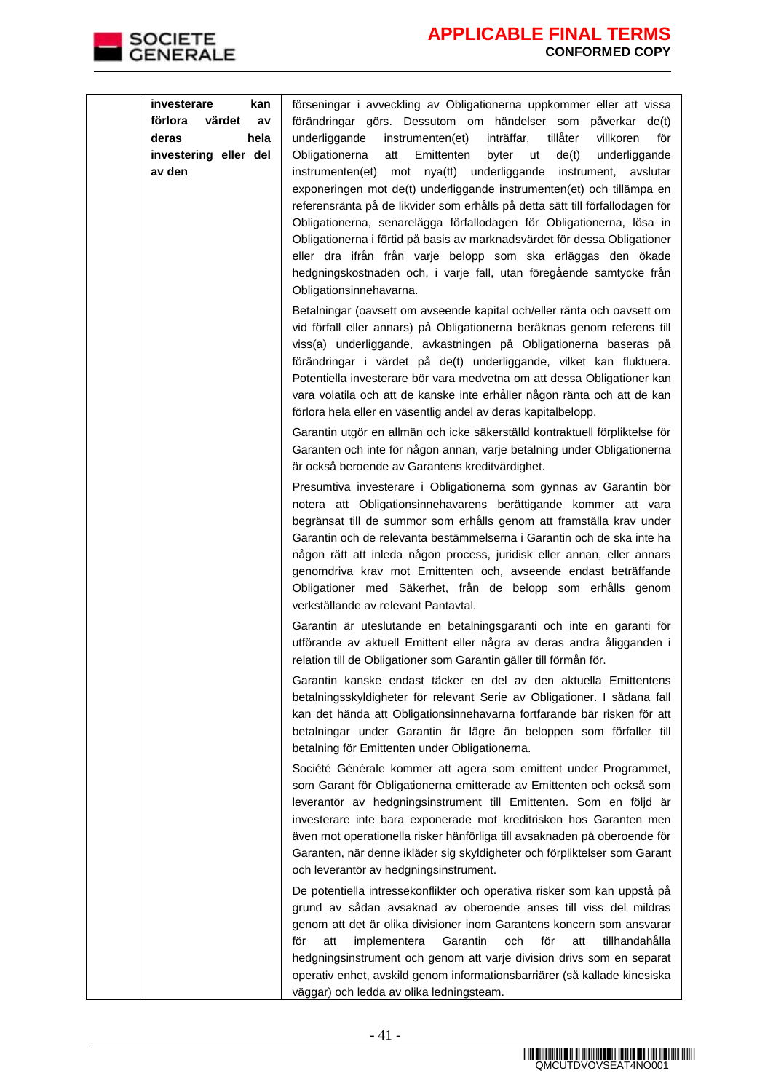

| investerare<br>kan<br>förlora<br>värdet<br>av<br>hela<br>deras<br>investering eller del<br>av den | förseningar i avveckling av Obligationerna uppkommer eller att vissa<br>förändringar görs. Dessutom om händelser som påverkar de(t)<br>underliggande<br>inträffar,<br>tillåter<br>instrumenten(et)<br>villkoren<br>för<br>Obligationerna<br>Emittenten<br>byter<br>de(t)<br>att<br>ut<br>underliggande<br>instrumenten(et)<br>mot nya(tt)<br>underliggande<br>instrument,<br>avslutar<br>exponeringen mot de(t) underliggande instrumenten(et) och tillämpa en<br>referensränta på de likvider som erhålls på detta sätt till förfallodagen för<br>Obligationerna, senarelägga förfallodagen för Obligationerna, lösa in<br>Obligationerna i förtid på basis av marknadsvärdet för dessa Obligationer<br>eller dra ifrån från varje belopp som ska erläggas den ökade<br>hedgningskostnaden och, i varje fall, utan föregående samtycke från<br>Obligationsinnehavarna. |
|---------------------------------------------------------------------------------------------------|-------------------------------------------------------------------------------------------------------------------------------------------------------------------------------------------------------------------------------------------------------------------------------------------------------------------------------------------------------------------------------------------------------------------------------------------------------------------------------------------------------------------------------------------------------------------------------------------------------------------------------------------------------------------------------------------------------------------------------------------------------------------------------------------------------------------------------------------------------------------------|
|                                                                                                   | Betalningar (oavsett om avseende kapital och/eller ränta och oavsett om<br>vid förfall eller annars) på Obligationerna beräknas genom referens till<br>viss(a) underliggande, avkastningen på Obligationerna baseras på<br>förändringar i värdet på de(t) underliggande, vilket kan fluktuera.<br>Potentiella investerare bör vara medvetna om att dessa Obligationer kan<br>vara volatila och att de kanske inte erhåller någon ränta och att de kan<br>förlora hela eller en väsentlig andel av deras kapitalbelopp.<br>Garantin utgör en allmän och icke säkerställd kontraktuell förpliktelse för                                                                                                                                                                                                                                                                   |
|                                                                                                   | Garanten och inte för någon annan, varje betalning under Obligationerna<br>är också beroende av Garantens kreditvärdighet.<br>Presumtiva investerare i Obligationerna som gynnas av Garantin bör<br>notera att Obligationsinnehavarens berättigande kommer att vara<br>begränsat till de summor som erhålls genom att framställa krav under<br>Garantin och de relevanta bestämmelserna i Garantin och de ska inte ha<br>någon rätt att inleda någon process, juridisk eller annan, eller annars<br>genomdriva krav mot Emittenten och, avseende endast beträffande<br>Obligationer med Säkerhet, från de belopp som erhålls genom<br>verkställande av relevant Pantavtal.                                                                                                                                                                                              |
|                                                                                                   | Garantin är uteslutande en betalningsgaranti och inte en garanti för<br>utförande av aktuell Emittent eller några av deras andra åligganden i<br>relation till de Obligationer som Garantin gäller till förmån för.<br>Garantin kanske endast täcker en del av den aktuella Emittentens                                                                                                                                                                                                                                                                                                                                                                                                                                                                                                                                                                                 |
|                                                                                                   | betalningsskyldigheter för relevant Serie av Obligationer. I sådana fall<br>kan det hända att Obligationsinnehavarna fortfarande bär risken för att<br>betalningar under Garantin är lägre än beloppen som förfaller till<br>betalning för Emittenten under Obligationerna.                                                                                                                                                                                                                                                                                                                                                                                                                                                                                                                                                                                             |
|                                                                                                   | Société Générale kommer att agera som emittent under Programmet,<br>som Garant för Obligationerna emitterade av Emittenten och också som<br>leverantör av hedgningsinstrument till Emittenten. Som en följd är<br>investerare inte bara exponerade mot kreditrisken hos Garanten men<br>även mot operationella risker hänförliga till avsaknaden på oberoende för<br>Garanten, när denne ikläder sig skyldigheter och förpliktelser som Garant<br>och leverantör av hedgningsinstrument.                                                                                                                                                                                                                                                                                                                                                                                |
|                                                                                                   | De potentiella intressekonflikter och operativa risker som kan uppstå på<br>grund av sådan avsaknad av oberoende anses till viss del mildras<br>genom att det är olika divisioner inom Garantens koncern som ansvarar<br>och<br>för<br>implementera<br>Garantin<br>för<br>tillhandahålla<br>att<br>att<br>hedgningsinstrument och genom att varje division drivs som en separat<br>operativ enhet, avskild genom informationsbarriärer (så kallade kinesiska<br>väggar) och ledda av olika ledningsteam.                                                                                                                                                                                                                                                                                                                                                                |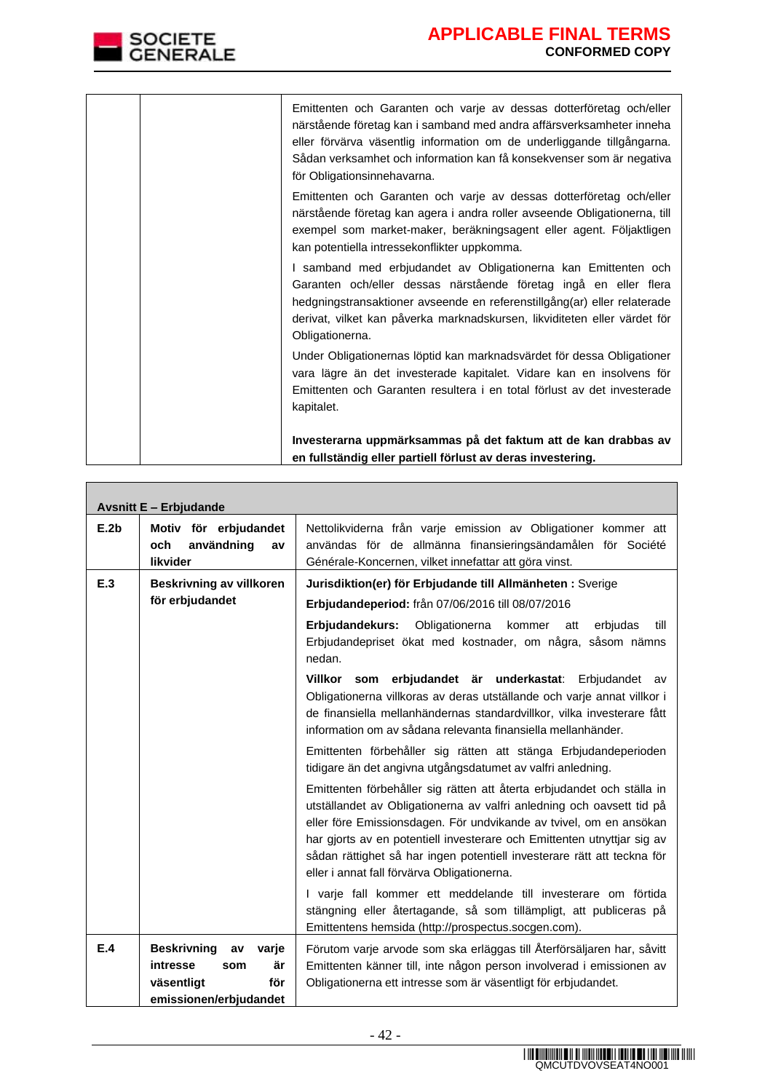|  | Emittenten och Garanten och varje av dessas dotterföretag och/eller<br>närstående företag kan i samband med andra affärsverksamheter inneha<br>eller förvärva väsentlig information om de underliggande tillgångarna.<br>Sådan verksamhet och information kan få konsekvenser som är negativa<br>för Obligationsinnehavarna. |
|--|------------------------------------------------------------------------------------------------------------------------------------------------------------------------------------------------------------------------------------------------------------------------------------------------------------------------------|
|  | Emittenten och Garanten och varje av dessas dotterföretag och/eller<br>närstående företag kan agera i andra roller avseende Obligationerna, till<br>exempel som market-maker, beräkningsagent eller agent. Följaktligen<br>kan potentiella intressekonflikter uppkomma.                                                      |
|  | I samband med erbjudandet av Obligationerna kan Emittenten och<br>Garanten och/eller dessas närstående företag ingå en eller flera<br>hedgningstransaktioner avseende en referenstillgång(ar) eller relaterade<br>derivat, vilket kan påverka marknadskursen, likviditeten eller värdet för<br>Obligationerna.               |
|  | Under Obligationernas löptid kan marknadsvärdet för dessa Obligationer<br>vara lägre än det investerade kapitalet. Vidare kan en insolvens för<br>Emittenten och Garanten resultera i en total förlust av det investerade<br>kapitalet.                                                                                      |
|  | Investerarna uppmärksammas på det faktum att de kan drabbas av<br>en fullständig eller partiell förlust av deras investering.                                                                                                                                                                                                |

|      | <b>Avsnitt E - Erbjudande</b>                                                                             |                                                                                                                                                                                                                                                                                                                                                                                                                                                                                           |  |
|------|-----------------------------------------------------------------------------------------------------------|-------------------------------------------------------------------------------------------------------------------------------------------------------------------------------------------------------------------------------------------------------------------------------------------------------------------------------------------------------------------------------------------------------------------------------------------------------------------------------------------|--|
| E.2b | Motiv för erbjudandet<br>och<br>användning<br>av<br>likvider                                              | Nettolikviderna från varje emission av Obligationer kommer att<br>användas för de allmänna finansieringsändamålen för Société<br>Générale-Koncernen, vilket innefattar att göra vinst.                                                                                                                                                                                                                                                                                                    |  |
| E.3  | <b>Beskrivning av villkoren</b><br>för erbjudandet                                                        | Jurisdiktion(er) för Erbjudande till Allmänheten: Sverige<br>Erbjudandeperiod: från 07/06/2016 till 08/07/2016<br>Erbjudandekurs:<br>Obligationerna<br>kommer<br>att<br>erbjudas<br>till<br>Erbjudandepriset ökat med kostnader, om några, såsom nämns<br>nedan.                                                                                                                                                                                                                          |  |
|      |                                                                                                           | Villkor som erbjudandet är underkastat: Erbjudandet av<br>Obligationerna villkoras av deras utställande och varje annat villkor i<br>de finansiella mellanhändernas standardvillkor, vilka investerare fått<br>information om av sådana relevanta finansiella mellanhänder.<br>Emittenten förbehåller sig rätten att stänga Erbjudandeperioden                                                                                                                                            |  |
|      |                                                                                                           | tidigare än det angivna utgångsdatumet av valfri anledning.<br>Emittenten förbehåller sig rätten att återta erbjudandet och ställa in<br>utställandet av Obligationerna av valfri anledning och oavsett tid på<br>eller före Emissionsdagen. För undvikande av tvivel, om en ansökan<br>har gjorts av en potentiell investerare och Emittenten utnyttjar sig av<br>sådan rättighet så har ingen potentiell investerare rätt att teckna för<br>eller i annat fall förvärva Obligationerna. |  |
|      |                                                                                                           | I varje fall kommer ett meddelande till investerare om förtida<br>stängning eller återtagande, så som tillämpligt, att publiceras på<br>Emittentens hemsida (http://prospectus.socgen.com).                                                                                                                                                                                                                                                                                               |  |
| E.4  | <b>Beskrivning</b><br>varje<br>av<br>intresse<br>är<br>som<br>väsentligt<br>för<br>emissionen/erbjudandet | Förutom varje arvode som ska erläggas till Återförsäljaren har, såvitt<br>Emittenten känner till, inte någon person involverad i emissionen av<br>Obligationerna ett intresse som är väsentligt för erbjudandet.                                                                                                                                                                                                                                                                          |  |